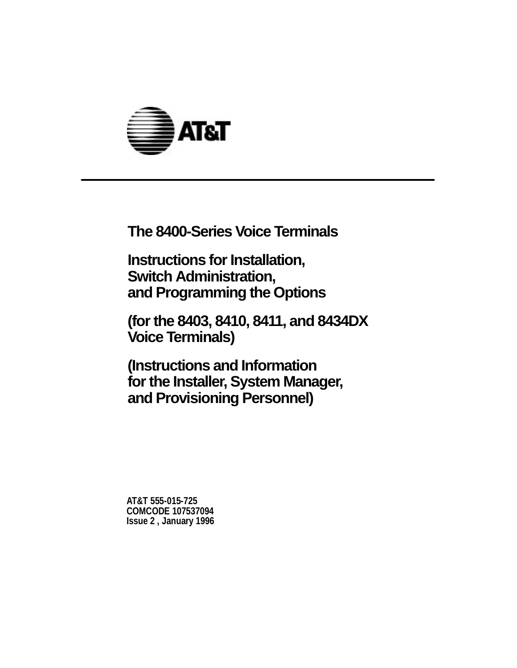

**The 8400-Series Voice Terminals**

**Instructions for Installation, Switch Administration, and Programming the Options**

**(for the 8403, 8410, 8411, and 8434DX Voice Terminals)**

**(Instructions and Information for the Installer, System Manager, and Provisioning Personnel)**

**AT&T 555-015-725 COMCODE 107537094 Issue 2 , January 1996**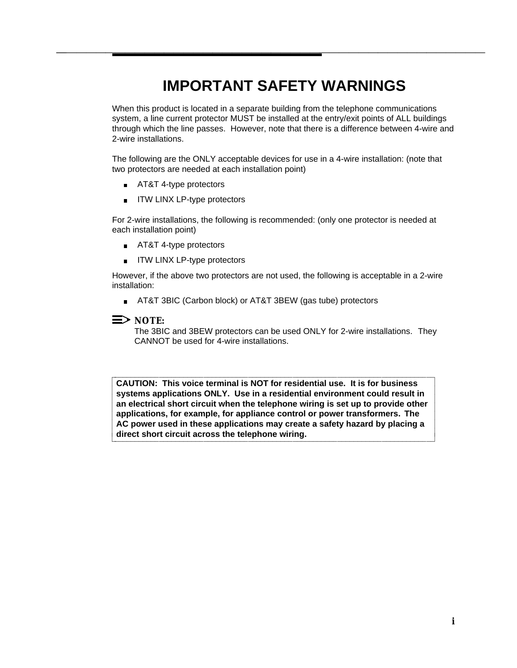### **IMPORTANT SAFETY WARNINGS**

bbbbbbbbbbbbbbbbbbbbbbbbbbbbbbbbbbbbbbbbbbbb bbbbb

When this product is located in a separate building from the telephone communications system, a line current protector MUST be installed at the entry/exit points of ALL buildings through which the line passes. However, note that there is a difference between 4-wire and 2-wire installations.

The following are the ONLY acceptable devices for use in a 4-wire installation: (note that two protectors are needed at each installation point)

- AT&T 4-type protectors
- ITW LINX LP-type protectors

For 2-wire installations, the following is recommended: (only one protector is needed at each installation point)

- **AT&T 4-type protectors**
- **IFW LINX LP-type protectors**

However, if the above two protectors are not used, the following is acceptable in a 2-wire installation:

■ AT&T 3BIC (Carbon block) or AT&T 3BEW (gas tube) protectors

### $\Rightarrow$  **NOTE:**

l

The 3BIC and 3BEW protectors can be used ONLY for 2-wire installations. They CANNOT be used for 4-wire installations.

bbbbbbbbbbbbbbbbbbbbbbbbbbbbbbbbbbbbbbbbbbbbbbbbbbbbbbbbbbbbbbbbbbbbbbbbbbbbbbbb **CAUTION: This voice terminal is NOT for residential use. It is for business systems applications ONLY. Use in a residential environment could result in an electrical short circuit when the telephone wiring is set up to provide other applications, for example, for appliance control or power transformers. The AC power used in these applications may create a safety hazard by placing a** direct short circuit across the telephone wiring.

l l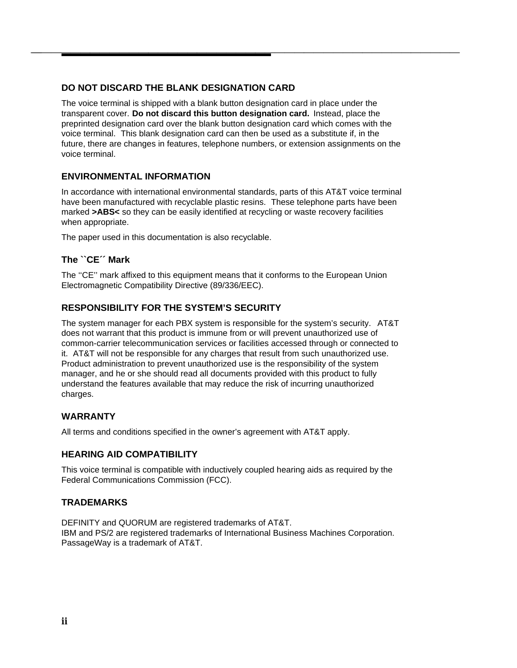### **DO NOT DISCARD THE BLANK DESIGNATION CARD**

The voice terminal is shipped with a blank button designation card in place under the transparent cover. **Do not discard this button designation card.** Instead, place the preprinted designation card over the blank button designation card which comes with the voice terminal. This blank designation card can then be used as a substitute if, in the future, there are changes in features, telephone numbers, or extension assignments on the voice terminal.

bbbbbbbbbbbbbbbbbbbbbbbbbbbbbbbbbbbbbbbbbbbb bbbbb

### **ENVIRONMENTAL INFORMATION**

In accordance with international environmental standards, parts of this AT&T voice terminal have been manufactured with recyclable plastic resins. These telephone parts have been marked **>ABS<** so they can be easily identified at recycling or waste recovery facilities when appropriate.

The paper used in this documentation is also recyclable.

### **The ``CE´´ Mark**

The ''CE'' mark affixed to this equipment means that it conforms to the European Union Electromagnetic Compatibility Directive (89/336/EEC).

### **RESPONSIBILITY FOR THE SYSTEM'S SECURITY**

The system manager for each PBX system is responsible for the system's security. AT&T does not warrant that this product is immune from or will prevent unauthorized use of common-carrier telecommunication services or facilities accessed through or connected to it. AT&T will not be responsible for any charges that result from such unauthorized use. Product administration to prevent unauthorized use is the responsibility of the system manager, and he or she should read all documents provided with this product to fully understand the features available that may reduce the risk of incurring unauthorized charges.

### **WARRANTY**

All terms and conditions specified in the owner's agreement with AT&T apply.

### **HEARING AID COMPATIBILITY**

This voice terminal is compatible with inductively coupled hearing aids as required by the Federal Communications Commission (FCC).

### **TRADEMARKS**

DEFINITY and QUORUM are registered trademarks of AT&T. IBM and PS/2 are registered trademarks of International Business Machines Corporation. PassageWay is a trademark of AT&T.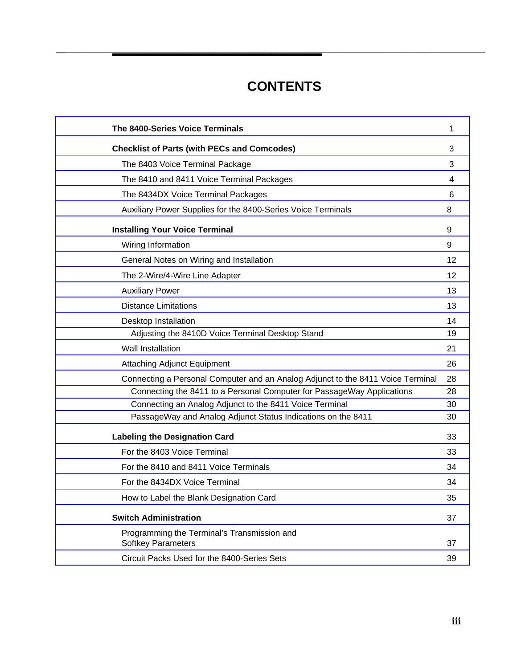### **CONTENTS**

bbbbbbbbbbbbbbbbbbbbbbbbbbbbbbbbbbbbbbbbbbbb bbbbb

| The 8400-Series Voice Terminals                                                                                         | 1        |
|-------------------------------------------------------------------------------------------------------------------------|----------|
| <b>Checklist of Parts (with PECs and Comcodes)</b>                                                                      | 3        |
| The 8403 Voice Terminal Package                                                                                         | 3        |
| The 8410 and 8411 Voice Terminal Packages                                                                               | 4        |
| The 8434DX Voice Terminal Packages                                                                                      | 6        |
| Auxiliary Power Supplies for the 8400-Series Voice Terminals                                                            | 8        |
| <b>Installing Your Voice Terminal</b>                                                                                   | 9        |
| Wiring Information                                                                                                      | 9        |
| General Notes on Wiring and Installation                                                                                | 12       |
| The 2-Wire/4-Wire Line Adapter                                                                                          | 12       |
| <b>Auxiliary Power</b>                                                                                                  | 13       |
| <b>Distance Limitations</b>                                                                                             | 13       |
| Desktop Installation                                                                                                    | 14       |
| Adjusting the 8410D Voice Terminal Desktop Stand                                                                        | 19       |
| <b>Wall Installation</b>                                                                                                | 21       |
| <b>Attaching Adjunct Equipment</b>                                                                                      | 26       |
| Connecting a Personal Computer and an Analog Adjunct to the 8411 Voice Terminal                                         | 28       |
| Connecting the 8411 to a Personal Computer for PassageWay Applications                                                  | 28       |
| Connecting an Analog Adjunct to the 8411 Voice Terminal<br>PassageWay and Analog Adjunct Status Indications on the 8411 | 30<br>30 |
|                                                                                                                         |          |
| <b>Labeling the Designation Card</b>                                                                                    | 33       |
| For the 8403 Voice Terminal                                                                                             | 33       |
| For the 8410 and 8411 Voice Terminals                                                                                   | 34       |
| For the 8434DX Voice Terminal                                                                                           | 34       |
| How to Label the Blank Designation Card                                                                                 | 35       |
| <b>Switch Administration</b>                                                                                            | 37       |
| Programming the Terminal's Transmission and<br><b>Softkey Parameters</b>                                                | 37       |
| Circuit Packs Used for the 8400-Series Sets                                                                             | 39       |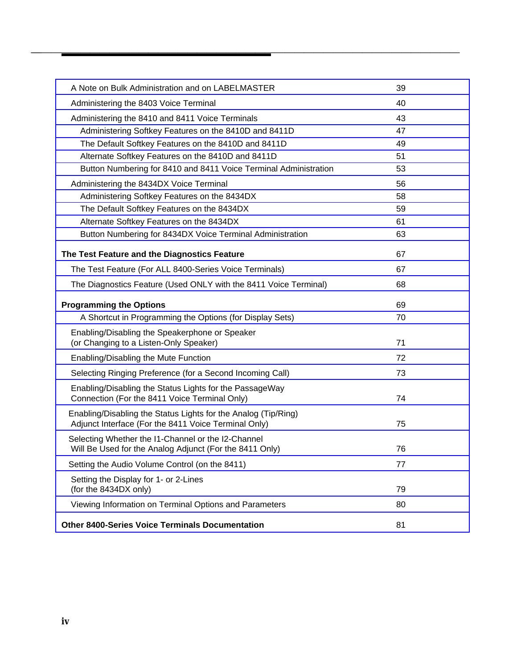| A Note on Bulk Administration and on LABELMASTER                                                                       | 39 |
|------------------------------------------------------------------------------------------------------------------------|----|
| Administering the 8403 Voice Terminal                                                                                  | 40 |
| Administering the 8410 and 8411 Voice Terminals                                                                        | 43 |
| Administering Softkey Features on the 8410D and 8411D                                                                  | 47 |
| The Default Softkey Features on the 8410D and 8411D                                                                    | 49 |
| Alternate Softkey Features on the 8410D and 8411D                                                                      | 51 |
| Button Numbering for 8410 and 8411 Voice Terminal Administration                                                       | 53 |
| Administering the 8434DX Voice Terminal                                                                                | 56 |
| Administering Softkey Features on the 8434DX                                                                           | 58 |
| The Default Softkey Features on the 8434DX                                                                             | 59 |
| Alternate Softkey Features on the 8434DX                                                                               | 61 |
| Button Numbering for 8434DX Voice Terminal Administration                                                              | 63 |
| The Test Feature and the Diagnostics Feature                                                                           | 67 |
| The Test Feature (For ALL 8400-Series Voice Terminals)                                                                 | 67 |
| The Diagnostics Feature (Used ONLY with the 8411 Voice Terminal)                                                       | 68 |
| <b>Programming the Options</b>                                                                                         | 69 |
| A Shortcut in Programming the Options (for Display Sets)                                                               | 70 |
| Enabling/Disabling the Speakerphone or Speaker                                                                         |    |
| (or Changing to a Listen-Only Speaker)                                                                                 | 71 |
| Enabling/Disabling the Mute Function                                                                                   | 72 |
| Selecting Ringing Preference (for a Second Incoming Call)                                                              | 73 |
| Enabling/Disabling the Status Lights for the PassageWay                                                                |    |
| Connection (For the 8411 Voice Terminal Only)                                                                          | 74 |
| Enabling/Disabling the Status Lights for the Analog (Tip/Ring)<br>Adjunct Interface (For the 8411 Voice Terminal Only) | 75 |
| Selecting Whether the I1-Channel or the I2-Channel<br>Will Be Used for the Analog Adjunct (For the 8411 Only)          | 76 |
| Setting the Audio Volume Control (on the 8411)                                                                         | 77 |
| Setting the Display for 1- or 2-Lines                                                                                  |    |
| (for the 8434DX only)                                                                                                  | 79 |
| Viewing Information on Terminal Options and Parameters                                                                 | 80 |
| <b>Other 8400-Series Voice Terminals Documentation</b>                                                                 | 81 |

bbbbbbbbbbbbbbbbbbbbbbbbbbbbbbbbbbbbbbbbbbbb bbbbb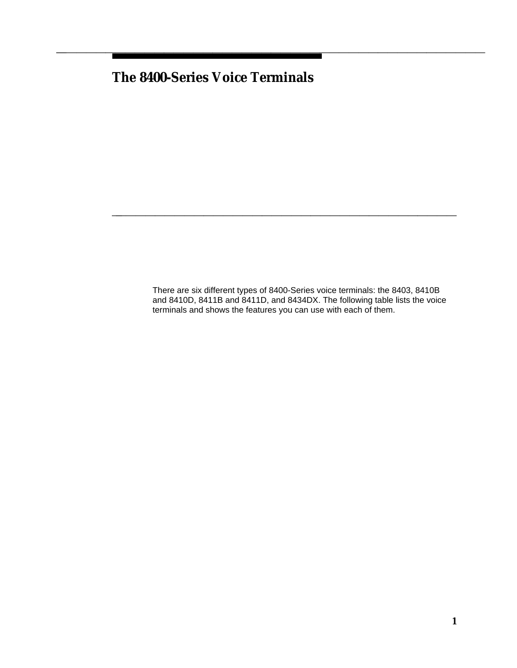### **The 8400-Series Voice Terminals**

<span id="page-5-0"></span>bbbbbbbbbbbbbbbbbbbbbbbbbbbbbbbbbbbbbbbbbbbb bbbbb

There are six different types of 8400-Series voice terminals: the 8403, 8410B and 8410D, 8411B and 8411D, and 8434DX. The following table lists the voice terminals and shows the features you can use with each of them.

bbbbbbbbbbbbbbbbbbbbbbbbbbbbbbbbbbbb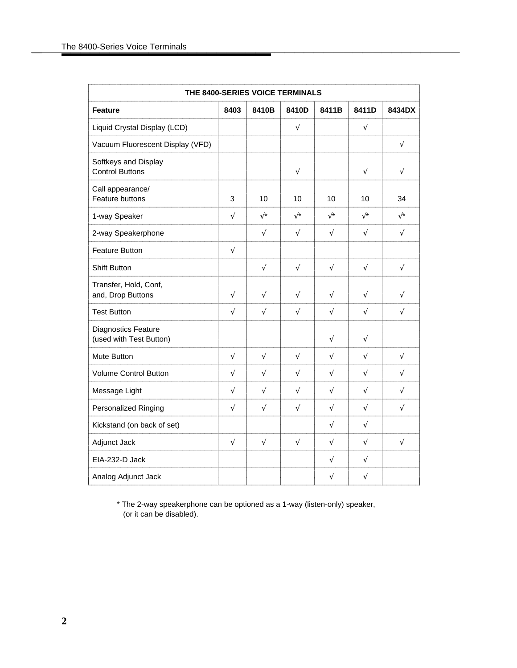| THE 8400-SERIES VOICE TERMINALS                       |            |               |               |               |               |                |  |
|-------------------------------------------------------|------------|---------------|---------------|---------------|---------------|----------------|--|
| <b>Feature</b>                                        | 8403       | 8410B         | 8410D         | 8411B         | 8411D         | 8434DX         |  |
| Liquid Crystal Display (LCD)                          |            |               | $\sqrt{ }$    |               | $\sqrt{ }$    |                |  |
| Vacuum Fluorescent Display (VFD)                      |            |               |               |               |               | $\sqrt{}$      |  |
| Softkeys and Display<br><b>Control Buttons</b>        |            |               | $\sqrt{}$     |               | $\sqrt{ }$    | $\sqrt{ }$     |  |
| Call appearance/<br>Feature buttons                   | 3          | 10            | 10            | 10            | 10            | 34             |  |
| 1-way Speaker                                         | $\sqrt{ }$ | $\sqrt{\ast}$ | $\sqrt{\ast}$ | $\sqrt{\ast}$ | $\sqrt{\ast}$ | $\sqrt{\star}$ |  |
| 2-way Speakerphone                                    |            | $\sqrt{ }$    | $\sqrt{ }$    | $\sqrt{ }$    | $\sqrt{}$     | $\sqrt{ }$     |  |
| <b>Feature Button</b>                                 | $\sqrt{ }$ |               |               |               |               |                |  |
| <b>Shift Button</b>                                   |            | $\sqrt{}$     | $\sqrt{}$     | $\sqrt{ }$    | $\sqrt{}$     | $\sqrt{ }$     |  |
| Transfer, Hold, Conf,<br>and, Drop Buttons            | $\sqrt{ }$ | $\sqrt{}$     | $\sqrt{}$     | $\sqrt{ }$    | $\sqrt{}$     | $\sqrt{}$      |  |
| <b>Test Button</b>                                    | $\sqrt{ }$ | $\sqrt{ }$    | $\sqrt{}$     | $\sqrt{ }$    | $\sqrt{ }$    | $\sqrt{ }$     |  |
| <b>Diagnostics Feature</b><br>(used with Test Button) |            |               |               | $\sqrt{}$     | $\sqrt{}$     |                |  |
| Mute Button                                           | $\sqrt{ }$ | $\sqrt{ }$    | $\sqrt{ }$    | $\sqrt{}$     | $\sqrt{}$     | $\sqrt{}$      |  |
| <b>Volume Control Button</b>                          | $\sqrt{ }$ | $\sqrt{ }$    | $\sqrt{}$     | $\sqrt{ }$    | $\sqrt{}$     | $\sqrt{ }$     |  |
| Message Light                                         | $\sqrt{ }$ | $\sqrt{ }$    | $\sqrt{ }$    | $\sqrt{ }$    | $\sqrt{ }$    | $\sqrt{ }$     |  |
| Personalized Ringing                                  | $\sqrt{ }$ | $\sqrt{ }$    | $\sqrt{}$     | $\sqrt{ }$    | $\sqrt{ }$    | $\sqrt{ }$     |  |
| Kickstand (on back of set)                            |            |               |               | $\sqrt{ }$    | $\sqrt{}$     |                |  |
| Adjunct Jack                                          | $\sqrt{}$  | $\sqrt{ }$    | $\sqrt{}$     | $\sqrt{ }$    | $\sqrt{}$     | $\sqrt{ }$     |  |
| EIA-232-D Jack                                        |            |               |               | $\sqrt{}$     | $\sqrt{}$     |                |  |
| Analog Adjunct Jack                                   |            |               |               | $\sqrt{}$     | $\sqrt{}$     |                |  |

 \* The 2-way speakerphone can be optioned as a 1-way (listen-only) speaker, (or it can be disabled).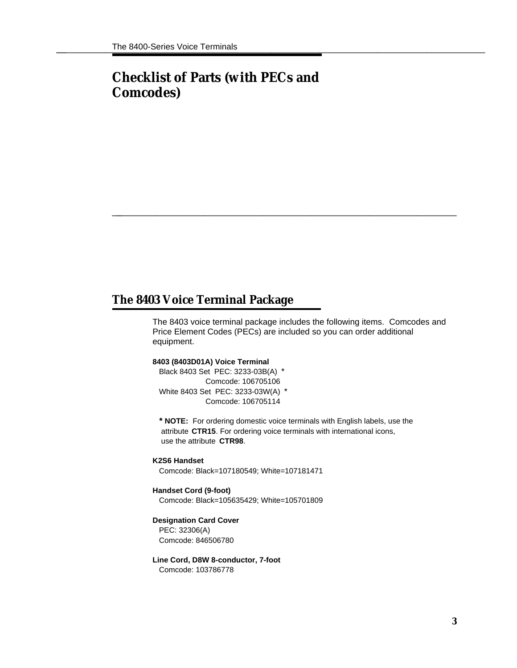### <span id="page-7-0"></span>**Checklist of Parts (with PECs and Comcodes)**

### <span id="page-7-1"></span>**The 8403 Voice Terminal Package**

The 8403 voice terminal package includes the following items. Comcodes and Price Element Codes (PECs) are included so you can order additional equipment.

bbbbbbbbbbbbbbbbbbbbbbbbbbbbbbbbbbbb

### **8403 (8403D01A) Voice Terminal**

 Black 8403 Set PEC: 3233-03B(A) \* Comcode: 106705106 White 8403 Set PEC: 3233-03W(A) \* Comcode: 106705114

 **\* NOTE:** For ordering domestic voice terminals with English labels, use the attribute **CTR15**. For ordering voice terminals with international icons, use the attribute **CTR98**.

### **K2S6 Handset**

Comcode: Black=107180549; White=107181471

#### **Handset Cord (9-foot)**

Comcode: Black=105635429; White=105701809

**Designation Card Cover** PEC: 32306(A) Comcode: 846506780

### **Line Cord, D8W 8-conductor, 7-foot** Comcode: 103786778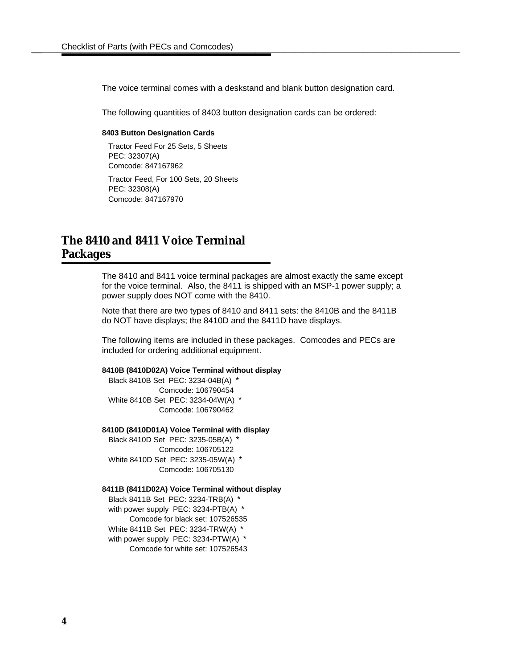The voice terminal comes with a deskstand and blank button designation card.

The following quantities of 8403 button designation cards can be ordered:

#### **8403 Button Designation Cards**

 Tractor Feed For 25 Sets, 5 Sheets PEC: 32307(A) Comcode: 847167962

 Tractor Feed, For 100 Sets, 20 Sheets PEC: 32308(A) Comcode: 847167970

# <span id="page-8-0"></span>**The 8410 and 8411 Voice Terminal The 8410 and 8411 Voice Terminal<br>Packages**

The 8410 and 8411 voice terminal packages are almost exactly the same except for the voice terminal. Also, the 8411 is shipped with an MSP-1 power supply; a power supply does NOT come with the 8410.

Note that there are two types of 8410 and 8411 sets: the 8410B and the 8411B do NOT have displays; the 8410D and the 8411D have displays.

The following items are included in these packages. Comcodes and PECs are included for ordering additional equipment.

### **8410B (8410D02A) Voice Terminal without display**

 Black 8410B Set PEC: 3234-04B(A) \* Comcode: 106790454 White 8410B Set PEC: 3234-04W(A) \* Comcode: 106790462

#### **8410D (8410D01A) Voice Terminal with display**

 Black 8410D Set PEC: 3235-05B(A) \* Comcode: 106705122 White 8410D Set PEC: 3235-05W(A) \* Comcode: 106705130

#### **8411B (8411D02A) Voice Terminal without display**

 Black 8411B Set PEC: 3234-TRB(A) \* with power supply PEC: 3234-PTB(A) \* Comcode for black set: 107526535 White 8411B Set PEC: 3234-TRW(A) \* with power supply PEC: 3234-PTW(A) \* Comcode for white set: 107526543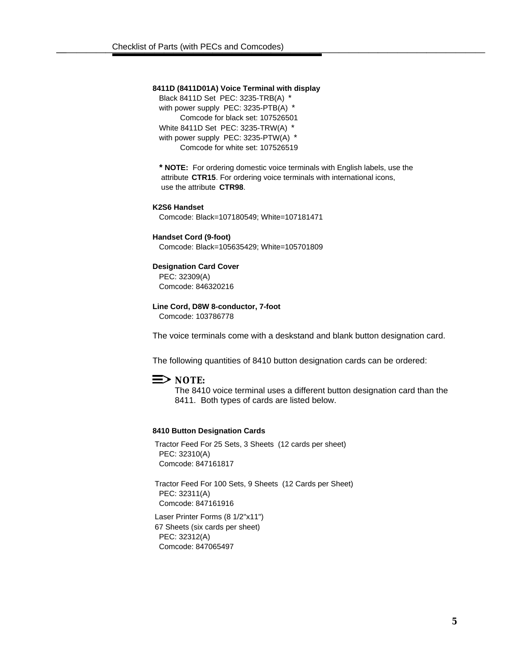### **8411D (8411D01A) Voice Terminal with display** Black 8411D Set PEC: 3235-TRB(A) \* with power supply PEC: 3235-PTB(A) \* Comcode for black set: 107526501 White 8411D Set PEC: 3235-TRW(A) \* with power supply PEC: 3235-PTW(A) \* Comcode for white set: 107526519

 **\* NOTE:** For ordering domestic voice terminals with English labels, use the attribute **CTR15**. For ordering voice terminals with international icons, use the attribute **CTR98**.

**K2S6 Handset** Comcode: Black=107180549; White=107181471

**Handset Cord (9-foot)** Comcode: Black=105635429; White=105701809

### **Designation Card Cover**

 PEC: 32309(A) Comcode: 846320216

**Line Cord, D8W 8-conductor, 7-foot**

Comcode: 103786778

The voice terminals come with a deskstand and blank button designation card.

The following quantities of 8410 button designation cards can be ordered:

### $\Rightarrow$  note:

The 8410 voice terminal uses a different button designation card than the 8411. Both types of cards are listed below.

### **8410 Button Designation Cards**

Tractor Feed For 25 Sets, 3 Sheets (12 cards per sheet) PEC: 32310(A) Comcode: 847161817

Tractor Feed For 100 Sets, 9 Sheets (12 Cards per Sheet) PEC: 32311(A) Comcode: 847161916

Laser Printer Forms (8 1/2"x11") 67 Sheets (six cards per sheet) PEC: 32312(A) Comcode: 847065497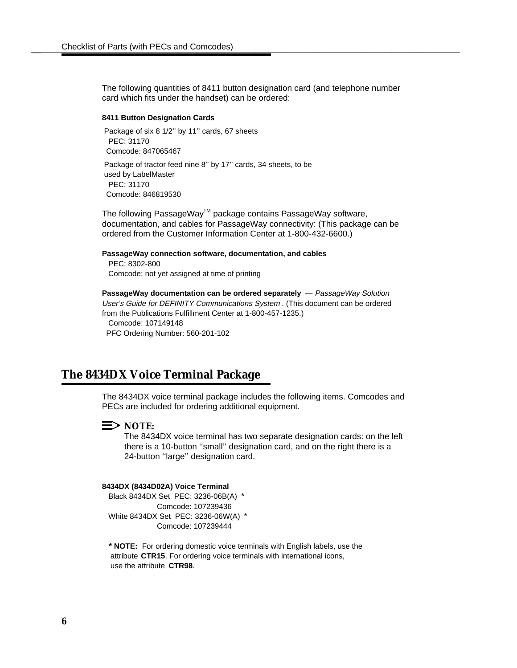The following quantities of 8411 button designation card (and telephone number card which fits under the handset) can be ordered:

#### **8411 Button Designation Cards**

Package of six 8 1/2'' by 11'' cards, 67 sheets PEC: 31170 Comcode: 847065467

Package of tractor feed nine 8'' by 17'' cards, 34 sheets, to be used by LabelMaster PEC: 31170 Comcode: 846819530

The following PassageWay<sup>™</sup> package contains PassageWay software, documentation, and cables for PassageWay connectivity: (This package can be ordered from the Customer Information Center at 1-800-432-6600.)

<span id="page-10-0"></span>**PassageWay connection software, documentation, and cables**

 PEC: 8302-800 Comcode: not yet assigned at time of printing

**PassageWay documentation can be ordered separately** — PassageWay Solution User's Guide for DEFINITY Communications System . (This document can be ordered from the Publications Fulfillment Center at 1-800-457-1235.) Comcode: 107149148 PFC Ordering Number: 560-201-102

### **The 8434DX Voice Terminal Package**

The 8434DX voice terminal package includes the following items. Comcodes and PECs are included for ordering additional equipment.

### $\equiv$  NOTE:

The 8434DX voice terminal has two separate designation cards: on the left there is a 10-button ''small'' designation card, and on the right there is a 24-button ''large'' designation card.

#### **8434DX (8434D02A) Voice Terminal**

 Black 8434DX Set PEC: 3236-06B(A) \* Comcode: 107239436 White 8434DX Set PEC: 3236-06W(A) \* Comcode: 107239444

 **\* NOTE:** For ordering domestic voice terminals with English labels, use the attribute **CTR15**. For ordering voice terminals with international icons, use the attribute **CTR98**.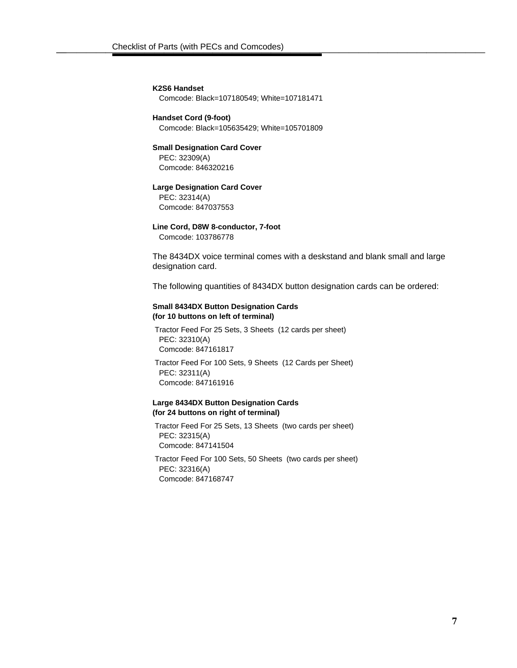**K2S6 Handset** Comcode: Black=107180549; White=107181471

**Handset Cord (9-foot)** Comcode: Black=105635429; White=105701809

**Small Designation Card Cover** PEC: 32309(A)

Comcode: 846320216

**Large Designation Card Cover** PEC: 32314(A) Comcode: 847037553

**Line Cord, D8W 8-conductor, 7-foot** Comcode: 103786778

The 8434DX voice terminal comes with a deskstand and blank small and large designation card.

The following quantities of 8434DX button designation cards can be ordered:

### **Small 8434DX Button Designation Cards (for 10 buttons on left of terminal)**

Tractor Feed For 25 Sets, 3 Sheets (12 cards per sheet) PEC: 32310(A) Comcode: 847161817

Tractor Feed For 100 Sets, 9 Sheets (12 Cards per Sheet) PEC: 32311(A) Comcode: 847161916

### **Large 8434DX Button Designation Cards (for 24 buttons on right of terminal)**

Tractor Feed For 25 Sets, 13 Sheets (two cards per sheet) PEC: 32315(A) Comcode: 847141504

Tractor Feed For 100 Sets, 50 Sheets (two cards per sheet) PEC: 32316(A) Comcode: 847168747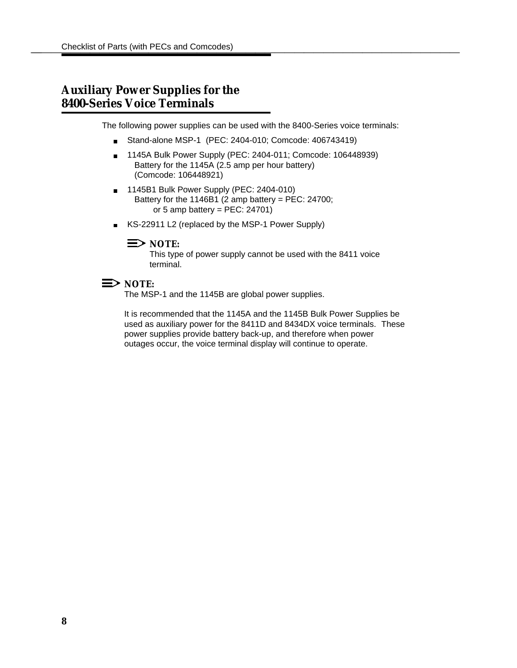# <span id="page-12-1"></span><span id="page-12-0"></span>**Auxiliary Power Supplies for the Auxiliary Power Supplies for the<br>8400-Series Voice Terminals**

The following power supplies can be used with the 8400-Series voice terminals:

- Stand-alone MSP-1 (PEC: 2404-010; Comcode: 406743419)  $\blacksquare$
- 1145A Bulk Power Supply (PEC: 2404-011; Comcode: 106448939) Battery for the 1145A (2.5 amp per hour battery) (Comcode: 106448921)
- 1145B1 Bulk Power Supply (PEC: 2404-010)  $\blacksquare$ Battery for the 1146B1 (2 amp battery = PEC:  $24700$ ; or 5 amp battery = PEC:  $24701$ )
- KS-22911 L2 (replaced by the MSP-1 Power Supply)

### $\Rightarrow$  note:

This type of power supply cannot be used with the 8411 voice terminal.

### $\Rightarrow$  NOTE:

The MSP-1 and the 1145B are global power supplies.

It is recommended that the 1145A and the 1145B Bulk Power Supplies be used as auxiliary power for the 8411D and 8434DX voice terminals. These power supplies provide battery back-up, and therefore when power outages occur, the voice terminal display will continue to operate.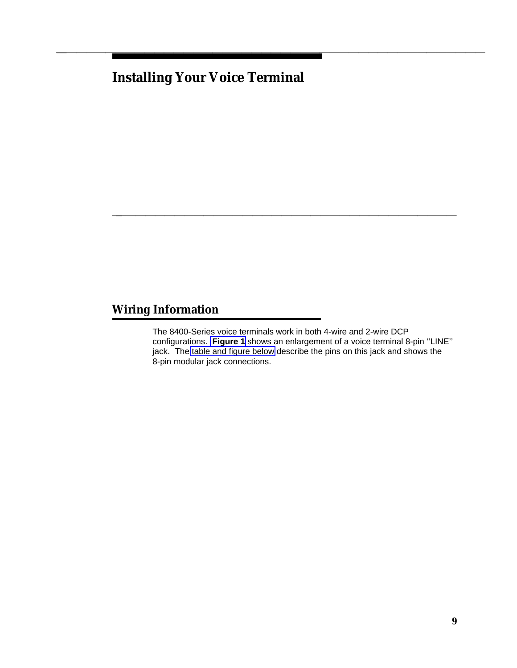### **Installing Your Voice Terminal**

<span id="page-13-0"></span>bbbbbbbbbbbbbbbbbbbbbbbbbbbbbbbbbbbbbbbbbbbb bbbbb

### <span id="page-13-1"></span>**Wiring Information**

The 8400-Series voice terminals work in both 4-wire and 2-wire DCP configurations. **[Figure 1](#page-14-1)** shows an enlargement of a voice terminal 8-pin ''LINE'' jack. The [table and figure below](#page-14-0) describe the pins on this jack and shows the 8-pin modular jack connections.

bbbbbbbbbbbbbbbbbbbbbbbbbbbbbbbbbbbb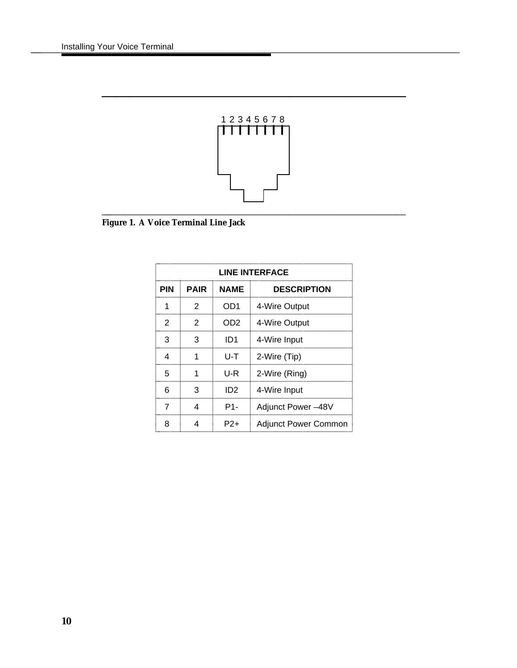<span id="page-14-1"></span>

<span id="page-14-0"></span>bbbbbbbbbbbbbbbbbbbbb

### <span id="page-14-2"></span>**Figure 1. A Voice Terminal Line Jack**

|            | <b>LINE INTERFACE</b> |                 |                             |  |  |  |  |
|------------|-----------------------|-----------------|-----------------------------|--|--|--|--|
| <b>PIN</b> | <b>PAIR</b>           | <b>NAME</b>     | <b>DESCRIPTION</b>          |  |  |  |  |
| 1          | 2                     | OD <sub>1</sub> | 4-Wire Output               |  |  |  |  |
| 2          | 2                     | OD <sub>2</sub> | 4-Wire Output               |  |  |  |  |
| 3          | 3                     | ID1             | 4-Wire Input                |  |  |  |  |
| 4          | 1                     | U-T             | 2-Wire (Tip)                |  |  |  |  |
| 5          | 1                     | U-R             | 2-Wire (Ring)               |  |  |  |  |
| 6          | 3                     | ID <sub>2</sub> | 4-Wire Input                |  |  |  |  |
| 7          | 4                     | P1-             | Adjunct Power -48V          |  |  |  |  |
| 8          | 4                     | P2+             | <b>Adjunct Power Common</b> |  |  |  |  |

l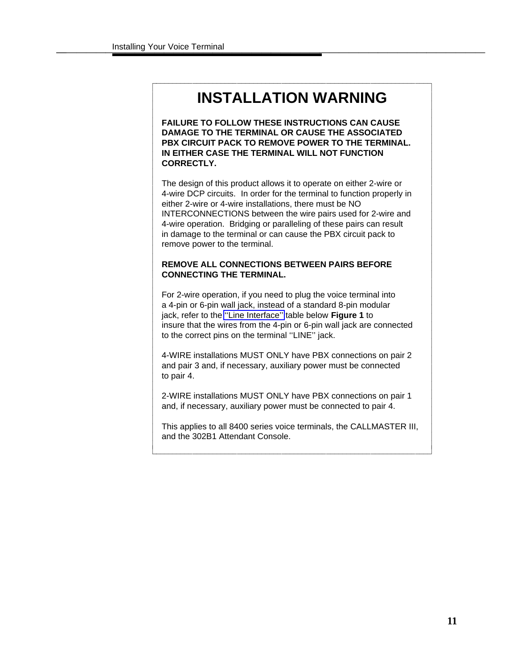l

### **INSTALLATION WARNING**

bbbbbbbbbbbbbbbbbbbbbbbbbbbbbbbbbbbbbbbbbbbbbbbbbbbbbbbbbbbbbbbbbbbbb

**FAILURE TO FOLLOW THESE INSTRUCTIONS CAN CAUSE DAMAGE TO THE TERMINAL OR CAUSE THE ASSOCIATED PBX CIRCUIT PACK TO REMOVE POWER TO THE TERMINAL. IN EITHER CASE THE TERMINAL WILL NOT FUNCTION CORRECTLY.** 

The design of this product allows it to operate on either 2-wire or 4-wire DCP circuits. In order for the terminal to function properly in either 2-wire or 4-wire installations, there must be NO INTERCONNECTIONS between the wire pairs used for 2-wire and 4-wire operation. Bridging or paralleling of these pairs can result in damage to the terminal or can cause the PBX circuit pack to remove power to the terminal.

### **REMOVE ALL CONNECTIONS BETWEEN PAIRS BEFORE CONNECTING THE TERMINAL.**

For 2-wire operation, if you need to plug the voice terminal into a 4-pin or 6-pin wall jack, instead of a standard 8-pin modular jack, refer to the [''Line Interface''](#page-14-2) table below **Figure 1** to insure that the wires from the 4-pin or 6-pin wall jack are connected to the correct pins on the terminal ''LINE'' jack.

4-WIRE installations MUST ONLY have PBX connections on pair 2 and pair 3 and, if necessary, auxiliary power must be connected to pair 4.

2-WIRE installations MUST ONLY have PBX connections on pair 1 and, if necessary, auxiliary power must be connected to pair 4.

This applies to all 8400 series voice terminals, the CALLMASTER III, and the 302B1 Attendant Console.

bbbbbbbbbbbbbbbbbbbbbbbbbbbbbbbbbbbbbbbbbbbbbbbbbbbbbbbbbbbbbbbbbbbbb c

l l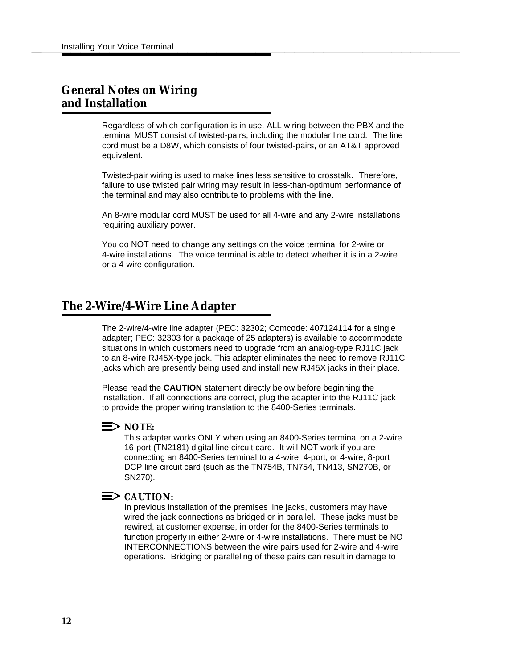# <span id="page-16-0"></span>**General Notes on Wiring General Notes on Wiring<br>and Installation**

Regardless of which configuration is in use, ALL wiring between the PBX and the terminal MUST consist of twisted-pairs, including the modular line cord. The line cord must be a D8W, which consists of four twisted-pairs, or an AT&T approved equivalent.

Twisted-pair wiring is used to make lines less sensitive to crosstalk. Therefore, failure to use twisted pair wiring may result in less-than-optimum performance of the terminal and may also contribute to problems with the line.

An 8-wire modular cord MUST be used for all 4-wire and any 2-wire installations requiring auxiliary power.

You do NOT need to change any settings on the voice terminal for 2-wire or 4-wire installations. The voice terminal is able to detect whether it is in a 2-wire or a 4-wire configuration.

### <span id="page-16-2"></span><span id="page-16-1"></span>**The 2-Wire/4-Wire Line Adapter** bbbbbbb

The 2-wire/4-wire line adapter (PEC: 32302; Comcode: 407124114 for a single adapter; PEC: 32303 for a package of 25 adapters) is available to accommodate situations in which customers need to upgrade from an analog-type RJ11C jack to an 8-wire RJ45X-type jack. This adapter eliminates the need to remove RJ11C jacks which are presently being used and install new RJ45X jacks in their place.

Please read the **CAUTION** statement directly below before beginning the installation. If all connections are correct, plug the adapter into the RJ11C jack to provide the proper wiring translation to the 8400-Series terminals.

### $\Rightarrow$  note:

This adapter works ONLY when using an 8400-Series terminal on a 2-wire 16-port (TN2181) digital line circuit card. It will NOT work if you are connecting an 8400-Series terminal to a 4-wire, 4-port, or 4-wire, 8-port DCP line circuit card (such as the TN754B, TN754, TN413, SN270B, or SN270).

### $\Rightarrow$  CAUTION:

In previous installation of the premises line jacks, customers may have wired the jack connections as bridged or in parallel. These jacks must be rewired, at customer expense, in order for the 8400-Series terminals to function properly in either 2-wire or 4-wire installations. There must be NO INTERCONNECTIONS between the wire pairs used for 2-wire and 4-wire operations. Bridging or paralleling of these pairs can result in damage to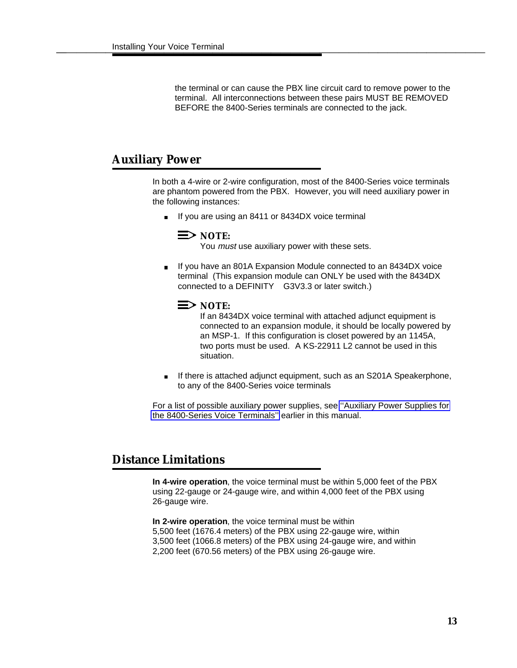the terminal or can cause the PBX line circuit card to remove power to the terminal. All interconnections between these pairs MUST BE REMOVED BEFORE the 8400-Series terminals are connected to the jack.

# <span id="page-17-0"></span>**Auxiliary Power**

In both a 4-wire or 2-wire configuration, most of the 8400-Series voice terminals are phantom powered from the PBX. However, you will need auxiliary power in the following instances:

■ If you are using an 8411 or 8434DX voice terminal



You must use auxiliary power with these sets.

<span id="page-17-1"></span>If you have an 801A Expansion Module connected to an 8434DX voice terminal (This expansion module can ONLY be used with the 8434DX connected to a DEFINITY<sup>®</sup> G3V3.3 or later switch.)

### $\equiv$  note:

If an 8434DX voice terminal with attached adjunct equipment is connected to an expansion module, it should be locally powered by an MSP-1. If this configuration is closet powered by an 1145A, two ports must be used. A KS-22911 L2 cannot be used in this situation.

If there is attached adjunct equipment, such as an S201A Speakerphone, to any of the 8400-Series voice terminals

For a list of possible auxiliary power supplies, see [''Auxiliary Power Supplies for](#page-12-1) [the 8400-Series Voice Terminals''](#page-12-1) earlier in this manual.

# **Distance Limitations**

**In 4-wire operation**, the voice terminal must be within 5,000 feet of the PBX using 22-gauge or 24-gauge wire, and within 4,000 feet of the PBX using 26-gauge wire.

**In 2-wire operation**, the voice terminal must be within 5,500 feet (1676.4 meters) of the PBX using 22-gauge wire, within 3,500 feet (1066.8 meters) of the PBX using 24-gauge wire, and within 2,200 feet (670.56 meters) of the PBX using 26-gauge wire.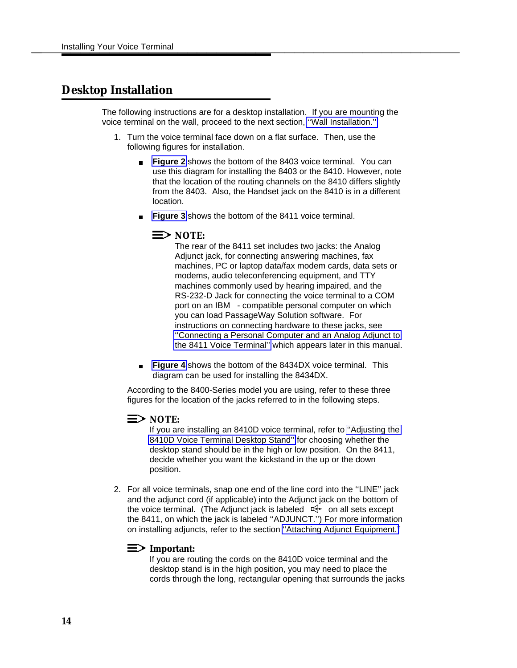# <span id="page-18-1"></span><span id="page-18-0"></span>**Desktop Installation**

The following instructions are for a desktop installation. If you are mounting the voice terminal on the wall, proceed to the next section, [''Wall Installation.''](#page-25-1)

- 1. Turn the voice terminal face down on a flat surface. Then, use the following figures for installation.
	- **Figure 2** shows the bottom of the 8403 voice terminal. You can use this diagram for installing the 8403 or the 8410. However, note that the location of the routing channels on the 8410 differs slightly from the 8403. Also, the Handset jack on the 8410 is in a different location.
	- **[Figure 3](#page-21-0)** shows the bottom of the 8411 voice terminal.

### $\Rightarrow$  **NOTE:**

The rear of the 8411 set includes two jacks: the Analog Adjunct jack, for connecting answering machines, fax machines, PC or laptop data/fax modem cards, data sets or modems, audio teleconferencing equipment, and TTY machines commonly used by hearing impaired, and the RS-232-D Jack for connecting the voice terminal to a COM port on an IBM®- compatible personal computer on which you can load PassageWay Solution software. For instructions on connecting hardware to these jacks, see [''Connecting a Personal Computer and an Analog Adjunct to](#page-32-2) [the 8411 Voice Terminal''](#page-32-2) which appears later in this manual.

**[Figure 4](#page-22-0)** shows the bottom of the 8434DX voice terminal. This diagram can be used for installing the 8434DX.

According to the 8400-Series model you are using, refer to these three figures for the location of the jacks referred to in the following steps.

### $\equiv$  note:

If you are installing an 8410D voice terminal, refer to [''Adjusting the](#page-23-1) [8410D Voice Terminal Desktop Stand''](#page-23-1) for choosing whether the desktop stand should be in the high or low position. On the 8411, decide whether you want the kickstand in the up or the down position.

2. For all voice terminals, snap one end of the line cord into the ''LINE'' jack and the adjunct cord (if applicable) into the Adjunct jack on the bottom of the voice terminal. (The Adjunct jack is labeled  $\forall$  on all sets except the 8411, on which the jack is labeled ''ADJUNCT.'') For more information on installing adjuncts, refer to the section [''Attaching Adjunct Equipment.'](#page-30-1)'

### **Important:**

If you are routing the cords on the 8410D voice terminal and the desktop stand is in the high position, you may need to place the cords through the long, rectangular opening that surrounds the jacks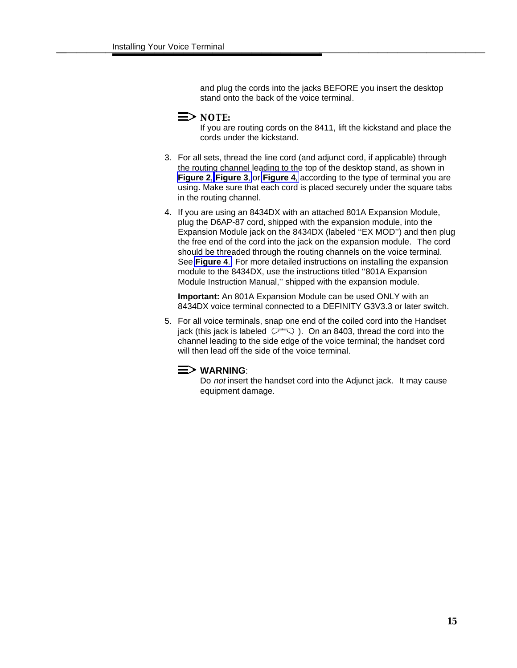and plug the cords into the jacks BEFORE you insert the desktop stand onto the back of the voice terminal.

 $\equiv$  NOTE:

If you are routing cords on the 8411, lift the kickstand and place the cords under the kickstand.

- 3. For all sets, thread the line cord (and adjunct cord, if applicable) through the routing channel leading to the top of the desktop stand, as shown in **[Figure 2](#page-20-1)**, **[Figure 3](#page-21-1)**, or **[Figure 4](#page-22-1)**, according to the type of terminal you are using. Make sure that each cord is placed securely under the square tabs in the routing channel.
- 4. If you are using an 8434DX with an attached 801A Expansion Module, plug the D6AP-87 cord, shipped with the expansion module, into the Expansion Module jack on the 8434DX (labeled "EX MOD") and then plug the free end of the cord into the jack on the expansion module. The cord should be threaded through the routing channels on the voice terminal. See **[Figure 4](#page-22-1)**. For more detailed instructions on installing the expansion module to the 8434DX, use the instructions titled ''801A Expansion Module Instruction Manual,'' shipped with the expansion module.

**Important:** An 801A Expansion Module can be used ONLY with an 8434DX voice terminal connected to a DEFINITY G3V3.3 or later switch.

5. For all voice terminals, snap one end of the coiled cord into the Handset jack (this jack is labeled  $\overline{C}$ ). On an 8403, thread the cord into the channel leading to the side edge of the voice terminal; the handset cord will then lead off the side of the voice terminal.



Do not insert the handset cord into the Adjunct jack. It may cause equipment damage.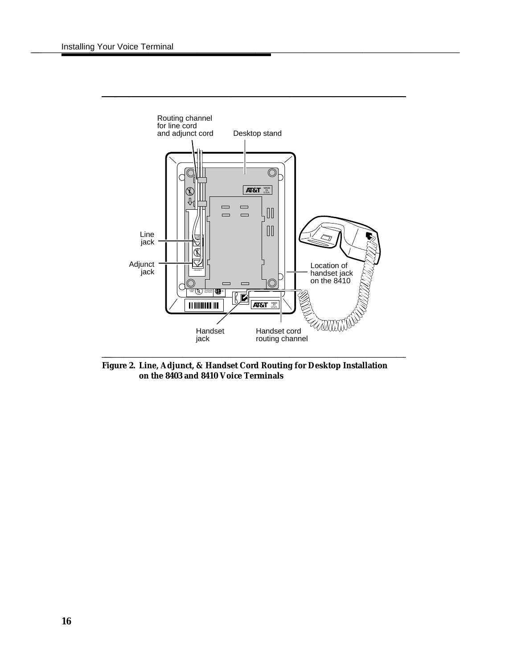<span id="page-20-1"></span><span id="page-20-0"></span>

**Figure 2. Line, Adjunct, & Handset Cord Routing for Desktop Installation on the 8403 and 8410 Voice Terminals**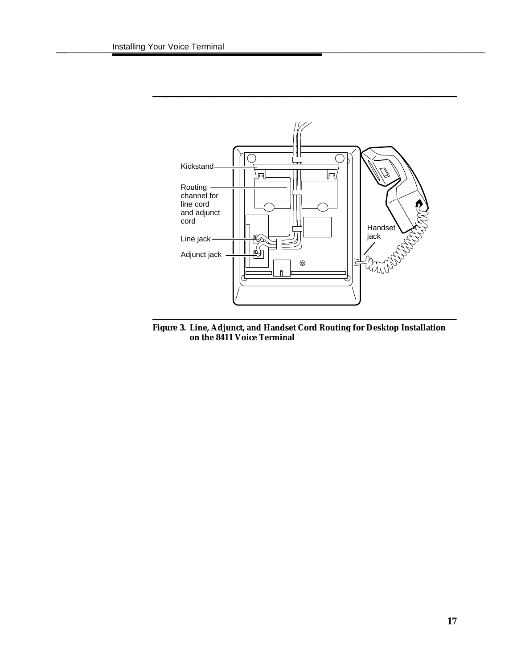<span id="page-21-2"></span><span id="page-21-1"></span>

<span id="page-21-0"></span>bbbbbbbbbbbbbbbbbbbbb

**Figure 3. Line, Adjunct, and Handset Cord Routing for Desktop Installation on the 8411 Voice Terminal**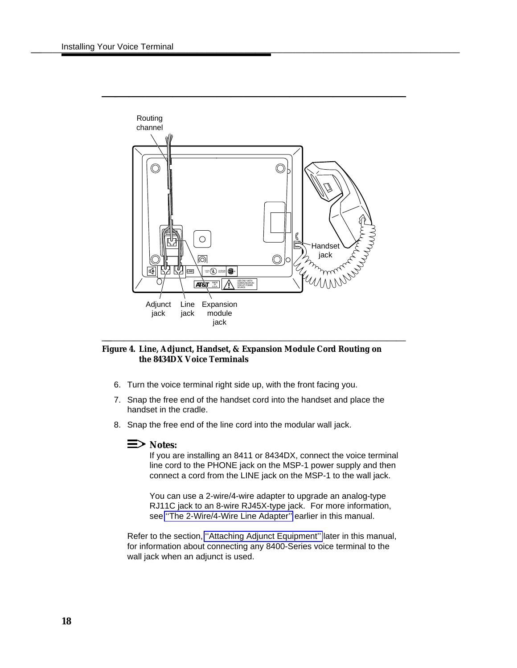<span id="page-22-2"></span><span id="page-22-1"></span><span id="page-22-0"></span>

### **Figure 4. Line, Adjunct, Handset, & Expansion Module Cord Routing on the 8434DX Voice Terminals**

- 6. Turn the voice terminal right side up, with the front facing you.
- 7. Snap the free end of the handset cord into the handset and place the handset in the cradle.
- 8. Snap the free end of the line cord into the modular wall jack.

### $\Rightarrow$  Notes:

If you are installing an 8411 or 8434DX, connect the voice terminal line cord to the PHONE jack on the MSP-1 power supply and then connect a cord from the LINE jack on the MSP-1 to the wall jack.

You can use a 2-wire/4-wire adapter to upgrade an analog-type RJ11C jack to an 8-wire RJ45X-type jack. For more information, see [''The 2-Wire/4-Wire Line Adapter''](#page-16-2) earlier in this manual.

Refer to the section, [''Attaching Adjunct Equipment''](#page-30-1) later in this manual, for information about connecting any 8400-Series voice terminal to the wall jack when an adjunct is used.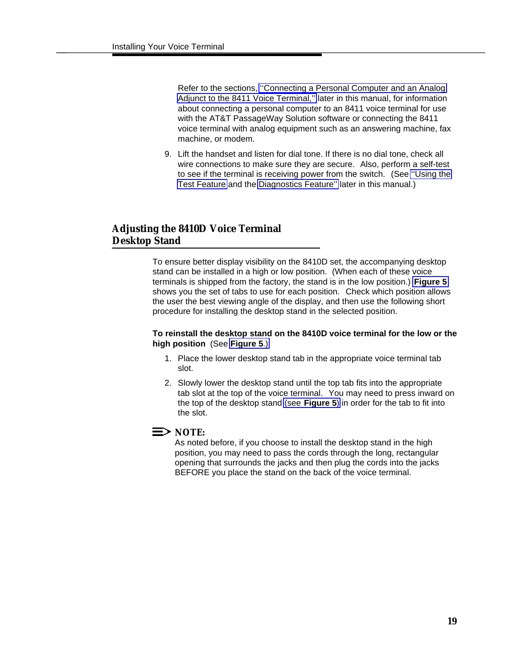Refer to the sections, [''Connecting a Personal Computer and an Analog](#page-32-2) [Adjunct to the 8411 Voice Terminal,''](#page-32-2) later in this manual, for information about connecting a personal computer to an 8411 voice terminal for use with the AT&T PassageWay Solution software or connecting the 8411 voice terminal with analog equipment such as an answering machine, fax machine, or modem.

9. Lift the handset and listen for dial tone. If there is no dial tone, check all wire connections to make sure they are secure. Also, perform a self-test to see if the terminal is receiving power from the switch. (See [''Using the](#page-71-2) [Test Feature](#page-71-2) and the [Diagnostics Feature''](#page-72-1) later in this manual.)

# <span id="page-23-1"></span><span id="page-23-0"></span>**Adjusting the 8410D Voice Terminal<br>Desktop Stand**

To ensure better display visibility on the 8410D set, the accompanying desktop stand can be installed in a high or low position. (When each of these voice terminals is shipped from the factory, the stand is in the low position.) **[Figure 5](#page-24-0)** shows you the set of tabs to use for each position. Check which position allows the user the best viewing angle of the display, and then use the following short procedure for installing the desktop stand in the selected position.

### **To reinstall the desktop stand on the 8410D voice terminal for the low or the high position** (See **[Figure 5](#page-24-0)**.)

- 1. Place the lower desktop stand tab in the appropriate voice terminal tab slot.
- 2. Slowly lower the desktop stand until the top tab fits into the appropriate tab slot at the top of the voice terminal. You may need to press inward on the top of the desktop stand (see **[Figure 5](#page-24-0)**) in order for the tab to fit into the slot.



As noted before, if you choose to install the desktop stand in the high position, you may need to pass the cords through the long, rectangular opening that surrounds the jacks and then plug the cords into the jacks BEFORE you place the stand on the back of the voice terminal.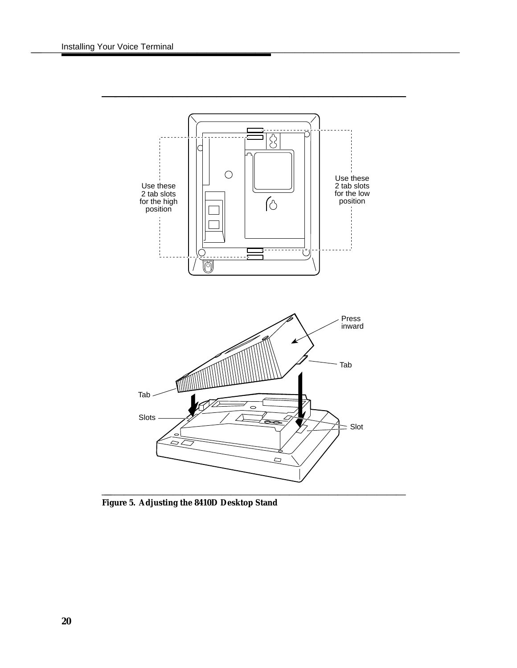<span id="page-24-0"></span>

**Figure 5. Adjusting the 8410D Desktop Stand**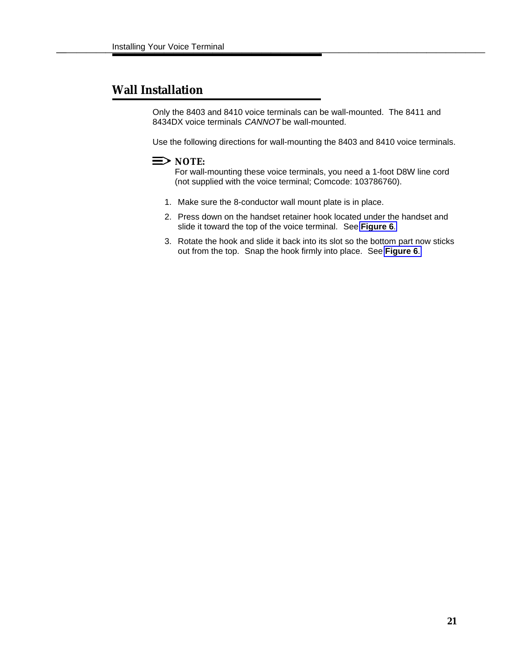# <span id="page-25-1"></span><span id="page-25-0"></span>**Wall Installation**

Only the 8403 and 8410 voice terminals can be wall-mounted. The 8411 and 8434DX voice terminals CANNOT be wall-mounted.

Use the following directions for wall-mounting the 8403 and 8410 voice terminals.



For wall-mounting these voice terminals, you need a 1-foot D8W line cord (not supplied with the voice terminal; Comcode: 103786760).

- 1. Make sure the 8-conductor wall mount plate is in place.
- 2. Press down on the handset retainer hook located under the handset and slide it toward the top of the voice terminal. See **[Figure 6](#page-26-0)**.
- 3. Rotate the hook and slide it back into its slot so the bottom part now sticks out from the top. Snap the hook firmly into place. See **[Figure 6](#page-26-0)**.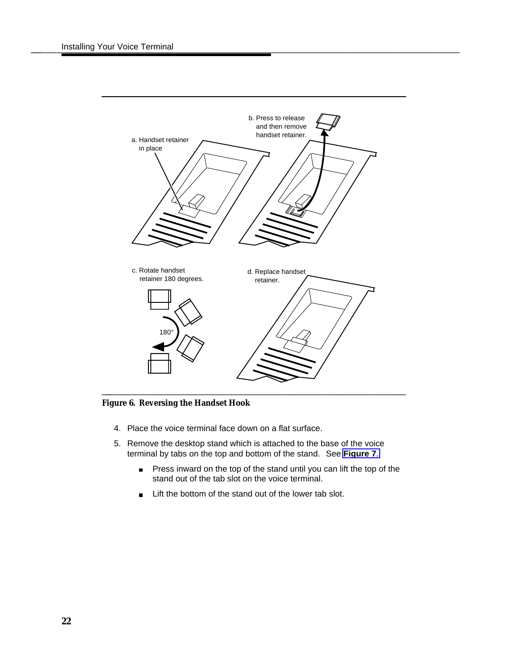<span id="page-26-0"></span>

**Figure 6. Reversing the Handset Hook**

- 4. Place the voice terminal face down on a flat surface.
- 5. Remove the desktop stand which is attached to the base of the voice terminal by tabs on the top and bottom of the stand. See **[Figure 7](#page-27-0)**.
	- Press inward on the top of the stand until you can lift the top of the  $\blacksquare$ stand out of the tab slot on the voice terminal.
	- Lift the bottom of the stand out of the lower tab slot.  $\blacksquare$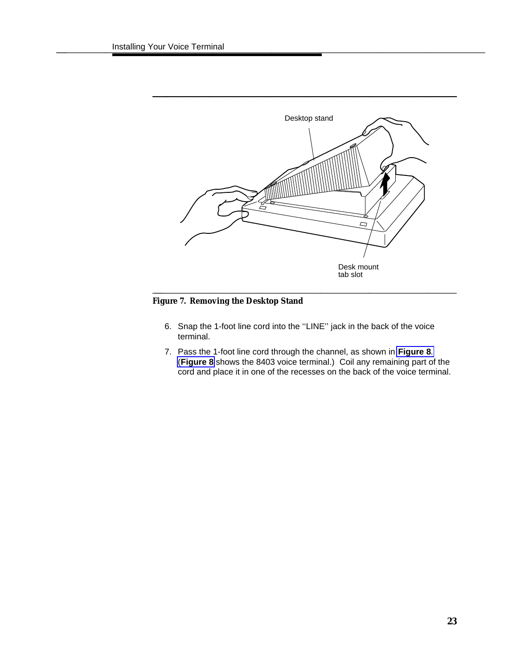<span id="page-27-0"></span>

### **Figure 7. Removing the Desktop Stand**

- 6. Snap the 1-foot line cord into the ''LINE'' jack in the back of the voice terminal.
- 7. Pass the 1-foot line cord through the channel, as shown in **[Figure 8](#page-28-0)**. (**[Figure 8](#page-28-0)** shows the 8403 voice terminal.) Coil any remaining part of the cord and place it in one of the recesses on the back of the voice terminal.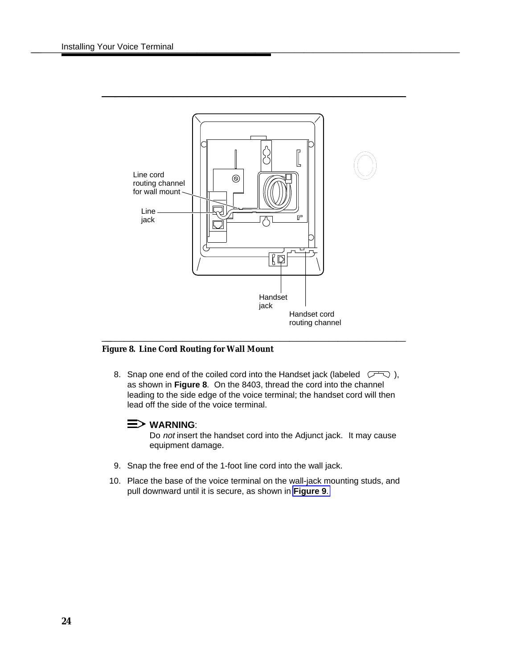<span id="page-28-0"></span>

### **Figure 8. Line Cord Routing for Wall Mount**

8. Snap one end of the coiled cord into the Handset jack (labeled  $\overline{C}$ ), as shown in **Figure 8**. On the 8403, thread the cord into the channel leading to the side edge of the voice terminal; the handset cord will then lead off the side of the voice terminal.

### **WARNING**:

Do not insert the handset cord into the Adjunct jack. It may cause equipment damage.

- 9. Snap the free end of the 1-foot line cord into the wall jack.
- 10. Place the base of the voice terminal on the wall-jack mounting studs, and pull downward until it is secure, as shown in **[Figure 9](#page-29-0)**.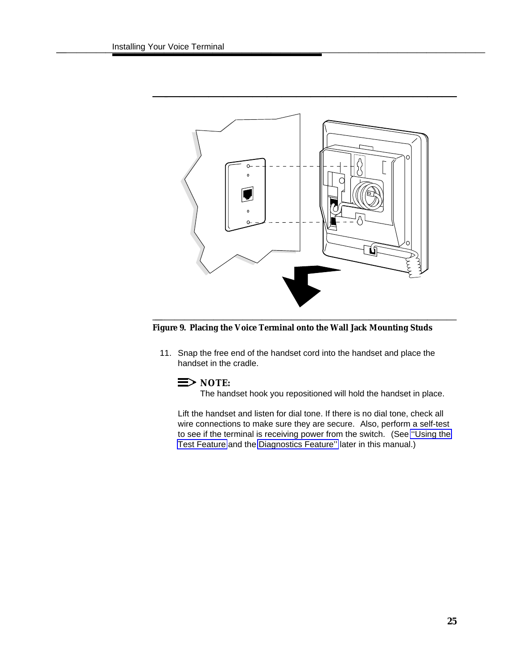<span id="page-29-0"></span>

**Figure 9. Placing the Voice Terminal onto the Wall Jack Mounting Studs**

11. Snap the free end of the handset cord into the handset and place the handset in the cradle.



The handset hook you repositioned will hold the handset in place.

Lift the handset and listen for dial tone. If there is no dial tone, check all wire connections to make sure they are secure. Also, perform a self-test to see if the terminal is receiving power from the switch. (See [''Using the](#page-71-3) [Test Feature](#page-71-3) and the [Diagnostics Feature''](#page-72-2) later in this manual.)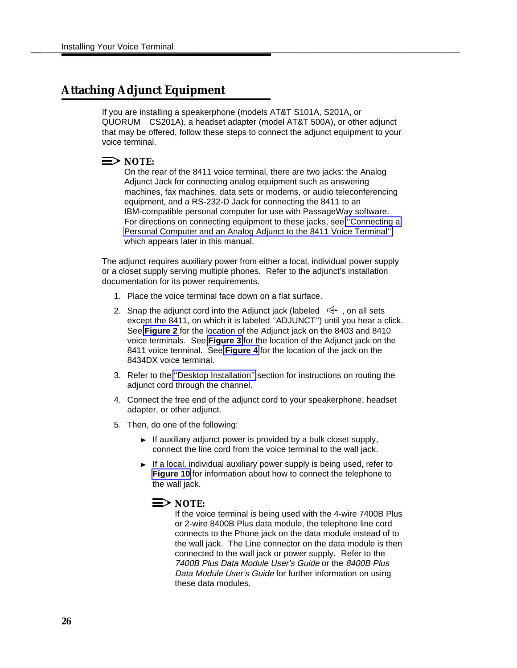# <span id="page-30-1"></span><span id="page-30-0"></span>**Installing Your Voice Terminal<br>Attaching Adjunct Equipment**

If you are installing a speakerphone (models AT&T S101A, S201A, or QUORUM CS201A), a headset adapter (model AT&T 500A), or other adjunct that may be offered, follow these steps to connect the adjunct equipment to your voice terminal.

### $\equiv$  note:

On the rear of the 8411 voice terminal, there are two jacks: the Analog Adjunct Jack for connecting analog equipment such as answering machines, fax machines, data sets or modems, or audio teleconferencing equipment, and a RS-232-D Jack for connecting the 8411 to an IBM-compatible personal computer for use with PassageWay software. For directions on connecting equipment to these jacks, see [''Connecting a](#page-32-2) [Personal Computer and an Analog Adjunct to the 8411 Voice Terminal''](#page-32-2) which appears later in this manual.

The adjunct requires auxiliary power from either a local, individual power supply or a closet supply serving multiple phones. Refer to the adjunct's installation documentation for its power requirements.

- 1. Place the voice terminal face down on a flat surface.
- 2. Snap the adjunct cord into the Adjunct jack (labeled  $\overline{\mathbb{Q}}$ , on all sets except the 8411, on which it is labeled ''ADJUNCT'') until you hear a click. See **[Figure 2](#page-20-0)** for the location of the Adjunct jack on the 8403 and 8410 voice terminals. See **[Figure 3](#page-21-2)** for the location of the Adjunct jack on the 8411 voice terminal. See **[Figure 4](#page-22-2)** for the location of the jack on the 8434DX voice terminal.
- 3. Refer to the [''Desktop Installation''](#page-18-1) section for instructions on routing the adjunct cord through the channel.
- 4. Connect the free end of the adjunct cord to your speakerphone, headset adapter, or other adjunct.
- 5. Then, do one of the following:
	- $\blacktriangleright$  If auxiliary adjunct power is provided by a bulk closet supply, connect the line cord from the voice terminal to the wall jack.
	- $\blacktriangleright$  If a local, individual auxiliary power supply is being used, refer to **[Figure 10](#page-31-0)** for information about how to connect the telephone to the wall jack.

### $\equiv$  NOTE:

If the voice terminal is being used with the 4-wire 7400B Plus or 2-wire 8400B Plus data module, the telephone line cord connects to the Phone jack on the data module instead of to the wall jack. The Line connector on the data module is then connected to the wall jack or power supply. Refer to the 7400B Plus Data Module User's Guide or the 8400B Plus Data Module User's Guide for further information on using these data modules.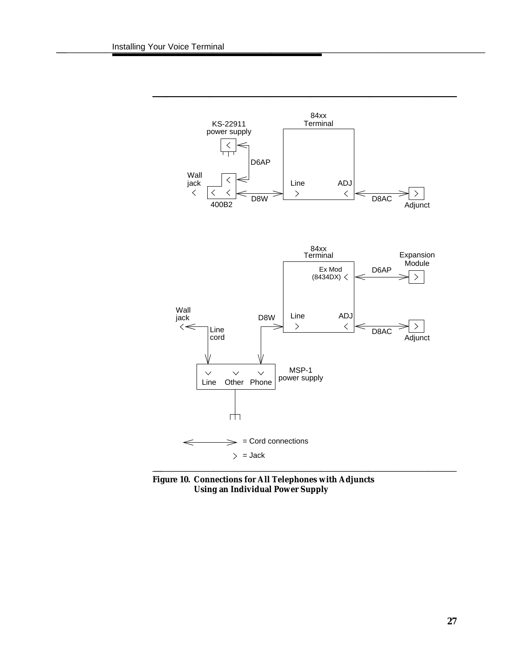

<span id="page-31-0"></span>**Figure 10. Connections for All Telephones with Adjuncts Using an Individual Power Supply**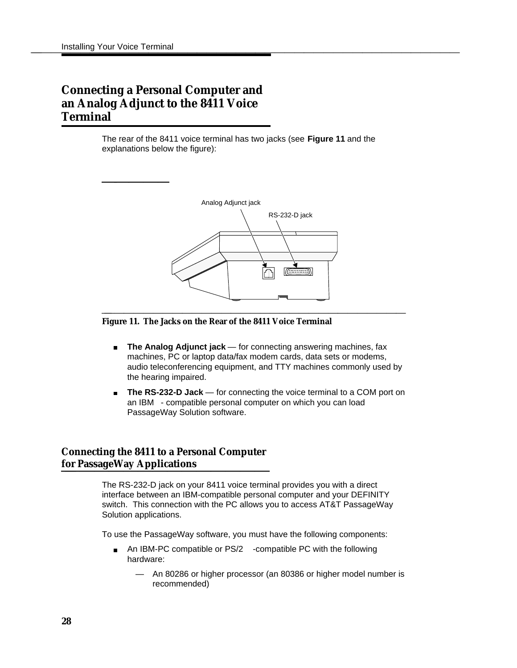## <span id="page-32-2"></span><span id="page-32-0"></span>**Connecting a Personal Computer and an Analog Adjunct to the 8411 Voice Connecting a Personal Computer and<br>an Analog Adjunct to the 8411 Voice<br>Terminal**

The rear of the 8411 voice terminal has two jacks (see **Figure 11** and the explanations below the figure):

bbbbbbbbbbbbbbbbbbbbb

<span id="page-32-3"></span><span id="page-32-1"></span>

#### **Figure 11. The Jacks on the Rear of the 8411 Voice Terminal**

- **The Analog Adjunct jack**  for connecting answering machines, fax  $\blacksquare$ machines, PC or laptop data/fax modem cards, data sets or modems, audio teleconferencing equipment, and TTY machines commonly used by the hearing impaired.
- **The RS-232-D Jack**  for connecting the voice terminal to a COM port on an IBM®- compatible personal computer on which you can load PassageWay Solution software.

# **Connecting the 8411 to a Personal Computer<br>for PassageWay Applications**

The RS-232-D jack on your 8411 voice terminal provides you with a direct interface between an IBM-compatible personal computer and your DEFINITY switch. This connection with the PC allows you to access AT&T PassageWay Solution applications.

To use the PassageWay software, you must have the following components:

- An IBM-PC compatible or PS/2<sup>®</sup> -compatible PC with the following  $\blacksquare$ hardware:
	- An 80286 or higher processor (an 80386 or higher model number is recommended)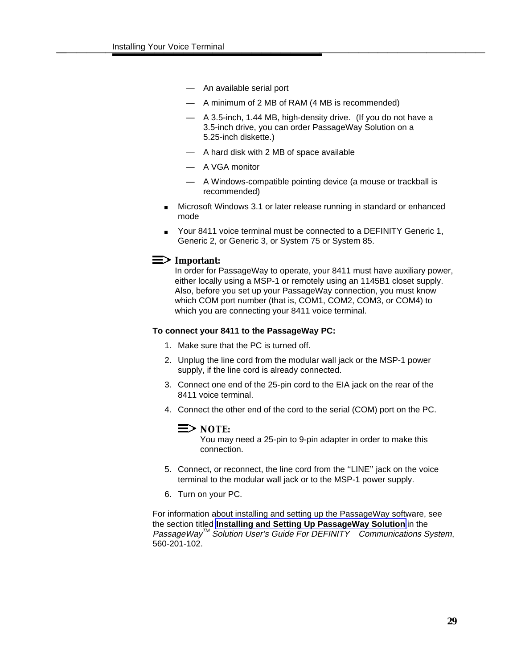- An available serial port
- A minimum of 2 MB of RAM (4 MB is recommended)
- A 3.5-inch, 1.44 MB, high-density drive. (If you do not have a 3.5-inch drive, you can order PassageWay Solution on a 5.25-inch diskette.)
- A hard disk with 2 MB of space available
- A VGA monitor
- A Windows-compatible pointing device (a mouse or trackball is recommended)
- **Microsoft Windows 3.1 or later release running in standard or enhanced** mode
- Your 8411 voice terminal must be connected to a DEFINITY Generic 1, Generic 2, or Generic 3, or System 75 or System 85.

### **Important:**

In order for PassageWay to operate, your 8411 must have auxiliary power, either locally using a MSP-1 or remotely using an 1145B1 closet supply. Also, before you set up your PassageWay connection, you must know which COM port number (that is, COM1, COM2, COM3, or COM4) to which you are connecting your 8411 voice terminal.

### **To connect your 8411 to the PassageWay PC:**

- 1. Make sure that the PC is turned off.
- 2. Unplug the line cord from the modular wall jack or the MSP-1 power supply, if the line cord is already connected.
- 3. Connect one end of the 25-pin cord to the EIA jack on the rear of the 8411 voice terminal.
- 4. Connect the other end of the cord to the serial (COM) port on the PC.

### $\equiv$  NOTE:

You may need a 25-pin to 9-pin adapter in order to make this connection.

- 5. Connect, or reconnect, the line cord from the ''LINE'' jack on the voice terminal to the modular wall jack or to the MSP-1 power supply.
- 6. Turn on your PC.

For information about installing and setting up the PassageWay software, see the section titled **[Installing and Setting Up PassageWay Solution](#page-32-3)** in the PassageWay<sup>™</sup> Solution User's Guide For DEFINITY<sup>®</sup> Communications System, 560-201-102.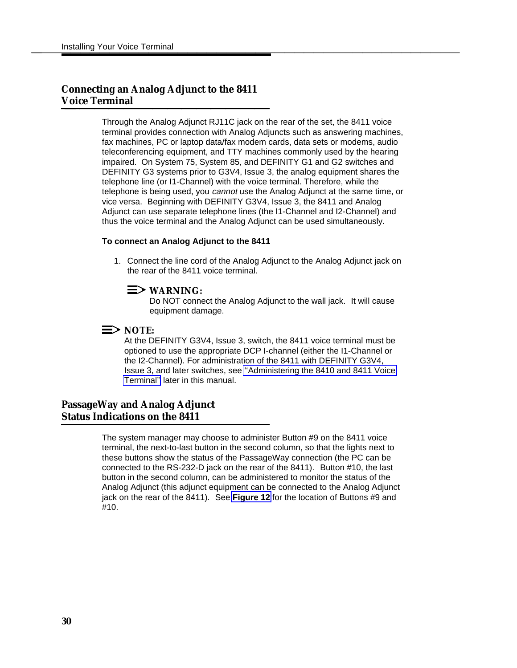# <span id="page-34-0"></span>**Connecting an Analog Adjunct to the 8411<br>Voice Terminal**

Through the Analog Adjunct RJ11C jack on the rear of the set, the 8411 voice terminal provides connection with Analog Adjuncts such as answering machines, fax machines, PC or laptop data/fax modem cards, data sets or modems, audio teleconferencing equipment, and TTY machines commonly used by the hearing impaired. On System 75, System 85, and DEFINITY G1 and G2 switches and DEFINITY G3 systems prior to G3V4, Issue 3, the analog equipment shares the telephone line (or I1-Channel) with the voice terminal. Therefore, while the telephone is being used, you *cannot* use the Analog Adjunct at the same time, or vice versa. Beginning with DEFINITY G3V4, Issue 3, the 8411 and Analog Adjunct can use separate telephone lines (the I1-Channel and I2-Channel) and thus the voice terminal and the Analog Adjunct can be used simultaneously.

### <span id="page-34-1"></span>**To connect an Analog Adjunct to the 8411**

1. Connect the line cord of the Analog Adjunct to the Analog Adjunct jack on the rear of the 8411 voice terminal.

### **WARNING:**

Do NOT connect the Analog Adjunct to the wall jack. It will cause equipment damage.

### $\Rightarrow$  note:

At the DEFINITY G3V4, Issue 3, switch, the 8411 voice terminal must be optioned to use the appropriate DCP I-channel (either the I1-Channel or the I2-Channel). For administration of the 8411 with DEFINITY G3V4, Issue 3, and later switches, see [''Administering the 8410 and 8411 Voice](#page-47-1) [Terminal''](#page-47-1) later in this manual.

# PassageWay and Analog Adjunct<br>Status Indications on the 8411

The system manager may choose to administer Button #9 on the 8411 voice terminal, the next-to-last button in the second column, so that the lights next to these buttons show the status of the PassageWay connection (the PC can be connected to the RS-232-D jack on the rear of the 8411). Button #10, the last button in the second column, can be administered to monitor the status of the Analog Adjunct (this adjunct equipment can be connected to the Analog Adjunct jack on the rear of the 8411). See **[Figure 12](#page-35-0)** for the location of Buttons #9 and #10.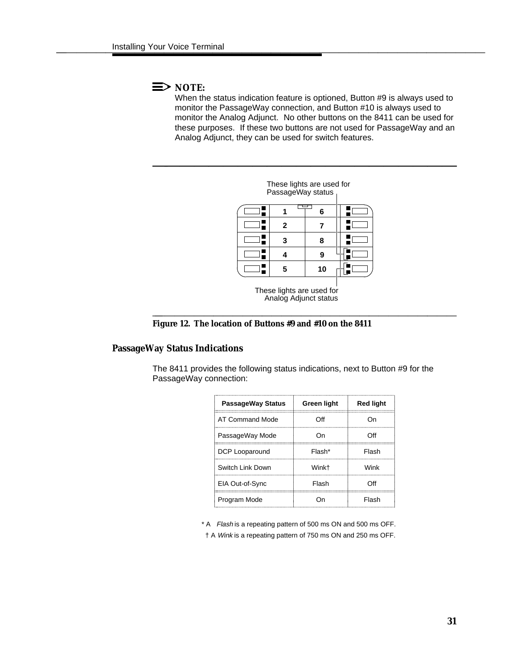<span id="page-35-0"></span> $\Rightarrow$  note:

When the status indication feature is optioned, Button #9 is always used to monitor the PassageWay connection, and Button #10 is always used to monitor the Analog Adjunct. No other buttons on the 8411 can be used for these purposes. If these two buttons are not used for PassageWay and an Analog Adjunct, they can be used for switch features.



**Figure 12. The location of Buttons #9 and #10 on the 8411**

### **PassageWay Status Indications**

The 8411 provides the following status indications, next to Button #9 for the PassageWay connection:

| <b>PassageWay Status</b> | Green light | <b>Red light</b> |
|--------------------------|-------------|------------------|
| <b>AT Command Mode</b>   | Off         | On               |
| PassageWay Mode          | On          | Off              |
| DCP Looparound           | Flash*      | Flash            |
| Switch Link Down         | Winkt       | Wink             |
| EIA Out-of-Sync          | Flash       | Off              |
| Program Mode             | On          | Flash            |

 \* A Flash is a repeating pattern of 500 ms ON and 500 ms OFF. † A Wink is a repeating pattern of 750 ms ON and 250 ms OFF.

l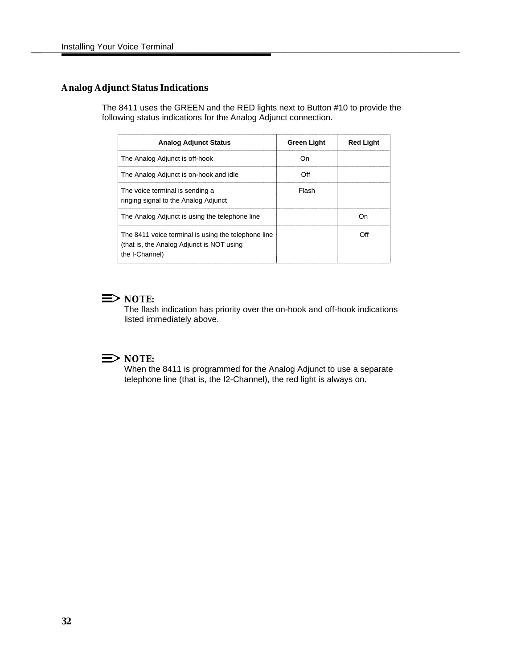### **Analog Adjunct Status Indications**

The 8411 uses the GREEN and the RED lights next to Button #10 to provide the following status indications for the Analog Adjunct connection.

| <b>Analog Adjunct Status</b>                                                                                       | Green Light | <b>Red Light</b> |
|--------------------------------------------------------------------------------------------------------------------|-------------|------------------|
| The Analog Adjunct is off-hook                                                                                     | On          |                  |
| The Analog Adjunct is on-hook and idle                                                                             | Off         |                  |
| The voice terminal is sending a<br>ringing signal to the Analog Adjunct                                            | Flash       |                  |
| The Analog Adjunct is using the telephone line                                                                     |             | On               |
| The 8411 voice terminal is using the telephone line<br>(that is, the Analog Adjunct is NOT using<br>the I-Channel) |             | Off              |

### $\Rightarrow$  NOTE:

The flash indication has priority over the on-hook and off-hook indications listed immediately above.

l

### $\Rightarrow$  NOTE:

When the 8411 is programmed for the Analog Adjunct to use a separate telephone line (that is, the I2-Channel), the red light is always on.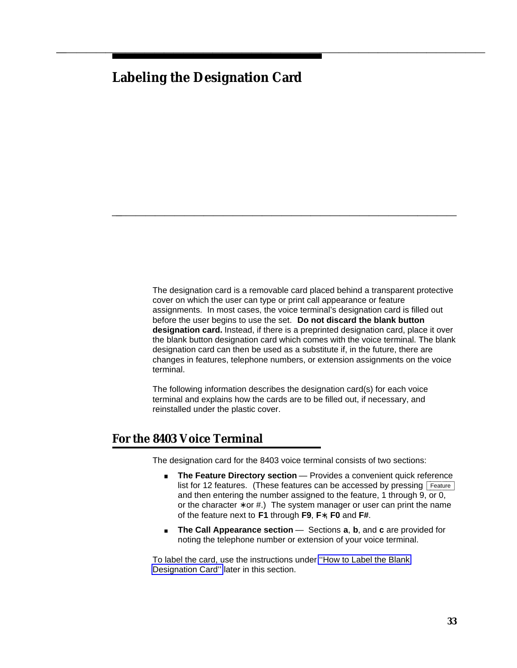### **Labeling the Designation Card**

bbbbbbbbbbbbbbbbbbbbbbbbbbbbbbbbbbbbbbbbbbbb bbbbb

The designation card is a removable card placed behind a transparent protective cover on which the user can type or print call appearance or feature assignments. In most cases, the voice terminal's designation card is filled out before the user begins to use the set. **Do not discard the blank button designation card.** Instead, if there is a preprinted designation card, place it over the blank button designation card which comes with the voice terminal. The blank designation card can then be used as a substitute if, in the future, there are changes in features, telephone numbers, or extension assignments on the voice terminal.

bbbbbbbbbbbbbbbbbbbbbbbbbbbbbbbbbbbb

The following information describes the designation card(s) for each voice terminal and explains how the cards are to be filled out, if necessary, and reinstalled under the plastic cover.<br>**For the 8403 Voice Terminal** reinstalled under the plastic cover.

The designation card for the 8403 voice terminal consists of two sections:

- **The Feature Directory section** Provides a convenient quick reference  $\blacksquare$ **The Feature Directory section** — Provides a convenient quick reference list for 12 features. (These features can be accessed by pressing Feature and then entering the number assigned to the feature, 1 through 9, or 0, or the character \* or #.) The system manager or user can print the name of the feature next to **F1** through **F9**, **F**∗, **F0** and **F#**.
- **The Call Appearance section** Sections **a**, **b**, and **c** are provided for  $\blacksquare$ noting the telephone number or extension of your voice terminal.

To label the card, use the instructions under [''How to Label the Blank](#page-39-0) [Designation Card''](#page-39-0) later in this section.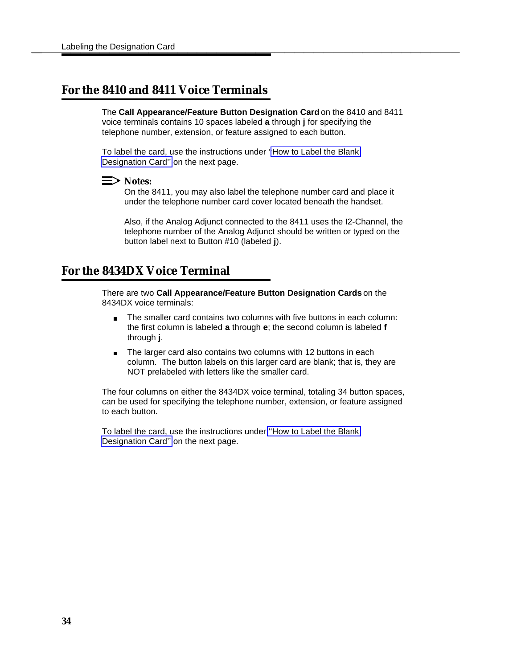# **Example 1** Labeling the Designation Card<br>**For the 8410 and 8411 Voice Terminals**

The **Call Appearance/Feature Button Designation Card** on the 8410 and 8411 voice terminals contains 10 spaces labeled **a** through **j** for specifying the telephone number, extension, or feature assigned to each button.

To label the card, use the instructions under '['How to Label the Blank](#page-39-1) [Designation Card''](#page-39-1) on the next page.

#### $\Rightarrow$  Notes:

On the 8411, you may also label the telephone number card and place it under the telephone number card cover located beneath the handset.

Also, if the Analog Adjunct connected to the 8411 uses the I2-Channel, the telephone number of the Analog Adjunct should be written or typed on the button label next to Button #10 (labeled **j**).

### For the 8434DX Voice Terminal

There are two **Call Appearance/Feature Button Designation Cards** on the 8434DX voice terminals:

- $\blacksquare$ The smaller card contains two columns with five buttons in each column: the first column is labeled **a** through **e**; the second column is labeled **f** through **j**.
- The larger card also contains two columns with 12 buttons in each column. The button labels on this larger card are blank; that is, they are NOT prelabeled with letters like the smaller card.

The four columns on either the 8434DX voice terminal, totaling 34 button spaces, can be used for specifying the telephone number, extension, or feature assigned to each button.

To label the card, use the instructions under [''How to Label the Blank](#page-39-2) [Designation Card''](#page-39-2) on the next page.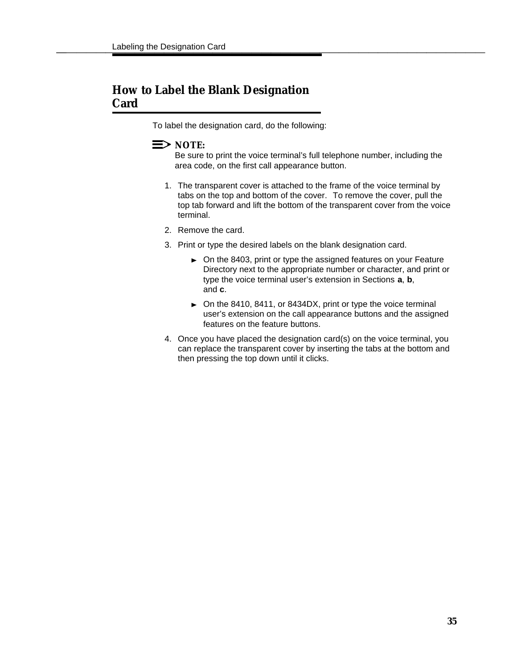## <span id="page-39-2"></span><span id="page-39-1"></span><span id="page-39-0"></span>**How to Label the Blank Designation How to Label the Blank Designation<br>Card**

To label the designation card, do the following:

### $\equiv$  note:

Be sure to print the voice terminal's full telephone number, including the area code, on the first call appearance button.

- 1. The transparent cover is attached to the frame of the voice terminal by tabs on the top and bottom of the cover. To remove the cover, pull the top tab forward and lift the bottom of the transparent cover from the voice terminal.
- 2. Remove the card.
- 3. Print or type the desired labels on the blank designation card.
	- ► On the 8403, print or type the assigned features on your Feature Directory next to the appropriate number or character, and print or type the voice terminal user's extension in Sections **a**, **b**, and **c**.
	- $\triangleright$  On the 8410, 8411, or 8434DX, print or type the voice terminal user's extension on the call appearance buttons and the assigned features on the feature buttons.
- 4. Once you have placed the designation card(s) on the voice terminal, you can replace the transparent cover by inserting the tabs at the bottom and then pressing the top down until it clicks.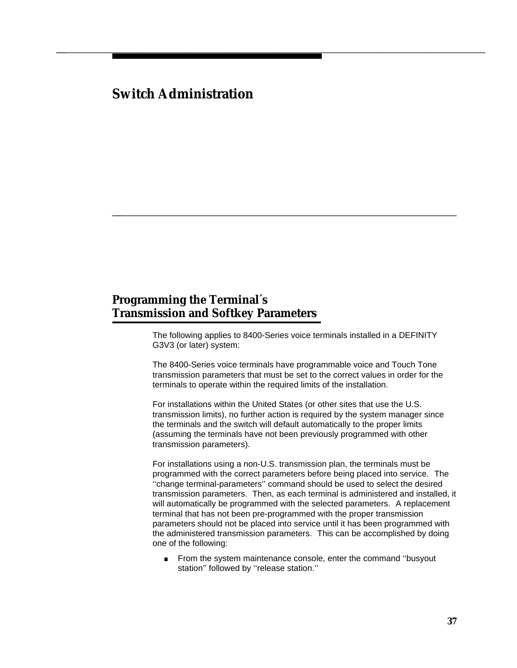### **Switch Administration**

### **Programming the Terminal´s Transmission and Softkey Parameters** bbbbbbb

The following applies to 8400-Series voice terminals installed in a DEFINITY G3V3 (or later) system:

bbbbbbbbbbbbbbbbbbbbbbbbbbbbbbbbbbbb

bbbbbbbbbbbbbbbbbbbbbbbbbbbbbbbbbbbbbbbbbbbb bbbbb

The 8400-Series voice terminals have programmable voice and Touch Tone transmission parameters that must be set to the correct values in order for the terminals to operate within the required limits of the installation.

For installations within the United States (or other sites that use the U.S. transmission limits), no further action is required by the system manager since the terminals and the switch will default automatically to the proper limits (assuming the terminals have not been previously programmed with other transmission parameters).

For installations using a non-U.S. transmission plan, the terminals must be programmed with the correct parameters before being placed into service. The ''change terminal-parameters'' command should be used to select the desired transmission parameters. Then, as each terminal is administered and installed, it will automatically be programmed with the selected parameters. A replacement terminal that has not been pre-programmed with the proper transmission parameters should not be placed into service until it has been programmed with the administered transmission parameters. This can be accomplished by doing one of the following:

From the system maintenance console, enter the command ''busyout station'' followed by ''release station.''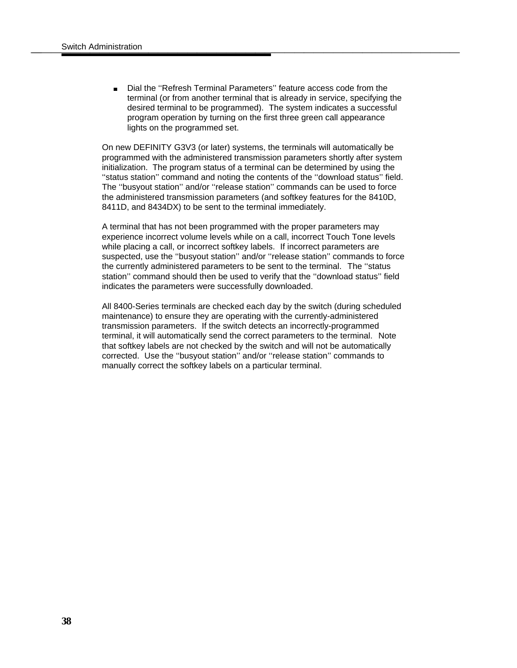Dial the ''Refresh Terminal Parameters'' feature access code from the terminal (or from another terminal that is already in service, specifying the desired terminal to be programmed). The system indicates a successful program operation by turning on the first three green call appearance lights on the programmed set.

On new DEFINITY G3V3 (or later) systems, the terminals will automatically be programmed with the administered transmission parameters shortly after system initialization. The program status of a terminal can be determined by using the ''status station'' command and noting the contents of the ''download status'' field. The ''busyout station'' and/or ''release station'' commands can be used to force the administered transmission parameters (and softkey features for the 8410D, 8411D, and 8434DX) to be sent to the terminal immediately.

A terminal that has not been programmed with the proper parameters may experience incorrect volume levels while on a call, incorrect Touch Tone levels while placing a call, or incorrect softkey labels. If incorrect parameters are suspected, use the ''busyout station'' and/or ''release station'' commands to force the currently administered parameters to be sent to the terminal. The ''status station'' command should then be used to verify that the ''download status'' field indicates the parameters were successfully downloaded.

All 8400-Series terminals are checked each day by the switch (during scheduled maintenance) to ensure they are operating with the currently-administered transmission parameters. If the switch detects an incorrectly-programmed terminal, it will automatically send the correct parameters to the terminal. Note that softkey labels are not checked by the switch and will not be automatically corrected. Use the ''busyout station'' and/or ''release station'' commands to manually correct the softkey labels on a particular terminal.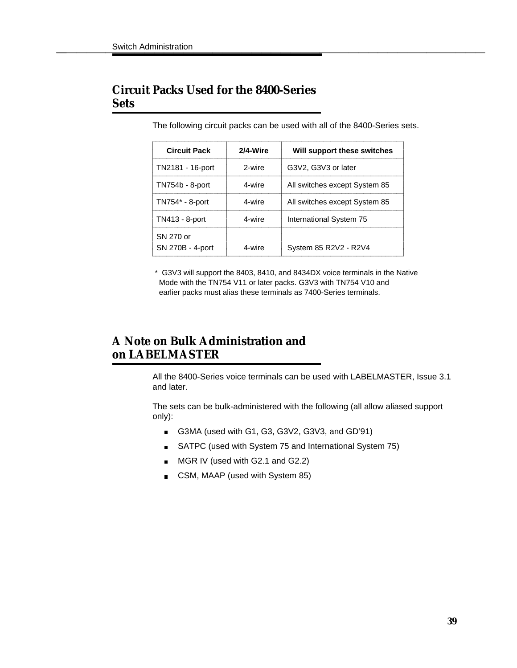## **Circuit Packs Used for the 8400-Series Circuit Packs Used for the 8400-Series<br>Sets**

The following circuit packs can be used with all of the 8400-Series sets.

| <b>Circuit Pack</b>           | 2/4-Wire | Will support these switches   |
|-------------------------------|----------|-------------------------------|
| TN2181 - 16-port              | 2-wire   | G3V2, G3V3 or later           |
| TN754b - 8-port               | 4-wire   | All switches except System 85 |
| TN754* - 8-port               | 4-wire   | All switches except System 85 |
| TN413 - 8-port                | 4-wire   | International System 75       |
| SN 270 or<br>SN 270B - 4-port | 4-wire   | System 85 R2V2 - R2V4         |

\* G3V3 will support the 8403, 8410, and 8434DX voice terminals in the Native Mode with the TN754 V11 or later packs. G3V3 with TN754 V10 and earlier packs must alias these terminals as 7400-Series terminals.

## **A Note on Bulk Administration and A Note on Bulk Administration and<br>on LABELMASTER**

All the 8400-Series voice terminals can be used with LABELMASTER, Issue 3.1 and later.

The sets can be bulk-administered with the following (all allow aliased support only):

- G3MA (used with G1, G3, G3V2, G3V3, and GD'91)
- SATPC (used with System 75 and International System 75)
- **MGR IV (used with G2.1 and G2.2)**
- CSM, MAAP (used with System 85)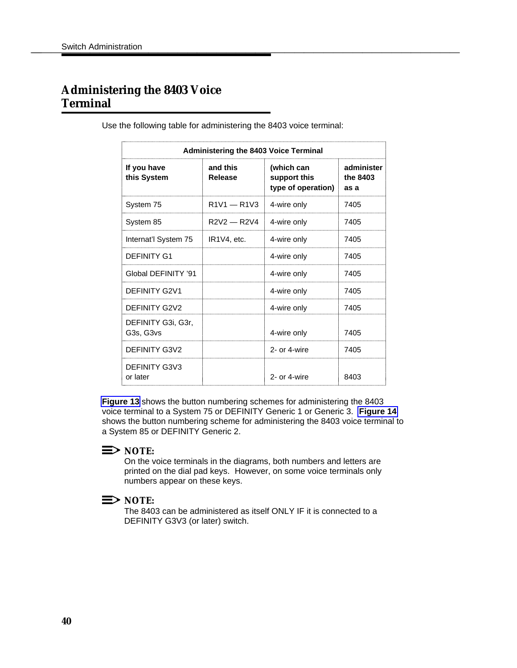## **Administering the 8403 Voice Administering the 8403 Voice<br>Terminal**

| <b>Administering the 8403 Voice Terminal</b> |                     |                                                  |                                |
|----------------------------------------------|---------------------|--------------------------------------------------|--------------------------------|
| If you have<br>this System                   | and this<br>Release | (which can<br>support this<br>type of operation) | administer<br>the 8403<br>as a |
| System 75                                    | $R1V1 - R1V3$       | 4-wire only                                      | 7405                           |
| System 85                                    | $R2V2 - R2V4$       | 4-wire only                                      | 7405                           |
| Internat'l System 75                         | IR1V4, etc.         | 4-wire only                                      | 7405                           |
| DEFINITY G1                                  |                     | 4-wire only                                      | 7405                           |
| Global DEFINITY '91                          |                     | 4-wire only                                      | 7405                           |
| DEFINITY G2V1                                |                     | 4-wire only                                      | 7405                           |
| <b>DEFINITY G2V2</b>                         |                     | 4-wire only                                      | 7405                           |
| DEFINITY G3i, G3r,<br>G3s, G3vs              |                     | 4-wire only                                      | 7405                           |
| <b>DEFINITY G3V2</b>                         |                     | 2- or 4-wire                                     | 7405                           |
| <b>DEFINITY G3V3</b><br>or later             |                     | 2- or 4-wire                                     | 8403                           |

Use the following table for administering the 8403 voice terminal:

**[Figure 13](#page-45-0)** shows the button numbering schemes for administering the 8403 voice terminal to a System 75 or DEFINITY Generic 1 or Generic 3. **[Figure 14](#page-46-0)** shows the button numbering scheme for administering the 8403 voice terminal to a System 85 or DEFINITY Generic 2.

### $\Rightarrow$  NOTE:

On the voice terminals in the diagrams, both numbers and letters are printed on the dial pad keys. However, on some voice terminals only numbers appear on these keys.

### $\Rightarrow$  NOTE:

The 8403 can be administered as itself ONLY IF it is connected to a DEFINITY G3V3 (or later) switch.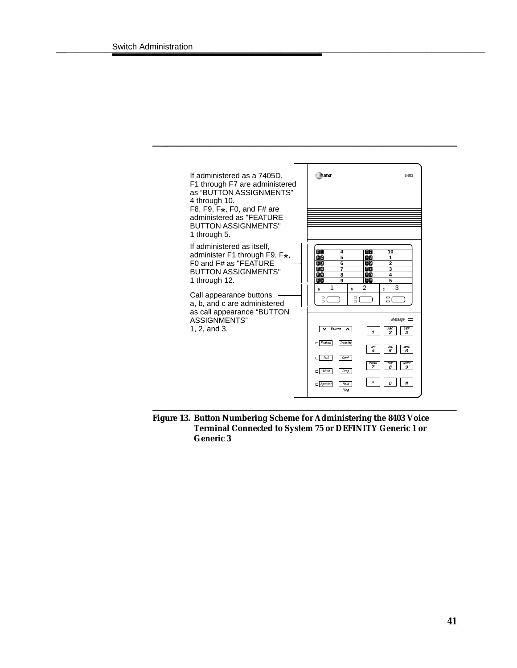<span id="page-45-0"></span>

bbbbbbbbbbbbbbbbbbbbb

**Figure 13. Button Numbering Scheme for Administering the 8403 Voice Terminal Connected to System 75 or DEFINITY Generic 1 or Generic 3**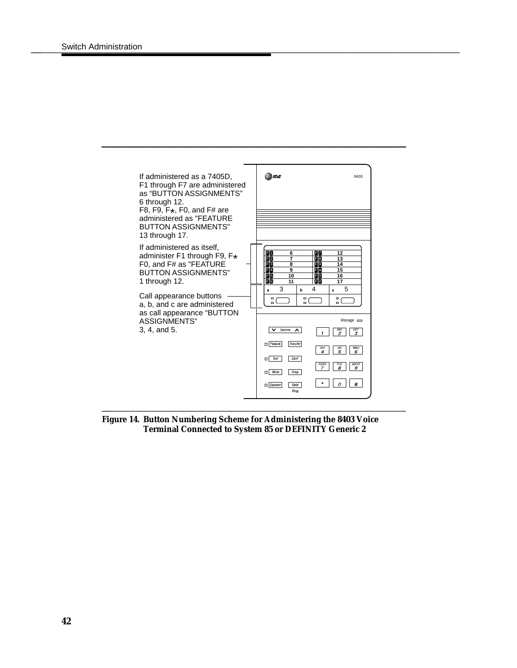<span id="page-46-0"></span>

bbbbbbbbbbbbbbbbbbbbb

**Figure 14. Button Numbering Scheme for Administering the 8403 Voice Terminal Connected to System 85 or DEFINITY Generic 2**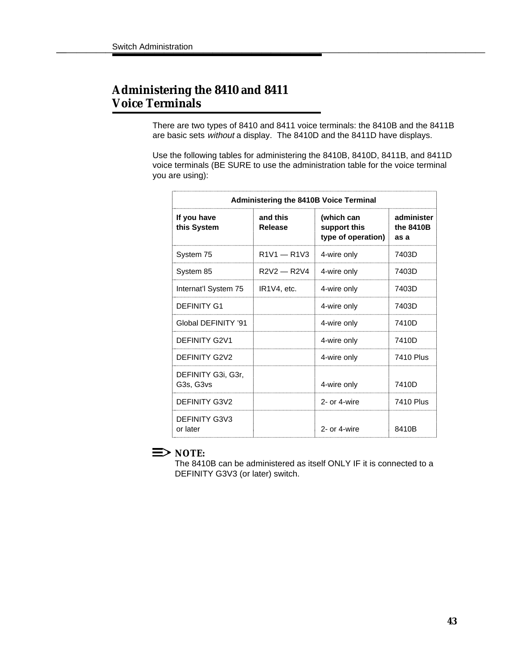## **Administering the 8410 and 8411 Administering the 8410 and 8411**<br>Voice Terminals

There are two types of 8410 and 8411 voice terminals: the 8410B and the 8411B are basic sets without a display. The 8410D and the 8411D have displays.

Use the following tables for administering the 8410B, 8410D, 8411B, and 8411D voice terminals (BE SURE to use the administration table for the voice terminal you are using):

| <b>Administering the 8410B Voice Terminal</b> |                                       |                                                  |                                 |
|-----------------------------------------------|---------------------------------------|--------------------------------------------------|---------------------------------|
| If you have<br>this System                    | and this<br>Release                   | (which can<br>support this<br>type of operation) | administer<br>the 8410B<br>as a |
| System 75                                     | $R1V1 - R1V3$                         | 4-wire only                                      | 7403D                           |
| System 85                                     | $R2V2 - R2V4$                         | 4-wire only                                      | 7403D                           |
| Internat'l System 75                          | IR <sub>1</sub> V <sub>4</sub> , etc. | 4-wire only                                      | 7403D                           |
| <b>DEFINITY G1</b>                            |                                       | 4-wire only                                      | 7403D                           |
| Global DEFINITY '91                           |                                       | 4-wire only                                      | 7410D                           |
| DEFINITY G2V1                                 |                                       | 4-wire only                                      | 7410D                           |
| <b>DEFINITY G2V2</b>                          |                                       | 4-wire only                                      | <b>7410 Plus</b>                |
| DEFINITY G3i, G3r,<br>G3s, G3vs               |                                       | 4-wire only                                      | 7410D                           |
| DEFINITY G3V2                                 |                                       | 2- or 4-wire                                     | <b>7410 Plus</b>                |
| <b>DEFINITY G3V3</b><br>or later              |                                       | 2- or 4-wire                                     | 8410B                           |

### $\Rightarrow$  **NOTE:**

The 8410B can be administered as itself ONLY IF it is connected to a DEFINITY G3V3 (or later) switch.

l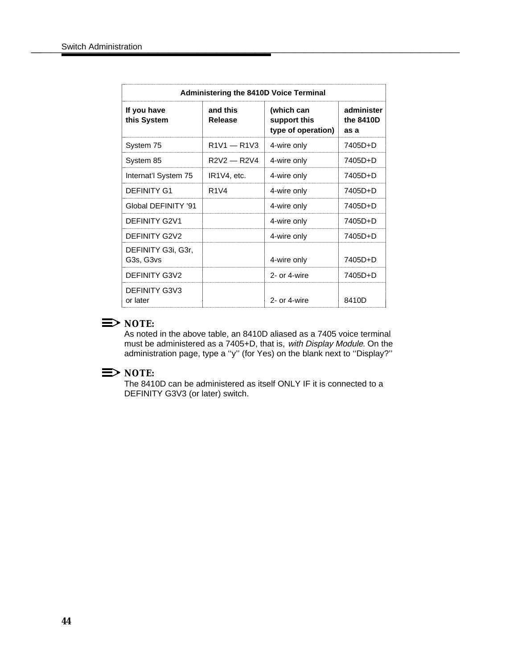| <b>Administering the 8410D Voice Terminal</b> |                               |                                                  |                                 |
|-----------------------------------------------|-------------------------------|--------------------------------------------------|---------------------------------|
| If you have<br>this System                    | and this<br>Release           | (which can<br>support this<br>type of operation) | administer<br>the 8410D<br>as a |
| System 75                                     | $R1V1 - R1V3$                 | 4-wire only                                      | 7405D+D                         |
| System 85                                     | $R2V2 - R2V4$                 | 4-wire only                                      | 7405D+D                         |
| Internat'l System 75                          | IR1V4, etc.                   | 4-wire only                                      | 7405D+D                         |
| <b>DEFINITY G1</b>                            | R <sub>1</sub> V <sub>4</sub> | 4-wire only                                      | 7405D+D                         |
| Global DEFINITY '91                           |                               | 4-wire only                                      | 7405D+D                         |
| <b>DEFINITY G2V1</b>                          |                               | 4-wire only                                      | 7405D+D                         |
| <b>DEFINITY G2V2</b>                          |                               | 4-wire only                                      | 7405D+D                         |
| DEFINITY G3i, G3r,<br>G3s, G3vs               |                               | 4-wire only                                      | 7405D+D                         |
| <b>DEFINITY G3V2</b>                          |                               | 2- or 4-wire                                     | 7405D+D                         |
| <b>DEFINITY G3V3</b><br>or later              |                               | 2- or 4-wire                                     | 8410D                           |

### $\Rightarrow$  **NOTE:**

As noted in the above table, an 8410D aliased as a 7405 voice terminal must be administered as a 7405+D, that is, with Display Module. On the administration page, type a ''y'' (for Yes) on the blank next to ''Display?''

### $\Rightarrow$  **NOTE:**

The 8410D can be administered as itself ONLY IF it is connected to a DEFINITY G3V3 (or later) switch.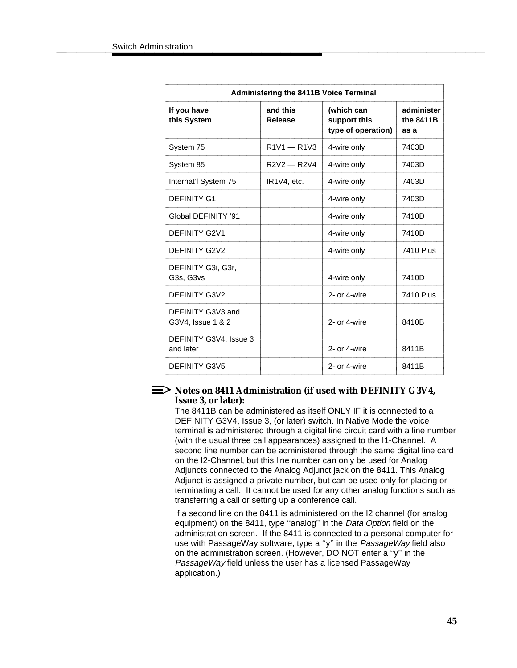| <b>Administering the 8411B Voice Terminal</b> |                     |                                                  |                                 |
|-----------------------------------------------|---------------------|--------------------------------------------------|---------------------------------|
| If you have<br>this System                    | and this<br>Release | (which can<br>support this<br>type of operation) | administer<br>the 8411B<br>as a |
| System 75                                     | $R1V1 - R1V3$       | 4-wire only                                      | 7403D                           |
| System 85                                     | $R2V2 - R2V4$       | 4-wire only                                      | 7403D                           |
| Internat'l System 75                          | IR1V4, etc.         | 4-wire only                                      | 7403D                           |
| <b>DEFINITY G1</b>                            |                     | 4-wire only                                      | 7403D                           |
| Global DEFINITY '91                           |                     | 4-wire only                                      | 7410D                           |
| <b>DEFINITY G2V1</b>                          |                     | 4-wire only                                      | 7410D                           |
| <b>DEFINITY G2V2</b>                          |                     | 4-wire only                                      | 7410 Plus                       |
| DEFINITY G3i, G3r,<br>G3s, G3vs               |                     | 4-wire only                                      | 7410D                           |
| <b>DEFINITY G3V2</b>                          |                     | 2- or 4-wire                                     | <b>7410 Plus</b>                |
| DEFINITY G3V3 and<br>G3V4, Issue 1 & 2        |                     | 2- or 4-wire                                     | 8410B                           |
| DEFINITY G3V4, Issue 3<br>and later           |                     | 2- or 4-wire                                     | 8411B                           |
| <b>DEFINITY G3V5</b>                          |                     | 2- or 4-wire                                     | 8411B                           |

#### **Notes on 8411 Administration (if used with DEFINITY G3V4, Issue 3, or later):**

The 8411B can be administered as itself ONLY IF it is connected to a DEFINITY G3V4, Issue 3, (or later) switch. In Native Mode the voice terminal is administered through a digital line circuit card with a line number (with the usual three call appearances) assigned to the I1-Channel. A second line number can be administered through the same digital line card on the I2-Channel, but this line number can only be used for Analog Adjuncts connected to the Analog Adjunct jack on the 8411. This Analog Adjunct is assigned a private number, but can be used only for placing or terminating a call. It cannot be used for any other analog functions such as transferring a call or setting up a conference call.

If a second line on the 8411 is administered on the I2 channel (for analog equipment) on the 8411, type "analog" in the Data Option field on the administration screen. If the 8411 is connected to a personal computer for use with PassageWay software, type a "y" in the PassageWay field also on the administration screen. (However, DO NOT enter a ''y'' in the PassageWay field unless the user has a licensed PassageWay application.)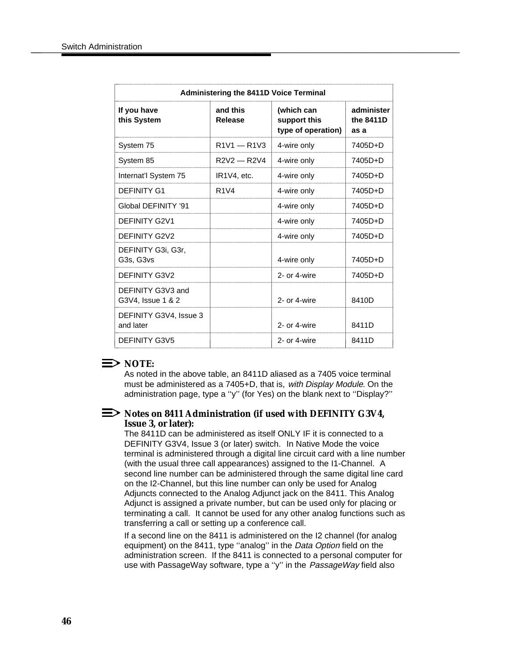| <b>Administering the 8411D Voice Terminal</b> |                                       |                                                  |                                 |
|-----------------------------------------------|---------------------------------------|--------------------------------------------------|---------------------------------|
| If you have<br>this System                    | and this<br>Release                   | (which can<br>support this<br>type of operation) | administer<br>the 8411D<br>as a |
| System 75                                     | $R1V1 - R1V3$                         | 4-wire only                                      | 7405D+D                         |
| System 85                                     | $R2V2 - R2V4$                         | 4-wire only                                      | 7405D+D                         |
| Internat'l System 75                          | IR <sub>1</sub> V <sub>4</sub> , etc. | 4-wire only                                      | 7405D+D                         |
| <b>DEFINITY G1</b>                            | R <sub>1</sub> V <sub>4</sub>         | 4-wire only                                      | 7405D+D                         |
| Global DEFINITY '91                           |                                       | 4-wire only                                      | 7405D+D                         |
| <b>DEFINITY G2V1</b>                          |                                       | 4-wire only                                      | 7405D+D                         |
| <b>DEFINITY G2V2</b>                          |                                       | 4-wire only                                      | 7405D+D                         |
| DEFINITY G3i, G3r,<br>G3s, G3vs               |                                       | 4-wire only                                      | 7405D+D                         |
| <b>DEFINITY G3V2</b>                          |                                       | 2- or 4-wire                                     | 7405D+D                         |
| DEFINITY G3V3 and<br>G3V4, Issue 1 & 2        |                                       | 2- or 4-wire                                     | 8410D                           |
| DEFINITY G3V4, Issue 3<br>and later           |                                       | 2- or 4-wire                                     | 8411D                           |
| <b>DEFINITY G3V5</b>                          |                                       | 2- or 4-wire                                     | 8411D                           |

#### $\equiv$  note:

As noted in the above table, an 8411D aliased as a 7405 voice terminal must be administered as a 7405+D, that is, with Display Module. On the administration page, type a ''y'' (for Yes) on the blank next to ''Display?''

#### **EXECUTE:** Notes on 8411 Administration (if used with DEFINITY G3V4, **Issue 3, or later):**

The 8411D can be administered as itself ONLY IF it is connected to a DEFINITY G3V4, Issue 3 (or later) switch. In Native Mode the voice terminal is administered through a digital line circuit card with a line number (with the usual three call appearances) assigned to the I1-Channel. A second line number can be administered through the same digital line card on the I2-Channel, but this line number can only be used for Analog Adjuncts connected to the Analog Adjunct jack on the 8411. This Analog Adjunct is assigned a private number, but can be used only for placing or terminating a call. It cannot be used for any other analog functions such as transferring a call or setting up a conference call.

If a second line on the 8411 is administered on the I2 channel (for analog equipment) on the 8411, type "analog" in the Data Option field on the administration screen. If the 8411 is connected to a personal computer for use with PassageWay software, type a "y" in the PassageWay field also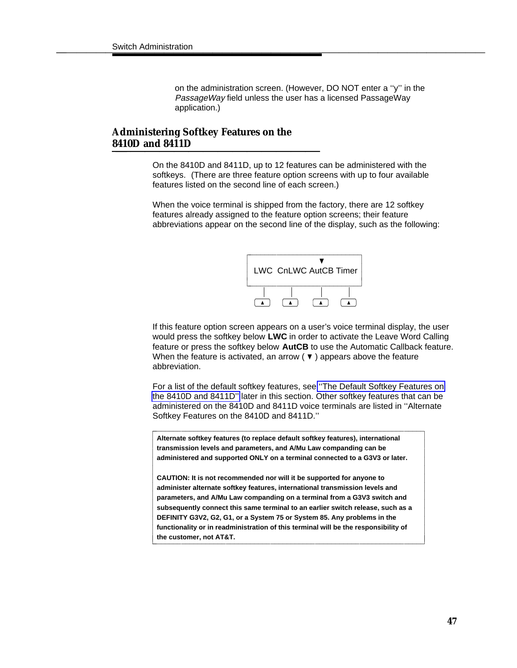on the administration screen. (However, DO NOT enter a ''y'' in the PassageWay field unless the user has a licensed PassageWay application.)

## <span id="page-51-0"></span>**Administering Softkey Features on the<br><b>8410D and 8411D**

On the 8410D and 8411D, up to 12 features can be administered with the softkeys. (There are three feature option screens with up to four available features listed on the second line of each screen.)

When the voice terminal is shipped from the factory, there are 12 softkey features already assigned to the feature option screens; their feature abbreviations appear on the second line of the display, such as the following:



If this feature option screen appears on a user's voice terminal display, the user would press the softkey below **LWC** in order to activate the Leave Word Calling feature or press the softkey below **AutCB** to use the Automatic Callback feature. When the feature is activated, an arrow ( $\blacktriangledown$ ) appears above the feature abbreviation.

For a list of the default softkey features, see [''The Default Softkey Features on](#page-53-0) [the 8410D and 8411D''](#page-53-0) later in this section. Other softkey features that can be administered on the 8410D and 8411D voice terminals are listed in ''Alternate Softkey Features on the 8410D and 8411D.''

**Alternate softkey features (to replace default softkey features), international transmission levels and parameters, and A/Mu Law companding can be administered and supported ONLY on a terminal connected to a G3V3 or later.**

bbbbbbbbbbbbbbbbbbbbbbbbbbbbbbbbbbbbbbbbbbbbbbbbbbbbbbbbbbbbbbbbbbb

**CAUTION: It is not recommended nor will it be supported for anyone to administer alternate softkey features, international transmission levels and parameters, and A/Mu Law companding on a terminal from a G3V3 switch and subsequently connect this same terminal to an earlier switch release, such as a DEFINITY G3V2, G2, G1, or a System 75 or System 85. Any problems in the** functionality or in readministration of this terminal will be the responsibility of the customer, not AT&T.

l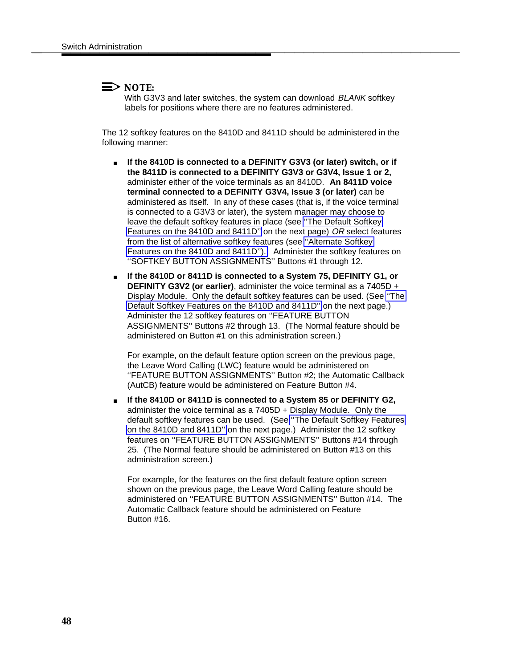#### $\equiv$  NOTE:

With G3V3 and later switches, the system can download BLANK softkey labels for positions where there are no features administered.

The 12 softkey features on the 8410D and 8411D should be administered in the following manner:

- **If the 8410D is connected to a DEFINITY G3V3 (or later) switch, or if the 8411D is connected to a DEFINITY G3V3 or G3V4, Issue 1 or 2,** administer either of the voice terminals as an 8410D. **An 8411D voice terminal connected to a DEFINITY G3V4, Issue 3 (or later)** can be administered as itself. In any of these cases (that is, if the voice terminal is connected to a G3V3 or later), the system manager may choose to leave the default softkey features in place (see [''The Default Softkey](#page-53-0) [Features on the 8410D and 8411D''](#page-53-0) on the next page) OR select features from the list of alternative softkey features (see [''Alternate Softkey](#page-55-0) [Features on the 8410D and 8411D''\).](#page-55-0) Administer the softkey features on ''SOFTKEY BUTTON ASSIGNMENTS'' Buttons #1 through 12.
- **If the 8410D or 8411D is connected to a System 75, DEFINITY G1, or**  $\blacksquare$ **DEFINITY G3V2 (or earlier)**, administer the voice terminal as a 7405D + Display Module. Only the default softkey features can be used. (See [''The](#page-53-0) [Default Softkey Features on the 8410D and 8411D''](#page-53-0) on the next page.) Administer the 12 softkey features on ''FEATURE BUTTON ASSIGNMENTS'' Buttons #2 through 13. (The Normal feature should be administered on Button #1 on this administration screen.)

For example, on the default feature option screen on the previous page, the Leave Word Calling (LWC) feature would be administered on ''FEATURE BUTTON ASSIGNMENTS'' Button #2; the Automatic Callback (AutCB) feature would be administered on Feature Button #4.

**If the 8410D or 8411D is connected to a System 85 or DEFINITY G2,** administer the voice terminal as a 7405D + Display Module. Only the default softkey features can be used. (See [''The Default Softkey Features](#page-53-0) [on the 8410D and 8411D''](#page-53-0) on the next page.) Administer the 12 softkey features on ''FEATURE BUTTON ASSIGNMENTS'' Buttons #14 through 25. (The Normal feature should be administered on Button #13 on this administration screen.)

For example, for the features on the first default feature option screen shown on the previous page, the Leave Word Calling feature should be administered on ''FEATURE BUTTON ASSIGNMENTS'' Button #14. The Automatic Callback feature should be administered on Feature Button #16.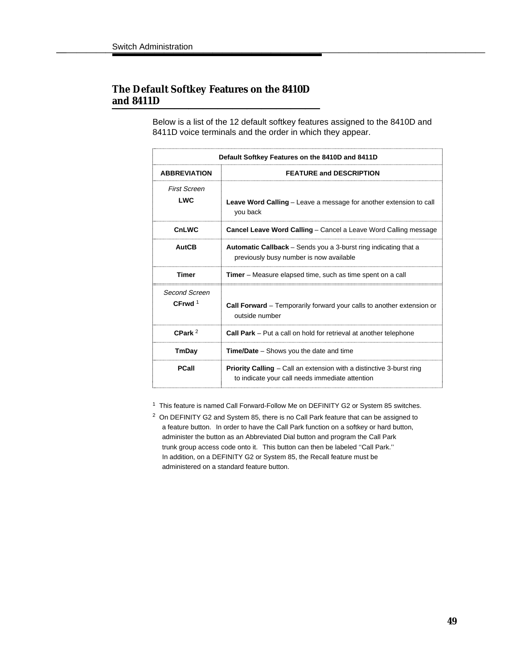## <span id="page-53-0"></span>**The Default Softkey Features on the 8410D**<br>and 8411D

Below is a list of the 12 default softkey features assigned to the 8410D and 8411D voice terminals and the order in which they appear.

|                                     | Default Softkey Features on the 8410D and 8411D                                                                                |  |  |  |
|-------------------------------------|--------------------------------------------------------------------------------------------------------------------------------|--|--|--|
| <b>ABBREVIATION</b>                 | <b>FEATURE and DESCRIPTION</b>                                                                                                 |  |  |  |
| <b>First Screen</b><br><b>LWC</b>   | <b>Leave Word Calling</b> – Leave a message for another extension to call<br>you back                                          |  |  |  |
| CnLWC                               | <b>Cancel Leave Word Calling - Cancel a Leave Word Calling message</b>                                                         |  |  |  |
| <b>AutCB</b>                        | <b>Automatic Callback</b> – Sends you a 3-burst ring indicating that a<br>previously busy number is now available              |  |  |  |
| <b>Timer</b>                        | <b>Timer</b> – Measure elapsed time, such as time spent on a call                                                              |  |  |  |
| Second Screen<br>CFrwd <sup>1</sup> | <b>Call Forward</b> – Temporarily forward your calls to another extension or<br>outside number                                 |  |  |  |
| CPark <sup>2</sup>                  | <b>Call Park</b> – Put a call on hold for retrieval at another telephone                                                       |  |  |  |
| TmDay                               | <b>Time/Date</b> – Shows you the date and time                                                                                 |  |  |  |
| <b>PCall</b>                        | <b>Priority Calling</b> – Call an extension with a distinctive 3-burst ring<br>to indicate your call needs immediate attention |  |  |  |

<sup>1</sup> This feature is named Call Forward-Follow Me on DEFINITY G2 or System 85 switches.

<sup>2</sup> On DEFINITY G2 and System 85, there is no Call Park feature that can be assigned to a feature button. In order to have the Call Park function on a softkey or hard button, administer the button as an Abbreviated Dial button and program the Call Park trunk group access code onto it. This button can then be labeled ''Call Park.'' In addition, on a DEFINITY G2 or System 85, the Recall feature must be administered on a standard feature button.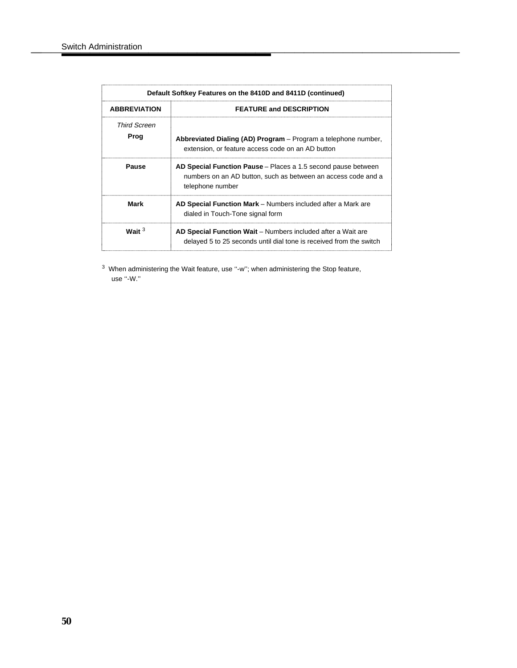| Default Softkey Features on the 8410D and 8411D (continued) |                                                                                                                                                    |  |  |
|-------------------------------------------------------------|----------------------------------------------------------------------------------------------------------------------------------------------------|--|--|
| <b>ABBREVIATION</b>                                         | <b>FEATURE and DESCRIPTION</b>                                                                                                                     |  |  |
| <b>Third Screen</b><br>Prog                                 | Abbreviated Dialing (AD) Program - Program a telephone number,<br>extension, or feature access code on an AD button                                |  |  |
| Pause                                                       | AD Special Function Pause – Places a 1.5 second pause between<br>numbers on an AD button, such as between an access code and a<br>telephone number |  |  |
| Mark                                                        | AD Special Function Mark - Numbers included after a Mark are<br>dialed in Touch-Tone signal form                                                   |  |  |
| Wait $3$                                                    | AD Special Function Wait - Numbers included after a Wait are<br>delayed 5 to 25 seconds until dial tone is received from the switch                |  |  |

3 When administering the Wait feature, use ''-w''; when administering the Stop feature, use ''-W.''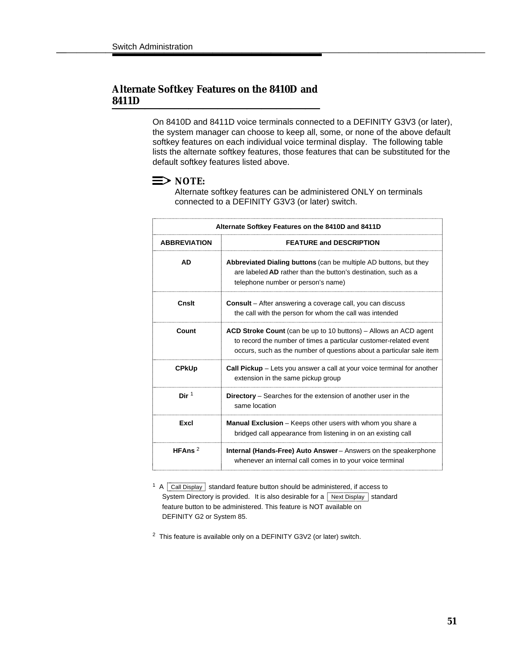## <span id="page-55-0"></span>**Alternate Softkey Features on the 8410D and 8411D** bbbbbbbbbbbbbbb

On 8410D and 8411D voice terminals connected to a DEFINITY G3V3 (or later), the system manager can choose to keep all, some, or none of the above default softkey features on each individual voice terminal display. The following table lists the alternate softkey features, those features that can be substituted for the default softkey features listed above.

#### $\Rightarrow$  NOTE:

Alternate softkey features can be administered ONLY on terminals connected to a DEFINITY G3V3 (or later) switch.

| Alternate Softkey Features on the 8410D and 8411D |                                                                                                                                                                                                                      |  |  |
|---------------------------------------------------|----------------------------------------------------------------------------------------------------------------------------------------------------------------------------------------------------------------------|--|--|
| <b>ABBREVIATION</b>                               | <b>FEATURE and DESCRIPTION</b>                                                                                                                                                                                       |  |  |
| <b>AD</b>                                         | Abbreviated Dialing buttons (can be multiple AD buttons, but they<br>are labeled AD rather than the button's destination, such as a<br>telephone number or person's name)                                            |  |  |
| Cnslt                                             | <b>Consult</b> – After answering a coverage call, you can discuss<br>the call with the person for whom the call was intended                                                                                         |  |  |
| Count                                             | <b>ACD Stroke Count</b> (can be up to 10 buttons) – Allows an ACD agent<br>to record the number of times a particular customer-related event<br>occurs, such as the number of questions about a particular sale item |  |  |
| <b>CPkUp</b>                                      | Call Pickup - Lets you answer a call at your voice terminal for another<br>extension in the same pickup group                                                                                                        |  |  |
| Dir <sup>1</sup>                                  | <b>Directory</b> – Searches for the extension of another user in the<br>same location                                                                                                                                |  |  |
| Excl                                              | <b>Manual Exclusion</b> – Keeps other users with whom you share a<br>bridged call appearance from listening in on an existing call                                                                                   |  |  |
| HFAns $2$                                         | <b>Internal (Hands-Free) Auto Answer</b> – Answers on the speakerphone<br>whenever an internal call comes in to your voice terminal                                                                                  |  |  |

 $\begin{array}{c} \hbox{1 A} \end{array}$  Call Display standard feature button should be administered, if access to A Call Display | standard feature button should be administered, if access to<br>System Directory is provided. It is also desirable for a  $\boxed{\rm Next\ Display}$  standard feature button to be administered. This feature is NOT available on DEFINITY G2 or System 85.

<sup>2</sup> This feature is available only on a DEFINITY G3V2 (or later) switch.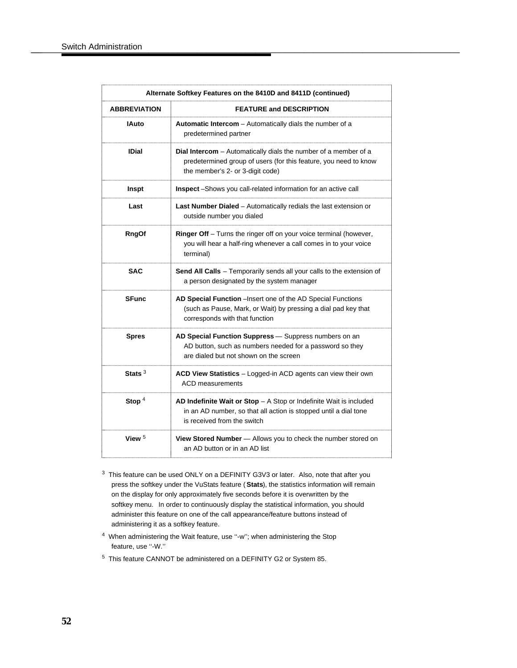| Alternate Softkey Features on the 8410D and 8411D (continued) |                                                                                                                                                                         |  |  |
|---------------------------------------------------------------|-------------------------------------------------------------------------------------------------------------------------------------------------------------------------|--|--|
| <b>ABBREVIATION</b>                                           | <b>FEATURE and DESCRIPTION</b>                                                                                                                                          |  |  |
| lAuto                                                         | Automatic Intercom – Automatically dials the number of a<br>predetermined partner                                                                                       |  |  |
| <b>IDial</b>                                                  | Dial Intercom - Automatically dials the number of a member of a<br>predetermined group of users (for this feature, you need to know<br>the member's 2- or 3-digit code) |  |  |
| Inspt                                                         | Inspect -Shows you call-related information for an active call                                                                                                          |  |  |
| Last                                                          | Last Number Dialed - Automatically redials the last extension or<br>outside number you dialed                                                                           |  |  |
| <b>RngOf</b>                                                  | Ringer Off - Turns the ringer off on your voice terminal (however,<br>you will hear a half-ring whenever a call comes in to your voice<br>terminal)                     |  |  |
| <b>SAC</b>                                                    | Send All Calls - Temporarily sends all your calls to the extension of<br>a person designated by the system manager                                                      |  |  |
| <b>SFunc</b>                                                  | AD Special Function - Insert one of the AD Special Functions<br>(such as Pause, Mark, or Wait) by pressing a dial pad key that<br>corresponds with that function        |  |  |
| <b>Spres</b>                                                  | AD Special Function Suppress - Suppress numbers on an<br>AD button, such as numbers needed for a password so they<br>are dialed but not shown on the screen             |  |  |
| Stats $3$                                                     | ACD View Statistics - Logged-in ACD agents can view their own<br>ACD measurements                                                                                       |  |  |
| Stop $4$                                                      | AD Indefinite Wait or $Stop - A$ Stop or Indefinite Wait is included<br>in an AD number, so that all action is stopped until a dial tone<br>is received from the switch |  |  |
| View $5$                                                      | View Stored Number - Allows you to check the number stored on<br>an AD button or in an AD list                                                                          |  |  |

bbbbbbbbbbbbbbbbbbbbbbbbbbbbbbbbbbbbbbbbbbbbbbbbbbbbbbbbbbbbbbbbbbbbbbbbbbbbbbbbbbbbbbbbbb

- <sup>3</sup> This feature can be used ONLY on a DEFINITY G3V3 or later. Also, note that after you press the softkey under the VuStats feature ( **Stats**), the statistics information will remain on the display for only approximately five seconds before it is overwritten by the softkey menu. In order to continuously display the statistical information, you should administer this feature on one of the call appearance/feature buttons instead of administering it as a softkey feature.
- 4 When administering the Wait feature, use ''-w''; when administering the Stop feature, use "-W."
- 5 This feature CANNOT be administered on a DEFINITY G2 or System 85.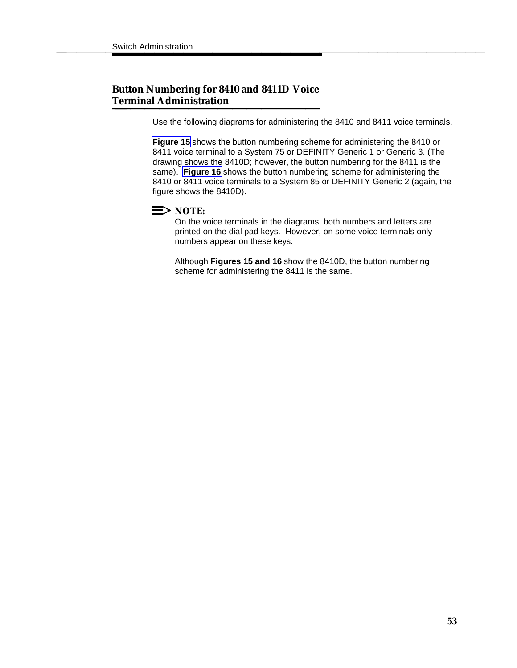## **Button Numbering for 8410 and 8411D Voice<br>Terminal Administration**

Use the following diagrams for administering the 8410 and 8411 voice terminals.

**[Figure 15](#page-58-0)** shows the button numbering scheme for administering the 8410 or 8411 voice terminal to a System 75 or DEFINITY Generic 1 or Generic 3. (The drawing shows the 8410D; however, the button numbering for the 8411 is the same). **[Figure 16](#page-59-0)** shows the button numbering scheme for administering the 8410 or 8411 voice terminals to a System 85 or DEFINITY Generic 2 (again, the figure shows the 8410D).



On the voice terminals in the diagrams, both numbers and letters are printed on the dial pad keys. However, on some voice terminals only numbers appear on these keys.

Although **Figures 15 and 16** show the 8410D, the button numbering scheme for administering the 8411 is the same.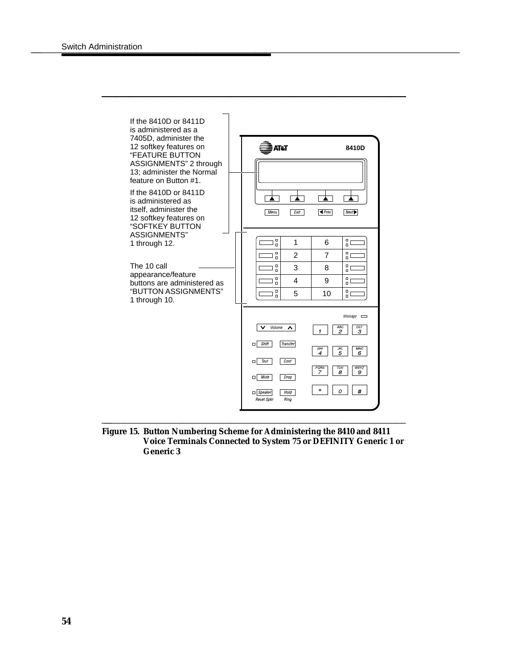<span id="page-58-0"></span>

bbbbbbbbbbbbbbbbbbbbb

**Figure 15. Button Numbering Scheme for Administering the 8410 and 8411 Voice Terminals Connected to System 75 or DEFINITY Generic 1 or Generic 3**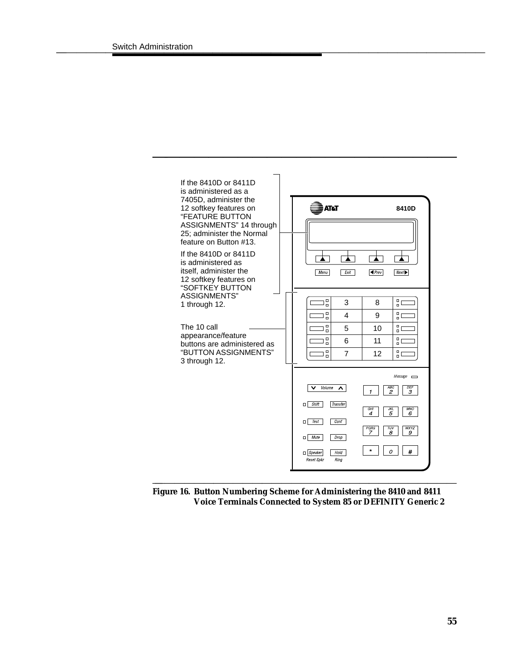<span id="page-59-0"></span>

bbbbbbbbbbbbbbbbbbbbb

**Figure 16. Button Numbering Scheme for Administering the 8410 and 8411 Voice Terminals Connected to System 85 or DEFINITY Generic 2**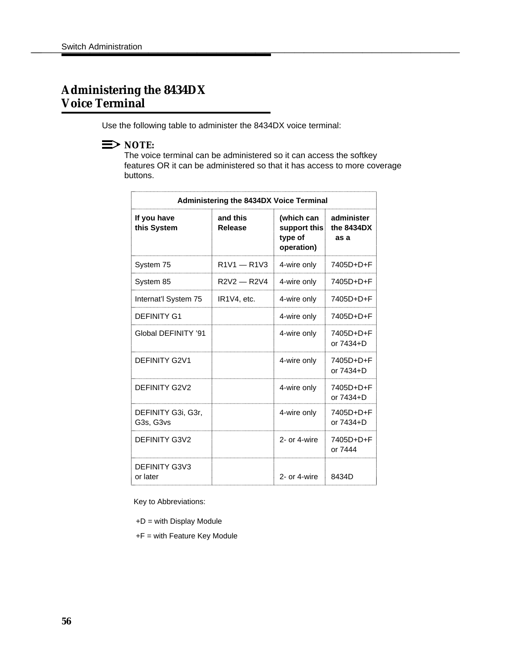## **Administering the 8434DX Administering the 8434DX**<br>Voice Terminal

Use the following table to administer the 8434DX voice terminal:

### $\Rightarrow$  **NOTE:**

The voice terminal can be administered so it can access the softkey features OR it can be administered so that it has access to more coverage buttons.

| <b>Administering the 8434DX Voice Terminal</b> |                            |                                                     |                                  |  |
|------------------------------------------------|----------------------------|-----------------------------------------------------|----------------------------------|--|
| If you have<br>this System                     | and this<br><b>Release</b> | (which can<br>support this<br>type of<br>operation) | administer<br>the 8434DX<br>as a |  |
| System 75                                      | $R1V1 - R1V3$              | 4-wire only                                         | 7405D+D+F                        |  |
| System 85                                      | $R2V2 - R2V4$              | 4-wire only                                         | 7405D+D+F                        |  |
| Internat'l System 75                           | IR1V4, etc.                | 4-wire only                                         | 7405D+D+F                        |  |
| <b>DEFINITY G1</b>                             |                            | 4-wire only                                         | 7405D+D+F                        |  |
| Global DEFINITY '91                            |                            | 4-wire only                                         | 7405D+D+F<br>or $7434 + D$       |  |
| <b>DEFINITY G2V1</b>                           |                            | 4-wire only                                         | 7405D+D+F<br>or 7434+D           |  |
| DEFINITY G2V2                                  |                            | 4-wire only                                         | 7405D+D+F<br>or 7434+D           |  |
| DEFINITY G3i, G3r,<br>G3s, G3vs                |                            | 4-wire only                                         | 7405D+D+F<br>or 7434+D           |  |
| <b>DEFINITY G3V2</b>                           |                            | 2- or 4-wire                                        | 7405D+D+F<br>or 7444             |  |
| <b>DEFINITY G3V3</b><br>or later               |                            | 2- or 4-wire                                        | 8434D                            |  |

Key to Abbreviations:

- +D = with Display Module
- +F = with Feature Key Module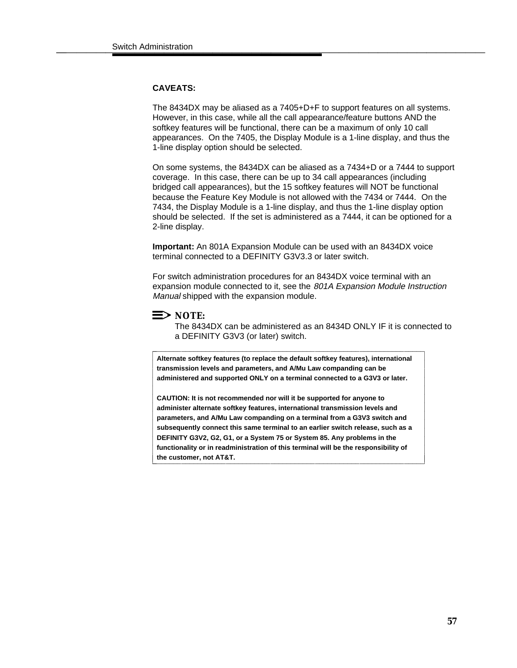#### **CAVEATS:**

The 8434DX may be aliased as a 7405+D+F to support features on all systems. However, in this case, while all the call appearance/feature buttons AND the softkey features will be functional, there can be a maximum of only 10 call appearances. On the 7405, the Display Module is a 1-line display, and thus the 1-line display option should be selected.

On some systems, the 8434DX can be aliased as a 7434+D or a 7444 to support coverage. In this case, there can be up to 34 call appearances (including bridged call appearances), but the 15 softkey features will NOT be functional because the Feature Key Module is not allowed with the 7434 or 7444. On the 7434, the Display Module is a 1-line display, and thus the 1-line display option should be selected. If the set is administered as a 7444, it can be optioned for a 2-line display.

**Important:** An 801A Expansion Module can be used with an 8434DX voice terminal connected to a DEFINITY G3V3.3 or later switch.

For switch administration procedures for an 8434DX voice terminal with an expansion module connected to it, see the 801A Expansion Module Instruction Manual shipped with the expansion module.

#### $\Rightarrow$  note:

The 8434DX can be administered as an 8434D ONLY IF it is connected to a DEFINITY G3V3 (or later) switch.

**Alternate softkey features (to replace the default softkey features), international transmission levels and parameters, and A/Mu Law companding can be administered and supported ONLY on a terminal connected to a G3V3 or later.**

bbbbbbbbbbbbbbbbbbbbbbbbbbbbbbbbbbbbbbbbbbbbbbbbbbbbbbbbbbbbbbbbbbb

**CAUTION: It is not recommended nor will it be supported for anyone to administer alternate softkey features, international transmission levels and parameters, and A/Mu Law companding on a terminal from a G3V3 switch and subsequently connect this same terminal to an earlier switch release, such as a DEFINITY G3V2, G2, G1, or a System 75 or System 85. Any problems in the** functionality or in readministration of this terminal will be the responsibility of the customer, not AT&T.

l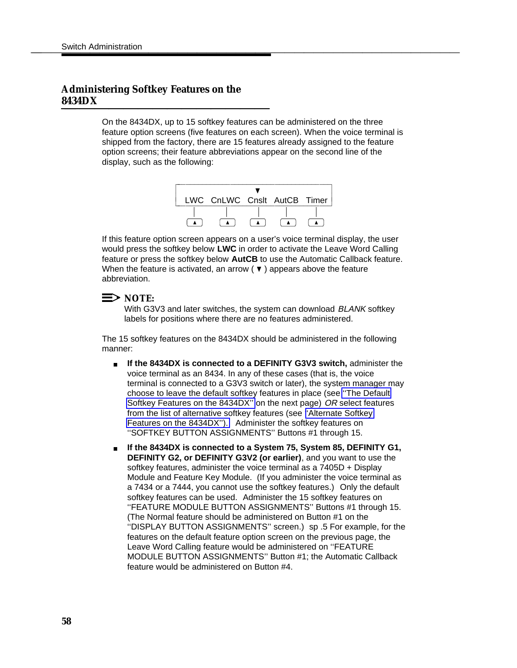## Administering Softkey Features on the<br>8434DX

On the 8434DX, up to 15 softkey features can be administered on the three feature option screens (five features on each screen). When the voice terminal is shipped from the factory, there are 15 features already assigned to the feature option screens; their feature abbreviations appear on the second line of the display, such as the following:



If this feature option screen appears on a user's voice terminal display, the user would press the softkey below **LWC** in order to activate the Leave Word Calling feature or press the softkey below **AutCB** to use the Automatic Callback feature. When the feature is activated, an arrow ( $\blacktriangledown$ ) appears above the feature abbreviation.

#### $\Rightarrow$  **NOTE:**

With G3V3 and later switches, the system can download BLANK softkey labels for positions where there are no features administered.

The 15 softkey features on the 8434DX should be administered in the following manner:

- **If the 8434DX is connected to a DEFINITY G3V3 switch, administer the** voice terminal as an 8434. In any of these cases (that is, the voice terminal is connected to a G3V3 switch or later), the system manager may choose to leave the default softkey features in place (see [''The Default](#page-63-0) [Softkey Features on the 8434DX''](#page-63-0) on the next page) OR select features from the list of alternative softkey features (see [''Alternate Softkey](#page-65-0) [Features on the 8434DX''\).](#page-65-0) Administer the softkey features on ''SOFTKEY BUTTON ASSIGNMENTS'' Buttons #1 through 15.
- **If the 8434DX is connected to a System 75, System 85, DEFINITY G1,**  $\blacksquare$ **DEFINITY G2, or DEFINITY G3V2 (or earlier)**, and you want to use the softkey features, administer the voice terminal as a 7405D + Display Module and Feature Key Module. (If you administer the voice terminal as a 7434 or a 7444, you cannot use the softkey features.) Only the default softkey features can be used. Administer the 15 softkey features on ''FEATURE MODULE BUTTON ASSIGNMENTS'' Buttons #1 through 15. (The Normal feature should be administered on Button #1 on the ''DISPLAY BUTTON ASSIGNMENTS'' screen.) sp .5 For example, for the features on the default feature option screen on the previous page, the Leave Word Calling feature would be administered on ''FEATURE MODULE BUTTON ASSIGNMENTS'' Button #1; the Automatic Callback feature would be administered on Button #4.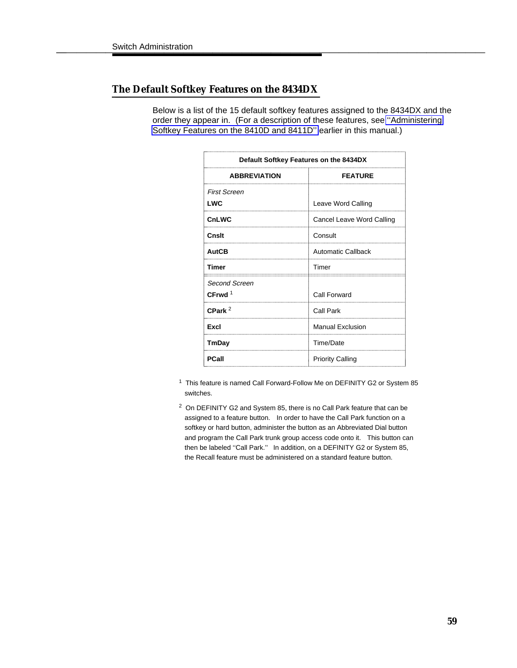### <span id="page-63-0"></span>The Default Softkey Features on the 8434DX

Below is a list of the 15 default softkey features assigned to the 8434DX and the order they appear in. (For a description of these features, see [''Administering](#page-51-0) [Softkey Features on the 8410D and 8411D''](#page-51-0) earlier in this manual.)

| Default Softkey Features on the 8434DX |  |  |
|----------------------------------------|--|--|
| <b>FEATURE</b>                         |  |  |
|                                        |  |  |
| Leave Word Calling                     |  |  |
| Cancel Leave Word Calling              |  |  |
| Consult                                |  |  |
| <b>Automatic Callback</b>              |  |  |
| Timer                                  |  |  |
|                                        |  |  |
| Call Forward                           |  |  |
| Call Park                              |  |  |
| <b>Manual Exclusion</b>                |  |  |
| Time/Date                              |  |  |
| <b>Priority Calling</b>                |  |  |
|                                        |  |  |

<sup>1</sup> This feature is named Call Forward-Follow Me on DEFINITY G2 or System 85 switches.

 2 On DEFINITY G2 and System 85, there is no Call Park feature that can be assigned to a feature button. In order to have the Call Park function on a softkey or hard button, administer the button as an Abbreviated Dial button and program the Call Park trunk group access code onto it. This button can then be labeled ''Call Park.'' In addition, on a DEFINITY G2 or System 85, the Recall feature must be administered on a standard feature button.

l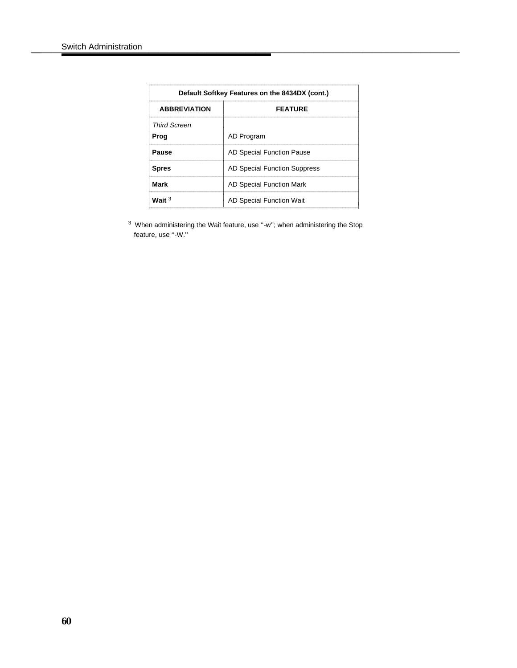| Default Softkey Features on the 8434DX (cont.) |                              |  |
|------------------------------------------------|------------------------------|--|
| <b>ABBREVIATION</b>                            | <b>FEATURE</b>               |  |
| Third Screen                                   |                              |  |
| Prog                                           | AD Program                   |  |
| Pause                                          | AD Special Function Pause    |  |
| <b>Spres</b>                                   | AD Special Function Suppress |  |
| Mark                                           | AD Special Function Mark     |  |
| Wait $3$                                       | AD Special Function Wait     |  |

 $\overline{\phantom{a}}$  $\overline{\phantom{a}}$ 

<sup>3</sup> When administering the Wait feature, use "-w"; when administering the Stop feature, use "-W."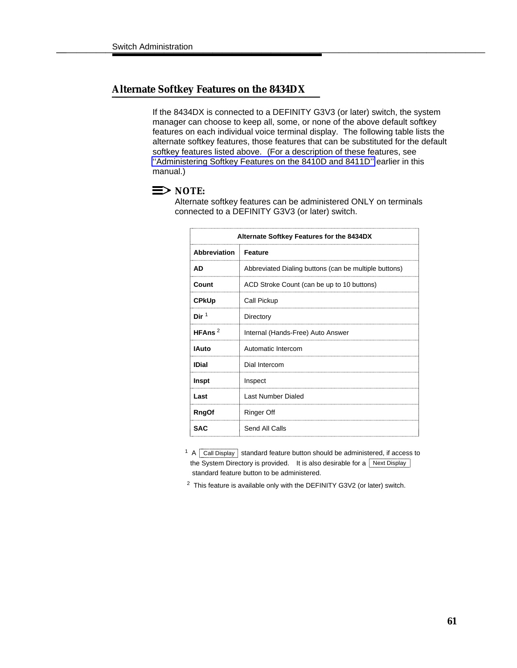### <span id="page-65-0"></span>Alternate Softkey Features on the 8434DX

If the 8434DX is connected to a DEFINITY G3V3 (or later) switch, the system manager can choose to keep all, some, or none of the above default softkey features on each individual voice terminal display. The following table lists the alternate softkey features, those features that can be substituted for the default softkey features listed above. (For a description of these features, see [''Administering Softkey Features on the 8410D and 8411D''](#page-51-0) earlier in this manual.)

### $\Rightarrow$  **NOTE:**

Alternate softkey features can be administered ONLY on terminals connected to a DEFINITY G3V3 (or later) switch.

| Alternate Softkey Features for the 8434DX |                                                       |  |
|-------------------------------------------|-------------------------------------------------------|--|
| Abbreviation                              | <b>Feature</b>                                        |  |
| <b>AD</b>                                 | Abbreviated Dialing buttons (can be multiple buttons) |  |
| Count                                     | ACD Stroke Count (can be up to 10 buttons)            |  |
| <b>CPkUp</b>                              | Call Pickup                                           |  |
| Dir <sup>1</sup>                          | Directory                                             |  |
| HFAns $2$                                 | Internal (Hands-Free) Auto Answer                     |  |
| <b>IAuto</b>                              | Automatic Intercom                                    |  |
| <b>IDial</b>                              | Dial Intercom                                         |  |
| Inspt                                     | Inspect                                               |  |
| Last                                      | <b>Last Number Dialed</b>                             |  |
| <b>RngOf</b>                              | Ringer Off                                            |  |
| <b>SAC</b>                                | Send All Calls                                        |  |

 $\overline{\phantom{a}^1}$  A  $\overline{\phantom{a}}$  Call Display standard feature button should be administered, if access to  $\text{A}$  Call Display | standard feature button should be administered, if access<br>the System Directory is provided. It is also desirable for a  $\boxed{\text{Next Display}}$ standard feature button to be administered.

 $2$  This feature is available only with the DEFINITY G3V2 (or later) switch.

l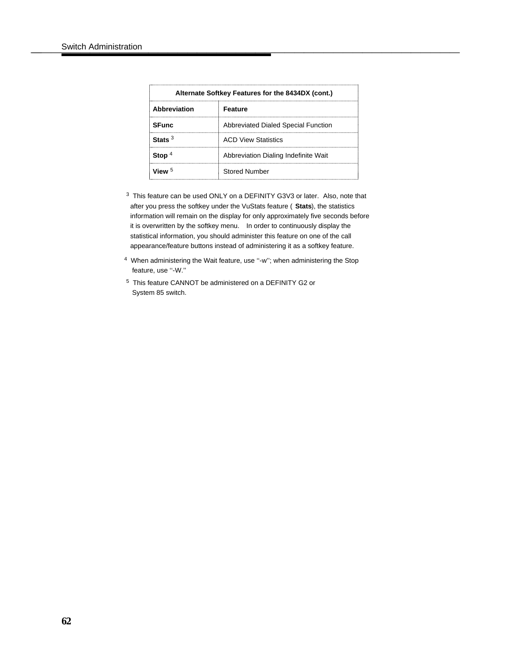| Alternate Softkey Features for the 8434DX (cont.) |                                      |  |
|---------------------------------------------------|--------------------------------------|--|
| Abbreviation                                      | Feature                              |  |
| <b>SFunc</b>                                      | Abbreviated Dialed Special Function  |  |
| Stats $3$                                         | <b>ACD View Statistics</b>           |  |
| Stop $4$                                          | Abbreviation Dialing Indefinite Wait |  |
| View $5$                                          | <b>Stored Number</b>                 |  |

l

bbbbbbbbbbbbbbbbbbbbbbbbbbbbbbbbbbbbbbbbbbbbbbbbbbbbbbbbbbbbbbbbb

- <sup>3</sup> This feature can be used ONLY on a DEFINITY G3V3 or later. Also, note that after you press the softkey under the VuStats feature ( **Stats**), the statistics information will remain on the display for only approximately five seconds before it is overwritten by the softkey menu. In order to continuously display the statistical information, you should administer this feature on one of the call appearance/feature buttons instead of administering it as a softkey feature.
- 4 When administering the Wait feature, use ''-w''; when administering the Stop feature, use ''-W.''
- 5 This feature CANNOT be administered on a DEFINITY G2 or System 85 switch.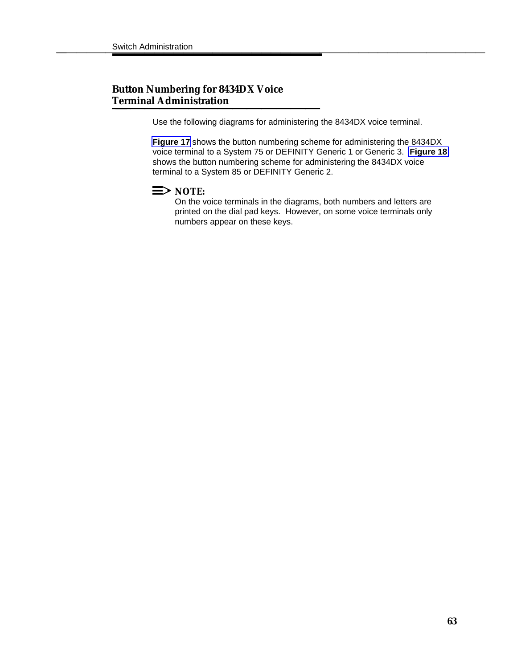## **Button Numbering for 8434DX Voice<br>Terminal Administration**

Use the following diagrams for administering the 8434DX voice terminal.

**[Figure 17](#page-68-0)** shows the button numbering scheme for administering the 8434DX voice terminal to a System 75 or DEFINITY Generic 1 or Generic 3. **[Figure 18](#page-69-0)** shows the button numbering scheme for administering the 8434DX voice terminal to a System 85 or DEFINITY Generic 2.



On the voice terminals in the diagrams, both numbers and letters are printed on the dial pad keys. However, on some voice terminals only numbers appear on these keys.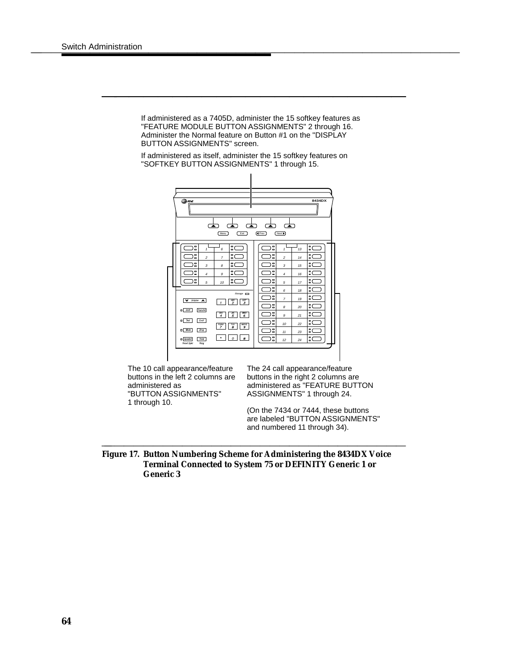If administered as a 7405D, administer the 15 softkey features as "FEATURE MODULE BUTTON ASSIGNMENTS" 2 through 16. Administer the Normal feature on Button #1 on the "DISPLAY BUTTON ASSIGNMENTS" screen.

bbbbbbbbbbbbbbbbbbbbb

If administered as itself, administer the 15 softkey features on "SOFTKEY BUTTON ASSIGNMENTS" 1 through 15.



<span id="page-68-0"></span>The 10 call appearance/feature buttons in the left 2 columns are administered as "BUTTON ASSIGNMENTS" 1 through 10.

The 24 call appearance/feature buttons in the right 2 columns are administered as "FEATURE BUTTON ASSIGNMENTS" 1 through 24.

(On the 7434 or 7444, these buttons are labeled "BUTTON ASSIGNMENTS" and numbered 11 through 34). and hambered in anough 04).

**Figure 17. Button Numbering Scheme for Administering the 8434DX Voice Terminal Connected to System 75 or DEFINITY Generic 1 or Generic 3**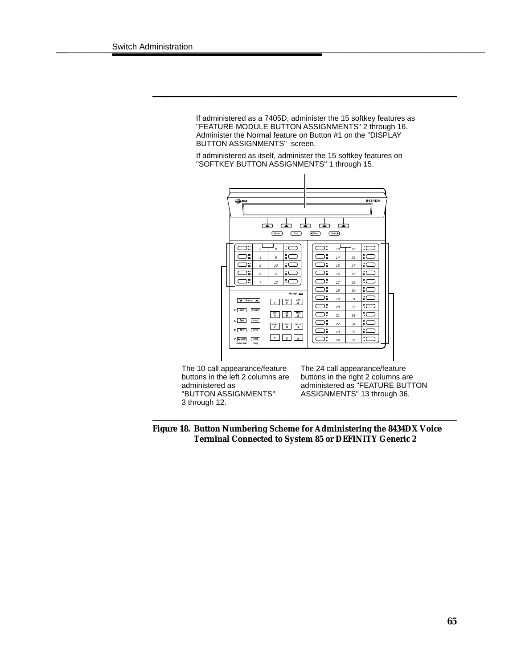If administered as a 7405D, administer the 15 softkey features as "FEATURE MODULE BUTTON ASSIGNMENTS" 2 through 16. Administer the Normal feature on Button #1 on the "DISPLAY BUTTON ASSIGNMENTS" screen.

bbbbbbbbbbbbbbbbbbbbb

If administered as itself, administer the 15 softkey features on "SOFTKEY BUTTON ASSIGNMENTS" 1 through 15.



<span id="page-69-0"></span>The 10 call appearance/feature buttons in the left 2 columns are administered as "BUTTON ASSIGNMENTS" 3 through 12. bbbbbbbbbbbbbbbbbbbbbbbbbbbbbbbb

The 24 call appearance/feature buttons in the right 2 columns are administered as "FEATURE BUTTON ASSIGNMENTS" 13 through 36.

**Figure 18. Button Numbering Scheme for Administering the 8434DX Voice Terminal Connected to System 85 or DEFINITY Generic 2**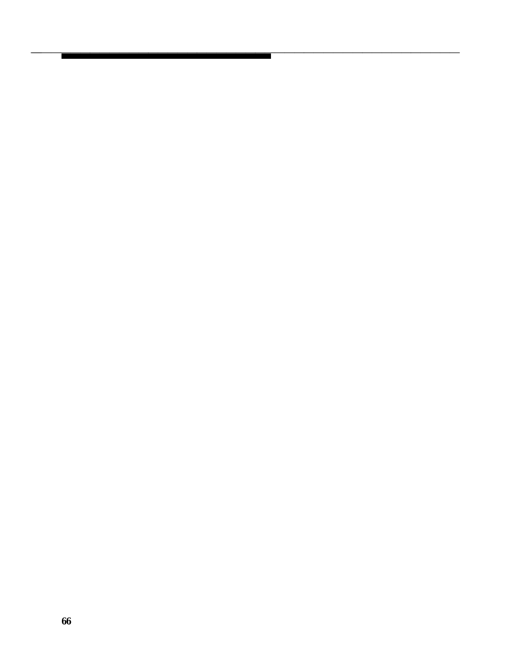bbbbbbbbbbbbbbbbbbbbbbbbbbbbbbbbbbbbbbbbbbbb bbbbb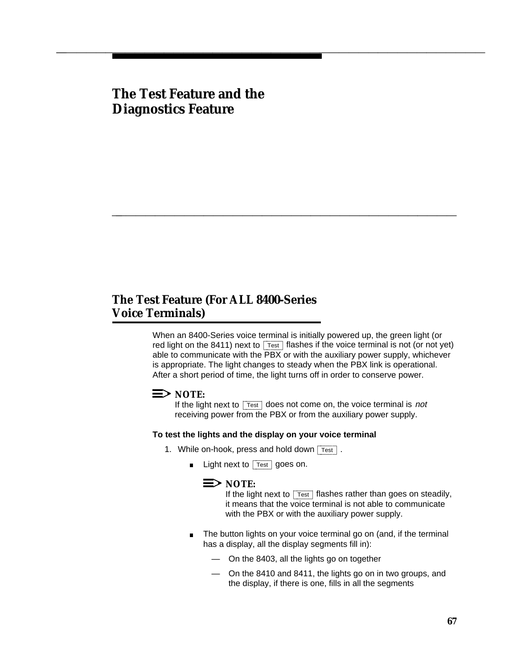### **The Test Feature and the Diagnostics Feature**

## **The Test Feature (For ALL 8400-Series The Test Feature (For ALL 8400-Series<br>Voice Terminals)**

When an 8400-Series voice terminal is initially powered up, the green light (or when an 8400-Series voice terminal is initially powered up, the green light (or<br>red light on the 8411) next to  $\sqrt{\frac{1}{1}}$  flashes if the voice terminal is not (or not yet) able to communicate with the PBX or with the auxiliary power supply, whichever is appropriate. The light changes to steady when the PBX link is operational. After a short period of time, the light turns off in order to conserve power.

bbbbbbbbbbbbbbbbbbbbbbbbbbbbbbbbbbbb

### $\equiv$  NOTE:

INUTE:<br>If the light next to  $\boxed{\text{Test}}$  does not come on, the voice terminal is *not* receiving power from the PBX or from the auxiliary power supply.

#### **To test the lights and the display on your voice terminal**

bbbbbbbbbbbbbbbbbbbbbbbbbbbbbbbbbbbbbbbbbbbb bbbbb

- 1. While on-hook, press and hold down  $\boxed{\text{Test}}$  .
	- Light next to  $\boxed{\text{Test}}$  goes on.  $\blacksquare$

#### $\equiv$  note:

INUTE:<br>If the light next to  $\boxed{\text{Test}}$  flashes rather than goes on steadily, it means that the voice terminal is not able to communicate with the PBX or with the auxiliary power supply.

- The button lights on your voice terminal go on (and, if the terminal  $\blacksquare$ has a display, all the display segments fill in):
	- On the 8403, all the lights go on together
	- On the 8410 and 8411, the lights go on in two groups, and the display, if there is one, fills in all the segments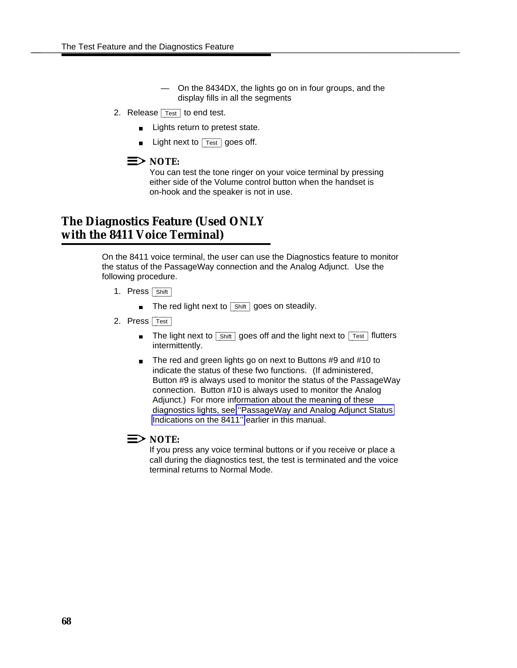— On the 8434DX, the lights go on in four groups, and the display fills in all the segments

- 2. Release  $\overline{1}$ <sub>est</sub> to end test.
	- **Lights return to pretest state.**
	- $L$ ight next to  $\overline{\phantom{a}}$  rest goes off.

#### $\Rightarrow$  NOTE:

You can test the tone ringer on your voice terminal by pressing either side of the Volume control button when the handset is on-hook and the speaker is not in use.

# **The Diagnostics Feature (Used ONLY** on-nook and the speaker is not if<br>**The Diagnostics Feature (Used ONLY**<br>with the 8411 Voice Terminal)

On the 8411 voice terminal, the user can use the Diagnostics feature to monitor the status of the PassageWay connection and the Analog Adjunct. Use the following procedure.

- 1. Press **Shift** 
	- \_\_\_\_\_<br>The red light next to <mark>\_shift\_</mark> goes on steadily.
- 2. Press Test
	- $\overline{\phantom{a}}$  The light next to  $\overline{\phantom{a}}$  shift  $\overline{\phantom{a}}$  goes off and the light next to  $\overline{\phantom{a}}$  flutters intermittently.
	- $\blacksquare$  The red and green lights go on next to Buttons #9 and #10 to indicate the status of these fwo functions. (If administered, Button #9 is always used to monitor the status of the PassageWay connection. Button #10 is always used to monitor the Analog Adjunct.) For more information about the meaning of these diagnostics lights, see [''PassageWay and Analog Adjunct Status](#page-34-0) [Indications on the 8411''](#page-34-0) earlier in this manual.

#### $\equiv$  note:

If you press any voice terminal buttons or if you receive or place a call during the diagnostics test, the test is terminated and the voice terminal returns to Normal Mode.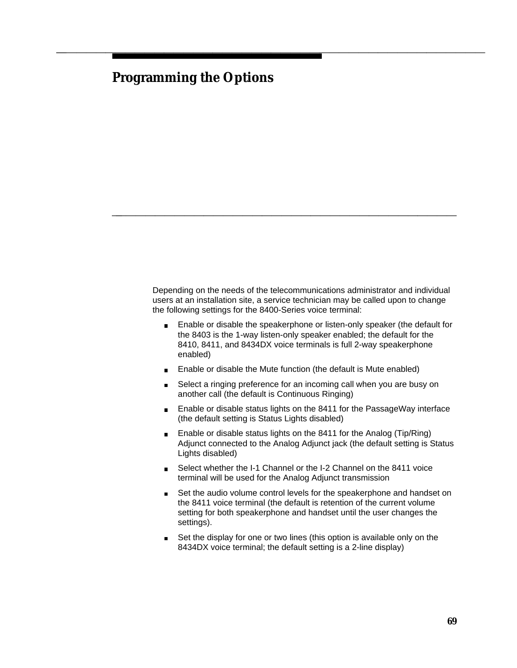### **Programming the Options**

Depending on the needs of the telecommunications administrator and individual users at an installation site, a service technician may be called upon to change the following settings for the 8400-Series voice terminal:

bbbbbbbbbbbbbbbbbbbbbbbbbbbbbbbbbbbb

bbbbbbbbbbbbbbbbbbbbbbbbbbbbbbbbbbbbbbbbbbbb bbbbb

- Enable or disable the speakerphone or listen-only speaker (the default for the 8403 is the 1-way listen-only speaker enabled; the default for the 8410, 8411, and 8434DX voice terminals is full 2-way speakerphone enabled)
- Enable or disable the Mute function (the default is Mute enabled)
- Select a ringing preference for an incoming call when you are busy on another call (the default is Continuous Ringing)
- Enable or disable status lights on the 8411 for the PassageWay interface (the default setting is Status Lights disabled)
- Enable or disable status lights on the 8411 for the Analog (Tip/Ring) Adjunct connected to the Analog Adjunct jack (the default setting is Status Lights disabled)
- Select whether the I-1 Channel or the I-2 Channel on the 8411 voice  $\blacksquare$ terminal will be used for the Analog Adjunct transmission
- Set the audio volume control levels for the speakerphone and handset on  $\blacksquare$ the 8411 voice terminal (the default is retention of the current volume setting for both speakerphone and handset until the user changes the settings).
- Set the display for one or two lines (this option is available only on the 8434DX voice terminal; the default setting is a 2-line display)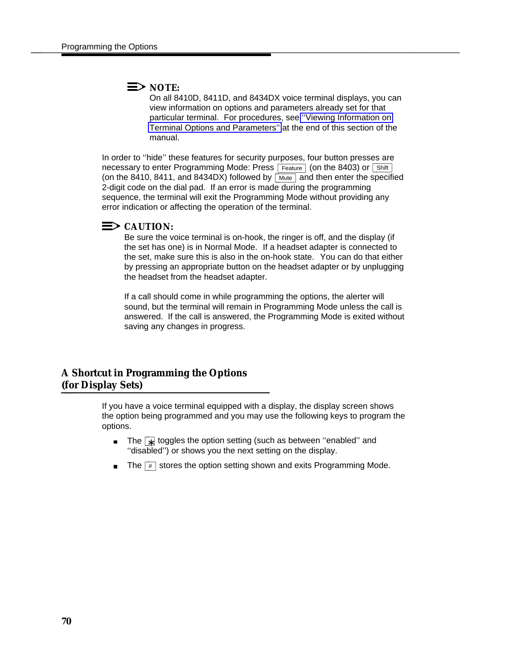#### $\equiv$  note:

On all 8410D, 8411D, and 8434DX voice terminal displays, you can view information on options and parameters already set for that particular terminal. For procedures, see [''Viewing Information on](#page-84-0) [Terminal Options and Parameters''](#page-84-0) at the end of this section of the manual.

In order to "hide" these features for security purposes, four button presses are in order to mide these reatures for security purposes, four button presses are<br>necessary to enter Programming Mode: Press [Feature] (on the 8403) or [Shift] necessary to enter Programming Mode: Press  $\frac{[Feature]}{[Multi]}$  (on the 6403) or  $\frac{[Shift]}{[Multi]}$  and then enter the specified 2-digit code on the dial pad. If an error is made during the programming sequence, the terminal will exit the Programming Mode without providing any error indication or affecting the operation of the terminal.

#### $\Rightarrow$  CAUTION:

Be sure the voice terminal is on-hook, the ringer is off, and the display (if the set has one) is in Normal Mode. If a headset adapter is connected to the set, make sure this is also in the on-hook state. You can do that either by pressing an appropriate button on the headset adapter or by unplugging the headset from the headset adapter.

If a call should come in while programming the options, the alerter will sound, but the terminal will remain in Programming Mode unless the call is answered. If the call is answered, the Programming Mode is exited without saving any changes in progress.

# **A Shortcut in Programming the Options<br>
(for Display Sets)**

If you have a voice terminal equipped with a display, the display screen shows the option being programmed and you may use the following keys to program the options.

- The  $\boxed{*}$  toggles the option setting (such as between "enabled" and  $\blacksquare$ ''disabled'') or shows you the next setting on the display.
- The  $\frac{4}{\pm}$  stores the option setting shown and exits Programming Mode.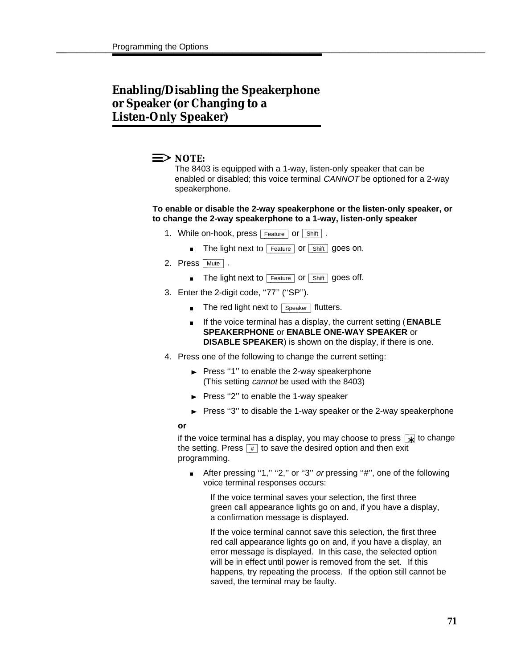### **Enabling/Disabling the Speakerphone or Speaker (or Changing to a** Enabling/Disabling the Speakerphone<br>or Speaker (or Changing to a<br><u>Listen-Only Speaker)</u>

#### $\equiv$  **NOTE:**

The 8403 is equipped with a 1-way, listen-only speaker that can be enabled or disabled; this voice terminal CANNOT be optioned for a 2-way speakerphone.

#### **To enable or disable the 2-way speakerphone or the listen-only speaker, or to change the 2-way speakerphone to a 1-way, listen-only speaker**

- 1. While on-hook, press Feature or Shift .
	- The light next to  $\begin{array}{|c|c|c|}\n\hline\n\text{Feature} & \text{or} & \text{Shift} & \text{goes on.}\n\end{array}$  $\blacksquare$
- 2. Press Mute.
	- ——<br>The light next to <del>Feature</del> or <del>Chift goes</del> off.
- 3. Enter the 2-digit code, "77" ("SP").
	- The red light next to  $\overline{\mathsf{S}_\text{peaker}}$  flutters.
	- If the voice terminal has a display, the current setting (**ENABLE SPEAKERPHONE** or **ENABLE ONE-WAY SPEAKER** or **DISABLE SPEAKER**) is shown on the display, if there is one.
- 4. Press one of the following to change the current setting:
	- $\blacktriangleright$  Press "1" to enable the 2-way speakerphone (This setting cannot be used with the 8403)
	- $\blacktriangleright$  Press "2" to enable the 1-way speaker
	- $\blacktriangleright$  Press "3" to disable the 1-way speaker or the 2-way speakerphone

#### **or**

**••**<br>if the voice terminal has a display, you may choose to press  $\boxed{*}$  to change  $\frac{1}{1}$  in the voice terminal has a display, you may choose to press  $\frac{1}{12}$  to save the desired option and then exit programming.

■ After pressing "1," "2," or "3" or pressing "#", one of the following voice terminal responses occurs:

 If the voice terminal saves your selection, the first three green call appearance lights go on and, if you have a display, a confirmation message is displayed.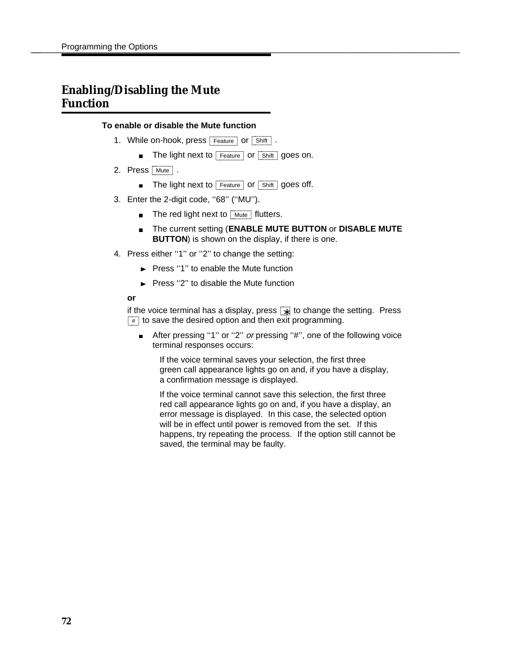# **Enabling/Disabling the Mute Fnabling/Disabling the Mute<br>Function**

#### **To enable or disable the Mute function**

- 1. While on-hook, press  $\boxed{\mathsf{Feature}}$  or  $\boxed{\mathsf{Shift}}$  .
	- The light next to  $\begin{array}{|c|c|c|}\n\hline\n\text{Feature} & \text{or} & \text{Shift} & \text{goes on.}\n\end{array}$  $\blacksquare$
- 2. Press Mute.
	- ——<br>The light next to <del>[reature</del> ]or <mark>[shift ]goes off.</mark>
- 3. Enter the 2-digit code, ''68'' (''MU'').
	- The red light next to  $\overline{\phantom{a}}$  flutters.
	- The current setting (**ENABLE MUTE BUTTON** or **DISABLE MUTE**  $\blacksquare$ **BUTTON**) is shown on the display, if there is one.
- 4. Press either ''1'' or ''2'' to change the setting:
	- $\blacktriangleright$  Press "1" to enable the Mute function
	- $\blacktriangleright$  Press "2" to disable the Mute function

#### **or**

••<br>if the voice terminal has a display, press <u>[∗]</u> to change the setting. Press If the voice terminal has a display, press  $\frac{1}{2}$  to change the  $\frac{1}{\#}$  to save the desired option and then exit programming.

After pressing "1" or "2" or pressing "#", one of the following voice terminal responses occurs:

 If the voice terminal saves your selection, the first three green call appearance lights go on and, if you have a display, a confirmation message is displayed.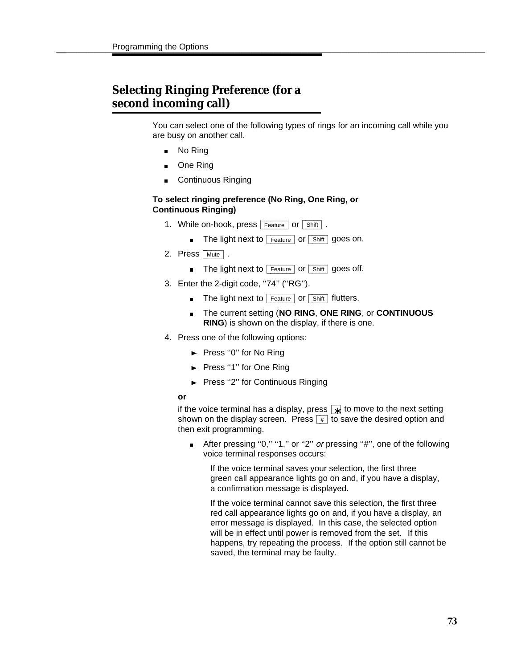# **Selecting Ringing Preference (for a Selecting Ringing Preference (for a**<br>second incoming call)

You can select one of the following types of rings for an incoming call while you are busy on another call.

- **No Ring**
- One Ring
- Continuous Ringing

#### **To select ringing preference (No Ring, One Ring, or Continuous Ringing)**

- 1. While on-hook, press  $\boxed{\text{Feature}}$  or  $\boxed{\text{Shift}}$ .
	- The light next to  $\begin{array}{c|c}\n\hline\n\text{Feature} & \text{or} \\
	\hline\n\end{array}$  goes on.
- 2. Press Mute.
	- ——<br>The light next to <del>Feature</del> or <u>Cshift g</u>oes off.
- 3. Enter the 2-digit code, "74" ("RG").
	- The light next to  $\overline{f}$  Feature or  $\overline{f}$  flutters.
	- The current setting (**NO RING**, **ONE RING**, or **CONTINUOUS**  $\blacksquare$ **RING**) is shown on the display, if there is one.
- 4. Press one of the following options:
	- Press "0" for No Ring
	- Press "1" for One Ring
	- Press "2" for Continuous Ringing

#### **or**

**••**<br>if the voice terminal has a display, press  $\boxed{*}$  to move to the next setting If the voice terminal has a display, press  $\lfloor \frac{k}{2} \rfloor$  to move to the next setting<br>shown on the display screen. Press  $\lceil \frac{p}{2} \rceil$  to save the desired option and then exit programming.

After pressing "0," "1," or "2" or pressing "#", one of the following  $\blacksquare$ voice terminal responses occurs:

 If the voice terminal saves your selection, the first three green call appearance lights go on and, if you have a display, a confirmation message is displayed.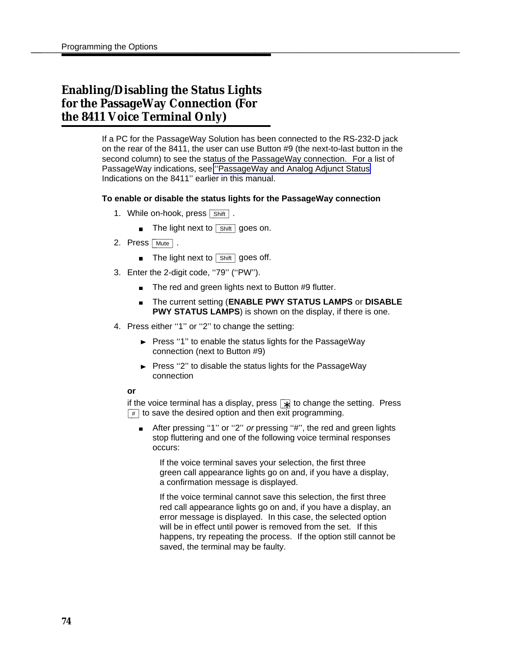### **Enabling/Disabling the Status Lights for the PassageWay Connection (For Enabling/Disabling the Status Lights<br>for the PassageWay Connection (For<br>the 8411 Voice Terminal Only)**

If a PC for the PassageWay Solution has been connected to the RS-232-D jack on the rear of the 8411, the user can use Button #9 (the next-to-last button in the second column) to see the status of the PassageWay connection. For a list of PassageWay indications, see [''PassageWay and Analog Adjunct Status](#page-34-0) Indications on the 8411'' earlier in this manual.

#### **To enable or disable the status lights for the PassageWay connection**

- 1. While on-hook, press **Shift** .
	- The light next to  $\overline{\mathsf{Shift}}$  goes on.
- 2. Press Mute.
	- \_\_\_\_\_<br>The light next to <mark>\_shift \_</mark>goes off.
- 3. Enter the 2-digit code, ''79'' (''PW'').
	- The red and green lights next to Button #9 flutter.
	- The current setting (**ENABLE PWY STATUS LAMPS** or **DISABLE PWY STATUS LAMPS**) is shown on the display, if there is one.
- 4. Press either ''1'' or ''2'' to change the setting:
	- $\blacktriangleright$  Press "1" to enable the status lights for the PassageWay connection (next to Button #9)
	- $\blacktriangleright$  Press "2" to disable the status lights for the PassageWay connection

#### **or**

**•∙**<br>if the voice terminal has a display, press  $\boxed{*}$  to change the setting. Press If the voice terminal has a display, press  $\frac{1}{2}$  to change the  $\frac{1}{\pm}$  to save the desired option and then exit programming.

■ After pressing "1" or "2" or pressing "#", the red and green lights stop fluttering and one of the following voice terminal responses occurs:

 If the voice terminal saves your selection, the first three green call appearance lights go on and, if you have a display, a confirmation message is displayed.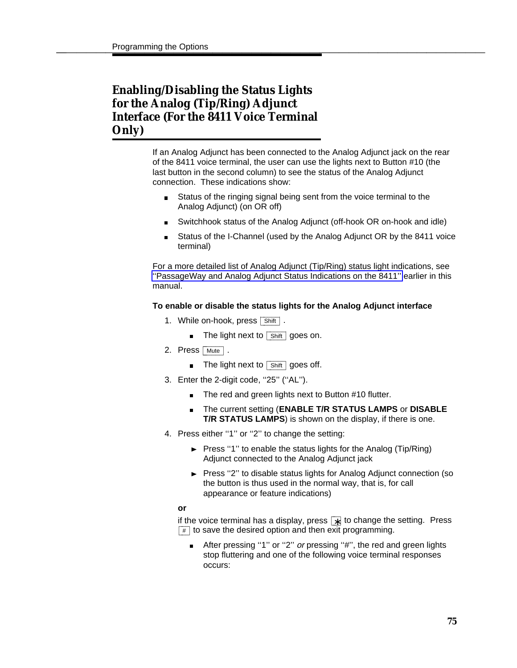### **Enabling/Disabling the Status Lights for the Analog (Tip/Ring) Adjunct Interface (For the 8411 Voice Terminal** Enabling/Disabling the Status Lights<br>for the Analog (Tip/Ring) Adjunct<br>Interface (For the 8411 Voice Terminal<br>Only)

If an Analog Adjunct has been connected to the Analog Adjunct jack on the rear of the 8411 voice terminal, the user can use the lights next to Button #10 (the last button in the second column) to see the status of the Analog Adjunct connection. These indications show:

- Status of the ringing signal being sent from the voice terminal to the  $\blacksquare$ Analog Adjunct) (on OR off)
- Switchhook status of the Analog Adjunct (off-hook OR on-hook and idle)
- Status of the I-Channel (used by the Analog Adjunct OR by the 8411 voice terminal)

For a more detailed list of Analog Adjunct (Tip/Ring) status light indications, see [''PassageWay and Analog Adjunct Status Indications on the 8411''](#page-34-0) earlier in this manual.

#### **To enable or disable the status lights for the Analog Adjunct interface**

- 1. While on-hook, press **Shift** .
	- The light next to  $\overline{\mathsf{Shift}}$  goes on.  $\blacksquare$
- 2. Press Mute.
	- \_\_\_\_\_<br>The light next to <mark>\_shift \_</mark>goes off.
- 3. Enter the 2-digit code, ''25'' (''AL'').
	- The red and green lights next to Button #10 flutter.
	- The current setting (**ENABLE T/R STATUS LAMPS** or **DISABLE**  $\blacksquare$ **T/R STATUS LAMPS**) is shown on the display, if there is one.
- 4. Press either ''1'' or ''2'' to change the setting:
	- $\blacktriangleright$  Press "1" to enable the status lights for the Analog (Tip/Ring) Adjunct connected to the Analog Adjunct jack
	- Press "2" to disable status lights for Analog Adjunct connection (so the button is thus used in the normal way, that is, for call appearance or feature indications)

#### **or**

••<br>if the voice terminal has a display, press  $\boxed{*}$  to change the setting. Press If the voice terminal has a display, press  $\frac{1}{2}$  to change the  $\frac{1}{\frac{1}{2}}$  to save the desired option and then exit programming.

After pressing "1" or "2" or pressing "#", the red and green lights stop fluttering and one of the following voice terminal responses occurs: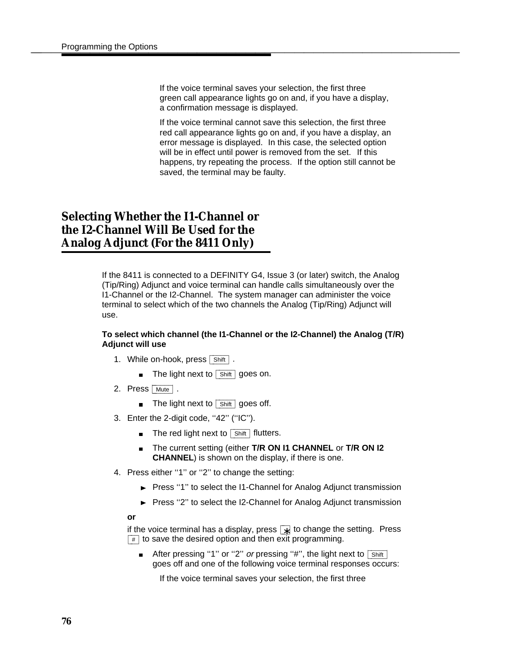If the voice terminal saves your selection, the first three green call appearance lights go on and, if you have a display, a confirmation message is displayed.

 If the voice terminal cannot save this selection, the first three red call appearance lights go on and, if you have a display, an error message is displayed. In this case, the selected option will be in effect until power is removed from the set. If this happens, try repeating the process. If the option still cannot be saved, the terminal may be faulty.

### **Selecting Whether the I1-Channel or the I2-Channel Will Be Used for the Analog Adjunct (For the 8411 Only)** bbbbbbb

If the 8411 is connected to a DEFINITY G4, Issue 3 (or later) switch, the Analog (Tip/Ring) Adjunct and voice terminal can handle calls simultaneously over the I1-Channel or the I2-Channel. The system manager can administer the voice terminal to select which of the two channels the Analog (Tip/Ring) Adjunct will use.

#### **To select which channel (the I1-Channel or the I2-Channel) the Analog (T/R) Adjunct will use**

- ,<br>1. While on-hook, press <u>[shift</u> ].
	- The light next to  $\overline{\mathsf{Shift}}$  goes on.  $\blacksquare$
- 2. Press Mute.
	- \_\_\_\_\_<br>The light next to <mark>\_shift \_</mark> goes off.
- 3. Enter the 2-digit code, ''42'' (''IC'').
	- The red light next to  $\overline{\mathsf{Shift}}$  flutters.
	- The current setting (either **T/R ON I1 CHANNEL** or **T/R ON I2 CHANNEL**) is shown on the display, if there is one.
- 4. Press either ''1'' or ''2'' to change the setting:
	- ► Press "1" to select the I1-Channel for Analog Adjunct transmission
	- ► Press "2" to select the I2-Channel for Analog Adjunct transmission

#### **or**

**••**<br>if the voice terminal has a display, press  $\boxed*$  to change the setting. Press It the voice terminal has a display, press  $\frac{1}{2}$  to change the  $\frac{1}{\pm}$  to save the desired option and then exit programming.

After pressing "1" or "2" *or* pressing "#", the light next to <u>Chitting</u> goes off and one of the following voice terminal responses occurs:

If the voice terminal saves your selection, the first three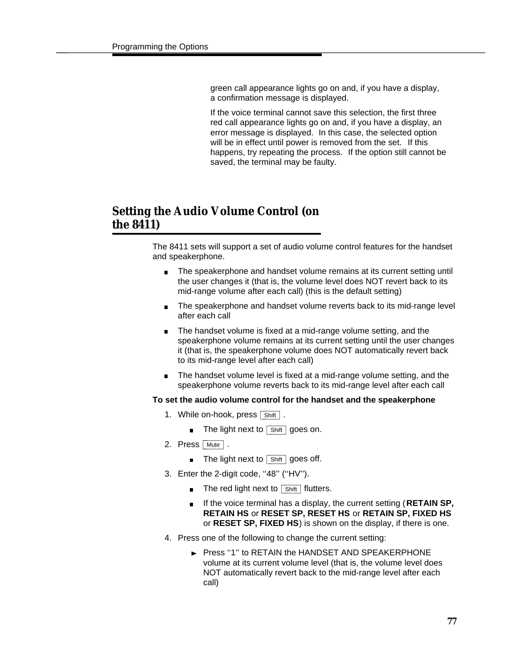green call appearance lights go on and, if you have a display, a confirmation message is displayed.

 If the voice terminal cannot save this selection, the first three red call appearance lights go on and, if you have a display, an error message is displayed. In this case, the selected option will be in effect until power is removed from the set. If this happens, try repeating the process. If the option still cannot be saved, the terminal may be faulty.

# **Setting the Audio Volume Control (on Setting the Audio Volume Control (on<br>the 8411)** because the 8411

The 8411 sets will support a set of audio volume control features for the handset and speakerphone.

- $\blacksquare$ The speakerphone and handset volume remains at its current setting until the user changes it (that is, the volume level does NOT revert back to its mid-range volume after each call) (this is the default setting)
- The speakerphone and handset volume reverts back to its mid-range level  $\blacksquare$ after each call
- The handset volume is fixed at a mid-range volume setting, and the speakerphone volume remains at its current setting until the user changes it (that is, the speakerphone volume does NOT automatically revert back to its mid-range level after each call)
- The handset volume level is fixed at a mid-range volume setting, and the speakerphone volume reverts back to its mid-range level after each call

#### **To set the audio volume control for the handset and the speakerphone**

- 1. While on-hook, press **Shift** .
	- The light next to  $\overline{\mathsf{Shift}}$  goes on.
- 2. Press Mute.
	- \_\_\_\_\_<br>The light next to <mark>\_shift \_</mark>goes off.
- 3. Enter the 2-digit code, ''48'' (''HV'').
	- The red light next to  $\overline{\mathsf{Shift}}$  flutters.
	- If the voice terminal has a display, the current setting (**RETAIN SP,**  $\blacksquare$ **RETAIN HS** or **RESET SP, RESET HS** or **RETAIN SP, FIXED HS** or **RESET SP, FIXED HS**) is shown on the display, if there is one.
- 4. Press one of the following to change the current setting:
	- $\triangleright$  Press "1" to RETAIN the HANDSET AND SPEAKERPHONE volume at its current volume level (that is, the volume level does NOT automatically revert back to the mid-range level after each call)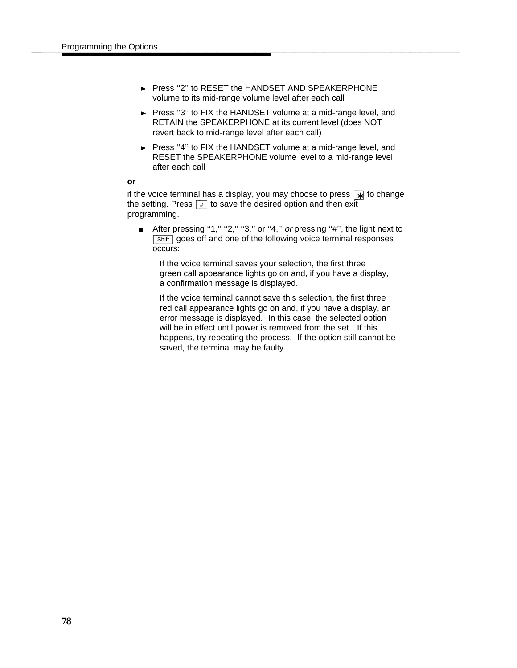- Press "2" to RESET the HANDSET AND SPEAKERPHONE volume to its mid-range volume level after each call
- $\triangleright$  Press "3" to FIX the HANDSET volume at a mid-range level, and RETAIN the SPEAKERPHONE at its current level (does NOT revert back to mid-range level after each call)
- $\triangleright$  Press "4" to FIX the HANDSET volume at a mid-range level, and RESET the SPEAKERPHONE volume level to a mid-range level after each call

#### **or**

••<br>if the voice terminal has a display, you may choose to press  $\boxed{*}$  to change  $\frac{1}{1}$  the voice terminal has a display, you may choose to press  $\frac{1}{12}$  to save the desired option and then exit programming.

■ After pressing "1," "2," "3," or "4," or pressing "#", the light next to After pressing  $\rightarrow$ ,  $\rightarrow$ ,  $\rightarrow$ ,  $\rightarrow$ , or  $\rightarrow$ , *or* pressing  $\rightarrow$ , the light next<br>  $\boxed{\text{Shift}}$  goes off and one of the following voice terminal responses occurs:

 If the voice terminal saves your selection, the first three green call appearance lights go on and, if you have a display, a confirmation message is displayed.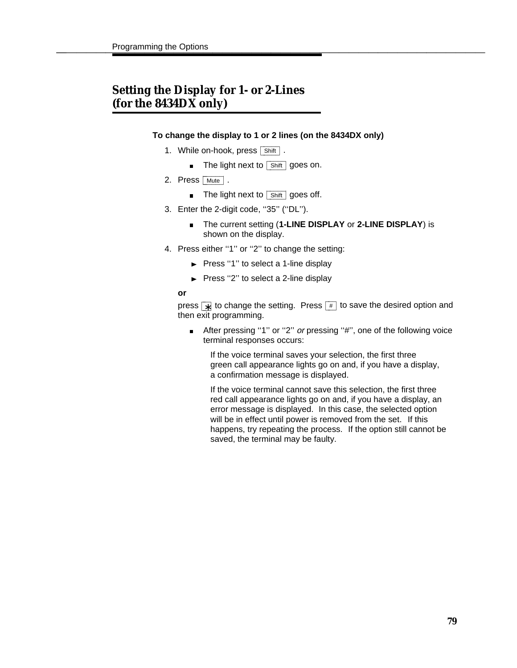# **Setting the Display for 1- or 2-Lines Setting the Display for 1- or 2-Lines<br>(for the 8434DX only)**

#### **To change the display to 1 or 2 lines (on the 8434DX only)**

- 1. While on-hook, press **Shift** .
	- The light next to  $\overline{\mathsf{Shift}}$  goes on.
- 2. Press Mute.
	- \_\_\_\_\_<br>The light next to <mark>\_shift \_</mark>goes off.
- 3. Enter the 2-digit code, ''35'' (''DL'').
	- The current setting (**1-LINE DISPLAY** or **2-LINE DISPLAY**) is shown on the display.
- 4. Press either "1" or "2" to change the setting:
	- Press "1" to select a 1-line display
	- Press "2" to select a 2-line display

#### **or**

 ${\color{black} \mathsf{press}\ } \boxed{*}$  to change the setting. Press  $\boxed{*}$  to save the desired option and then exit programming.

After pressing "1" or "2" or pressing "#", one of the following voice terminal responses occurs:

 If the voice terminal saves your selection, the first three green call appearance lights go on and, if you have a display, a confirmation message is displayed.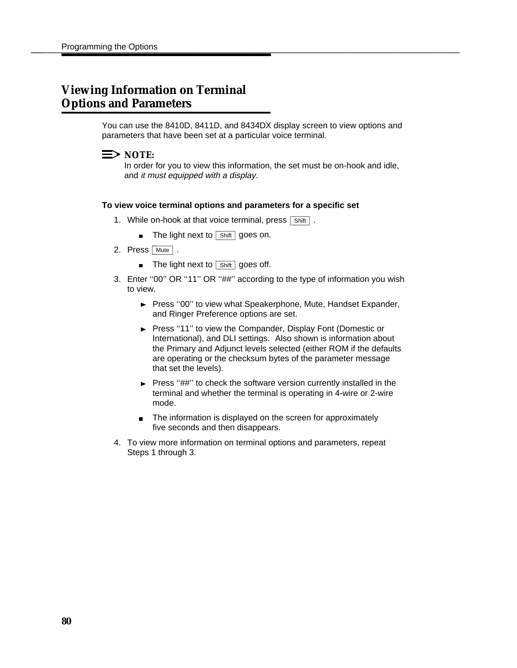# <span id="page-84-0"></span>**Viewing Information on Terminal Viewing Information on Terminal<br>Options and Parameters**

You can use the 8410D, 8411D, and 8434DX display screen to view options and parameters that have been set at a particular voice terminal.

#### $\Rightarrow$  note:

In order for you to view this information, the set must be on-hook and idle, and it must equipped with a display.

#### **To view voice terminal options and parameters for a specific set**

- 1. While on-hook at that voice terminal, press  $\boxed{\scriptstyle \text{Shift}}$  .
	- The light next to  $\overline{\phantom{a}}$  shift goes on.
- 2. Press Mute.
	- \_\_\_\_\_<br>The light next to <mark>\_shift \_</mark> goes off.
- 3. Enter "00" OR "11" OR "##" according to the type of information you wish to view.
	- Press "00" to view what Speakerphone, Mute, Handset Expander, and Ringer Preference options are set.
	- Press "11" to view the Compander, Display Font (Domestic or International), and DLI settings. Also shown is information about the Primary and Adjunct levels selected (either ROM if the defaults are operating or the checksum bytes of the parameter message that set the levels).
	- $\blacktriangleright$  Press "##" to check the software version currently installed in the terminal and whether the terminal is operating in 4-wire or 2-wire mode.
	- The information is displayed on the screen for approximately  $\blacksquare$ five seconds and then disappears.
- 4. To view more information on terminal options and parameters, repeat Steps 1 through 3.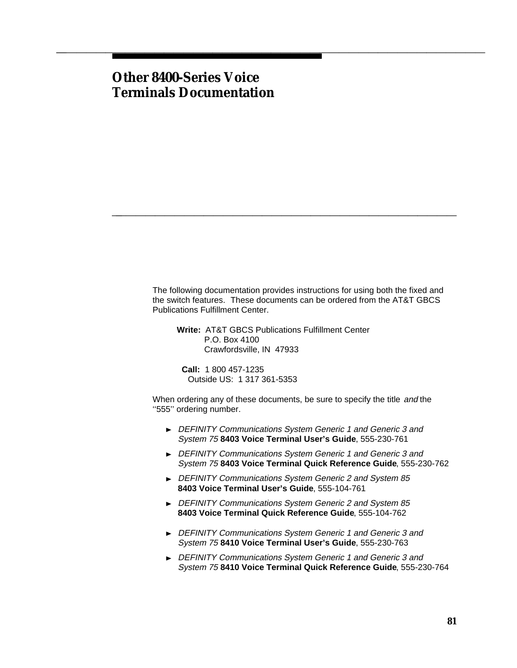### **Other 8400-Series Voice Terminals Documentation**

The following documentation provides instructions for using both the fixed and the switch features. These documents can be ordered from the AT&T GBCS Publications Fulfillment Center.

bbbbbbbbbbbbbbbbbbbbbbbbbbbbbbbbbbbb

 **Write:** AT&T GBCS Publications Fulfillment Center P.O. Box 4100 Crawfordsville, IN 47933

bbbbbbbbbbbbbbbbbbbbbbbbbbbbbbbbbbbbbbbbbbbb bbbbb

 **Call:** 1 800 457-1235 Outside US: 1 317 361-5353

When ordering any of these documents, be sure to specify the title and the ''555'' ordering number.

- ► DEFINITY Communications System Generic 1 and Generic 3 and System 75 **8403 Voice Terminal User's Guide**, 555-230-761
- ▶ DEFINITY Communications System Generic 1 and Generic 3 and System 75 **8403 Voice Terminal Quick Reference Guide**, 555-230-762
- ► DEFINITY Communications System Generic 2 and System 85 **8403 Voice Terminal User's Guide**, 555-104-761
- ► DEFINITY Communications System Generic 2 and System 85 **8403 Voice Terminal Quick Reference Guide**, 555-104-762
- **DEFINITY Communications System Generic 1 and Generic 3 and** System 75 **8410 Voice Terminal User's Guide**, 555-230-763
- ▶ DEFINITY Communications System Generic 1 and Generic 3 and System 75 **8410 Voice Terminal Quick Reference Guide**, 555-230-764